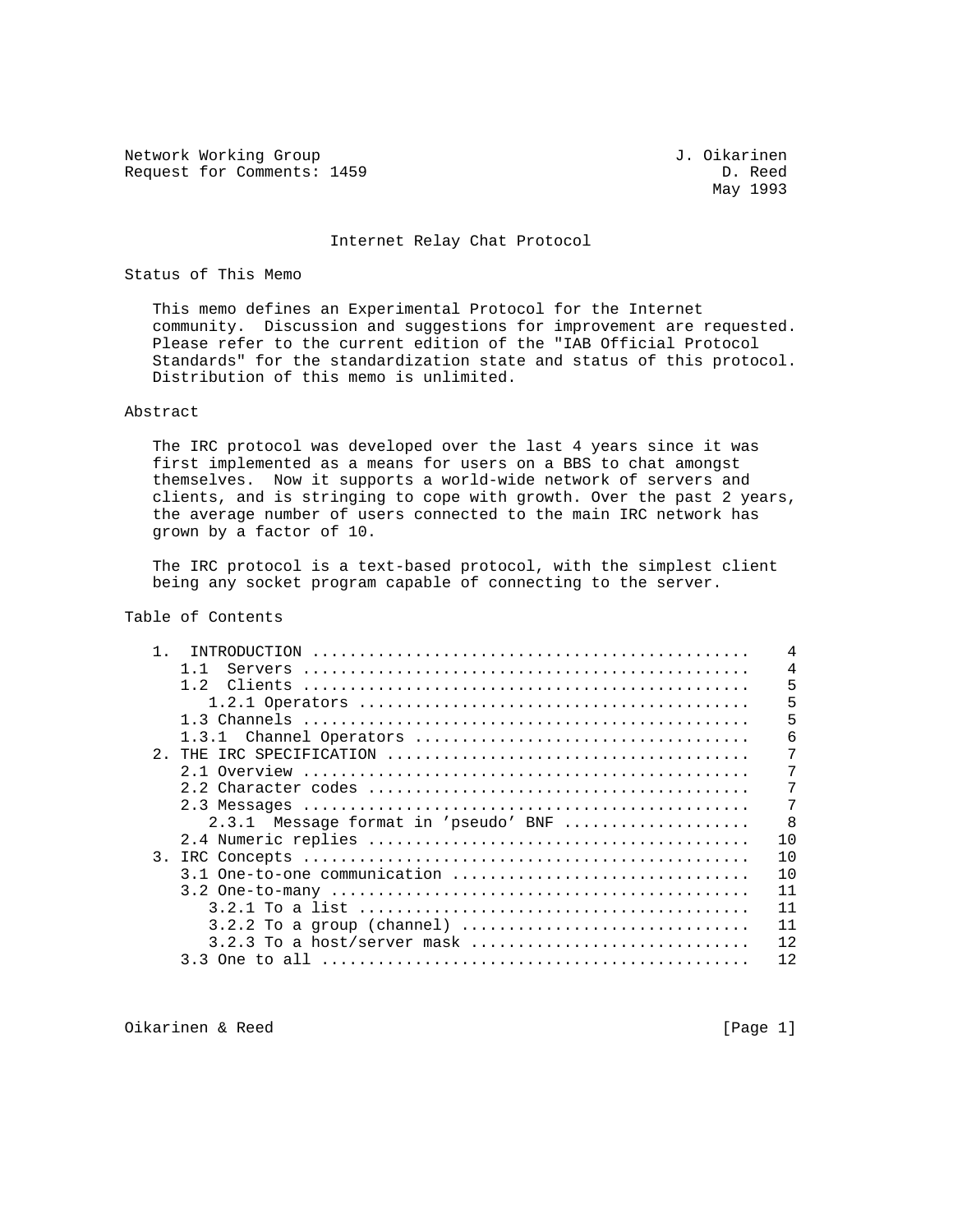Network Working Group<br>Request for Comments: 1459 <br>D. Reed Request for Comments: 1459

May 1993

#### Internet Relay Chat Protocol

#### Status of This Memo

 This memo defines an Experimental Protocol for the Internet community. Discussion and suggestions for improvement are requested. Please refer to the current edition of the "IAB Official Protocol Standards" for the standardization state and status of this protocol. Distribution of this memo is unlimited.

#### Abstract

 The IRC protocol was developed over the last 4 years since it was first implemented as a means for users on a BBS to chat amongst themselves. Now it supports a world-wide network of servers and clients, and is stringing to cope with growth. Over the past 2 years, the average number of users connected to the main IRC network has grown by a factor of 10.

 The IRC protocol is a text-based protocol, with the simplest client being any socket program capable of connecting to the server.

# Table of Contents

| TNTRODUCTION                         |  |  |    |
|--------------------------------------|--|--|----|
| Servers                              |  |  |    |
| 1.2<br>Clients                       |  |  | 5  |
|                                      |  |  | 5  |
|                                      |  |  | 5  |
| 1.3.1                                |  |  | 6  |
| 2.                                   |  |  | 7  |
|                                      |  |  | 7  |
|                                      |  |  |    |
|                                      |  |  |    |
| 2.3.1 Message format in 'pseudo' BNF |  |  | -8 |
|                                      |  |  | 10 |
| 3.                                   |  |  | 10 |
| 3.1 One-to-one communication         |  |  | 10 |
|                                      |  |  | 11 |
|                                      |  |  | 11 |
|                                      |  |  | 11 |
|                                      |  |  | 12 |
|                                      |  |  | 12 |

Oikarinen & Reed [Page 1]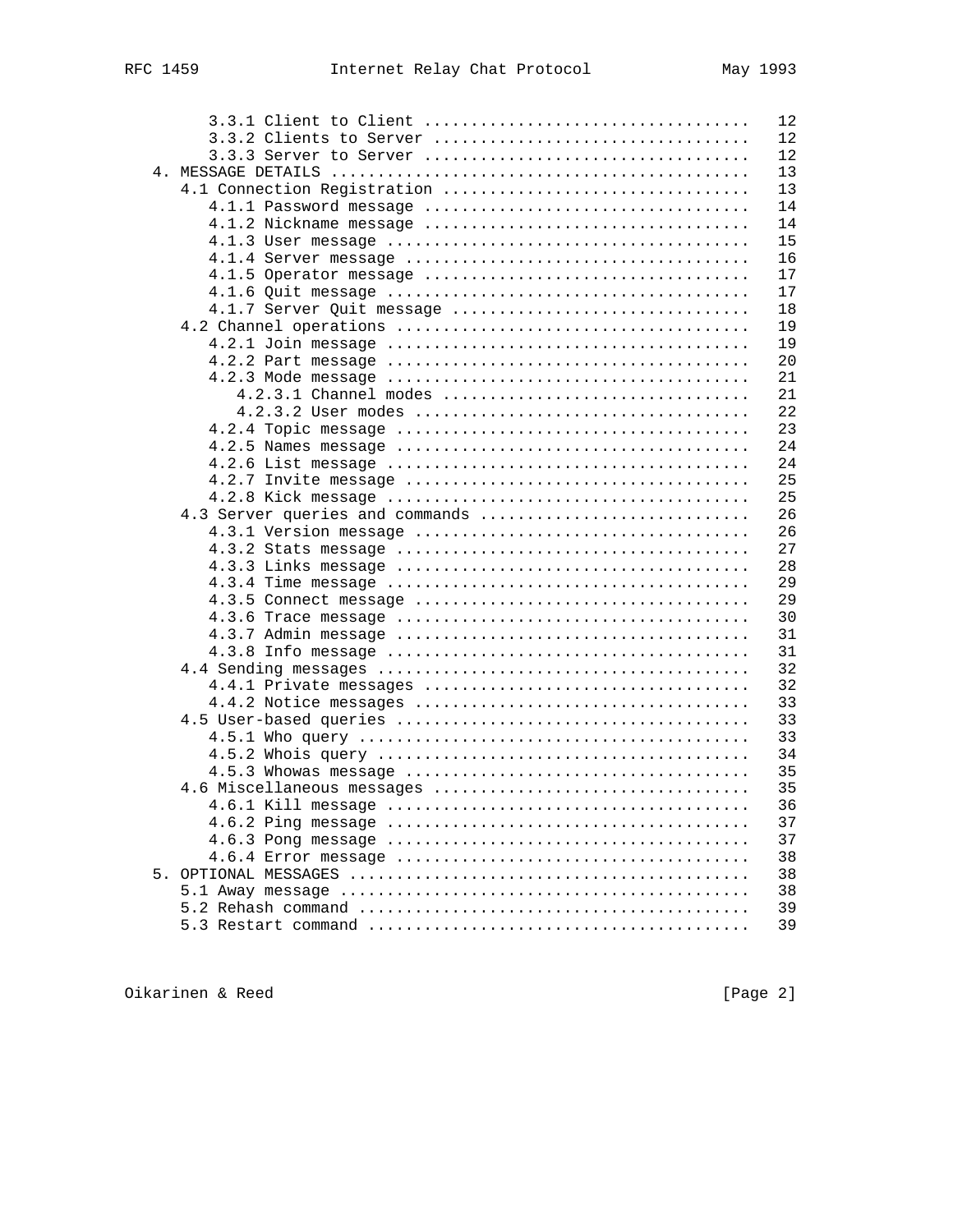|                                 | 12 |
|---------------------------------|----|
|                                 | 12 |
|                                 | 12 |
|                                 | 13 |
| 4.1 Connection Registration     | 13 |
|                                 | 14 |
|                                 | 14 |
|                                 | 15 |
|                                 | 16 |
|                                 | 17 |
|                                 | 17 |
| 4.1.7 Server Quit message       | 18 |
|                                 | 19 |
|                                 | 19 |
|                                 | 20 |
|                                 | 21 |
|                                 | 21 |
|                                 | 22 |
|                                 | 23 |
|                                 | 24 |
|                                 | 24 |
|                                 | 25 |
|                                 | 25 |
| 4.3 Server queries and commands | 26 |
|                                 | 26 |
|                                 | 27 |
|                                 | 28 |
|                                 | 29 |
|                                 | 29 |
|                                 | 30 |
|                                 | 31 |
|                                 | 31 |
|                                 | 32 |
| $4.4.1$ Private messages        | 32 |
|                                 | 33 |
|                                 | 33 |
|                                 | 33 |
|                                 | 34 |
|                                 | 35 |
| 4.6 Miscellaneous messages      | 35 |
|                                 | 36 |
|                                 | 37 |
|                                 | 37 |
|                                 | 38 |
|                                 | 38 |
|                                 | 38 |
|                                 | 39 |
|                                 | 39 |
|                                 |    |

Oikarinen & Reed [Page 2]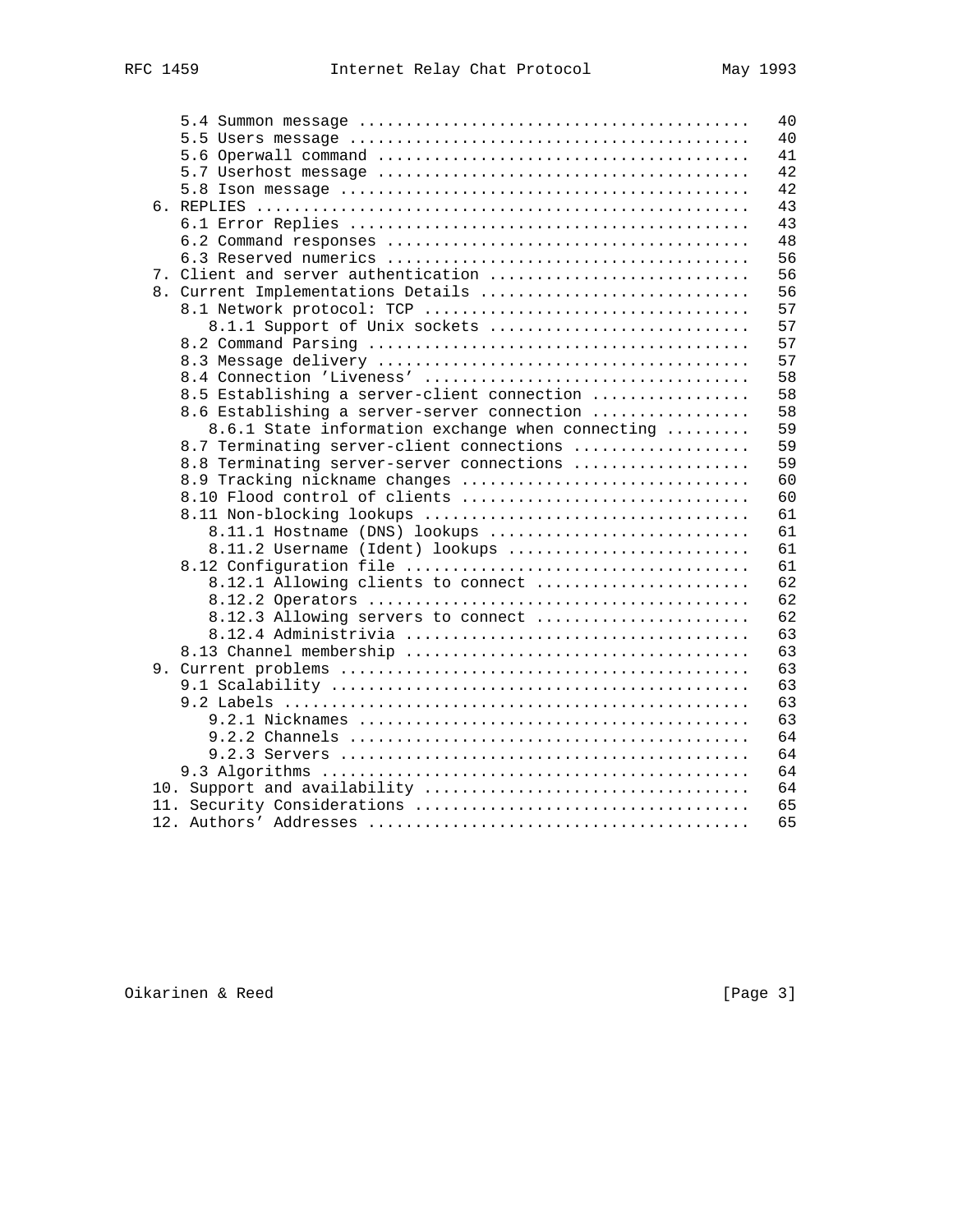|  | 40                                                     |  |
|--|--------------------------------------------------------|--|
|  | 40                                                     |  |
|  | 41                                                     |  |
|  | 42                                                     |  |
|  | 42                                                     |  |
|  | 43                                                     |  |
|  | 43                                                     |  |
|  | 48                                                     |  |
|  | 56                                                     |  |
|  | 7. Client and server authentication<br>56              |  |
|  | 56<br>8. Current Implementations Details               |  |
|  | 57                                                     |  |
|  | 57<br>8.1.1 Support of Unix sockets                    |  |
|  | 57                                                     |  |
|  | 57                                                     |  |
|  | 58                                                     |  |
|  | 8.5 Establishing a server-client connection<br>58      |  |
|  | 58                                                     |  |
|  | 8.6 Establishing a server-server connection            |  |
|  | 59<br>8.6.1 State information exchange when connecting |  |
|  | 59<br>8.7 Terminating server-client connections        |  |
|  | 59<br>8.8 Terminating server-server connections        |  |
|  | 60<br>8.9 Tracking nickname changes                    |  |
|  | 60<br>8.10 Flood control of clients                    |  |
|  | 61                                                     |  |
|  | 8.11.1 Hostname (DNS) lookups<br>61                    |  |
|  | 61<br>8.11.2 Username (Ident) lookups                  |  |
|  | 61                                                     |  |
|  | 8.12.1 Allowing clients to connect<br>62               |  |
|  | 62                                                     |  |
|  | 62<br>8.12.3 Allowing servers to connect               |  |
|  | 63                                                     |  |
|  | 63                                                     |  |
|  | 63                                                     |  |
|  | 63                                                     |  |
|  | 63                                                     |  |
|  | 63                                                     |  |
|  | 64                                                     |  |
|  | 64                                                     |  |
|  | 64                                                     |  |
|  | 64                                                     |  |
|  | 65                                                     |  |
|  | 65                                                     |  |
|  |                                                        |  |

Oikarinen & Reed [Page 3]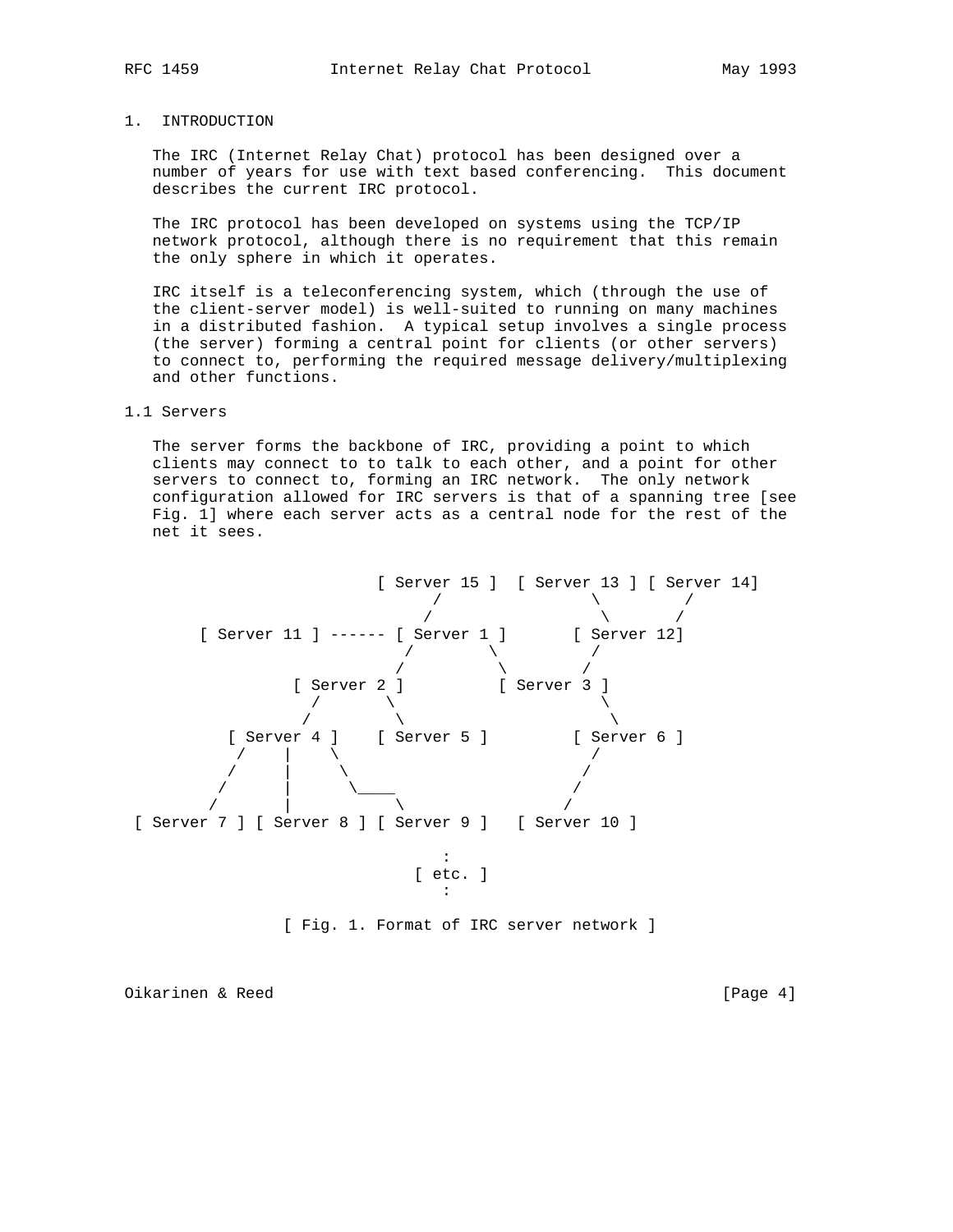### 1. INTRODUCTION

 The IRC (Internet Relay Chat) protocol has been designed over a number of years for use with text based conferencing. This document describes the current IRC protocol.

 The IRC protocol has been developed on systems using the TCP/IP network protocol, although there is no requirement that this remain the only sphere in which it operates.

 IRC itself is a teleconferencing system, which (through the use of the client-server model) is well-suited to running on many machines in a distributed fashion. A typical setup involves a single process (the server) forming a central point for clients (or other servers) to connect to, performing the required message delivery/multiplexing and other functions.

#### 1.1 Servers

 The server forms the backbone of IRC, providing a point to which clients may connect to to talk to each other, and a point for other servers to connect to, forming an IRC network. The only network configuration allowed for IRC servers is that of a spanning tree [see Fig. 1] where each server acts as a central node for the rest of the net it sees.



[ Fig. 1. Format of IRC server network ]

Oikarinen & Reed [Page 4]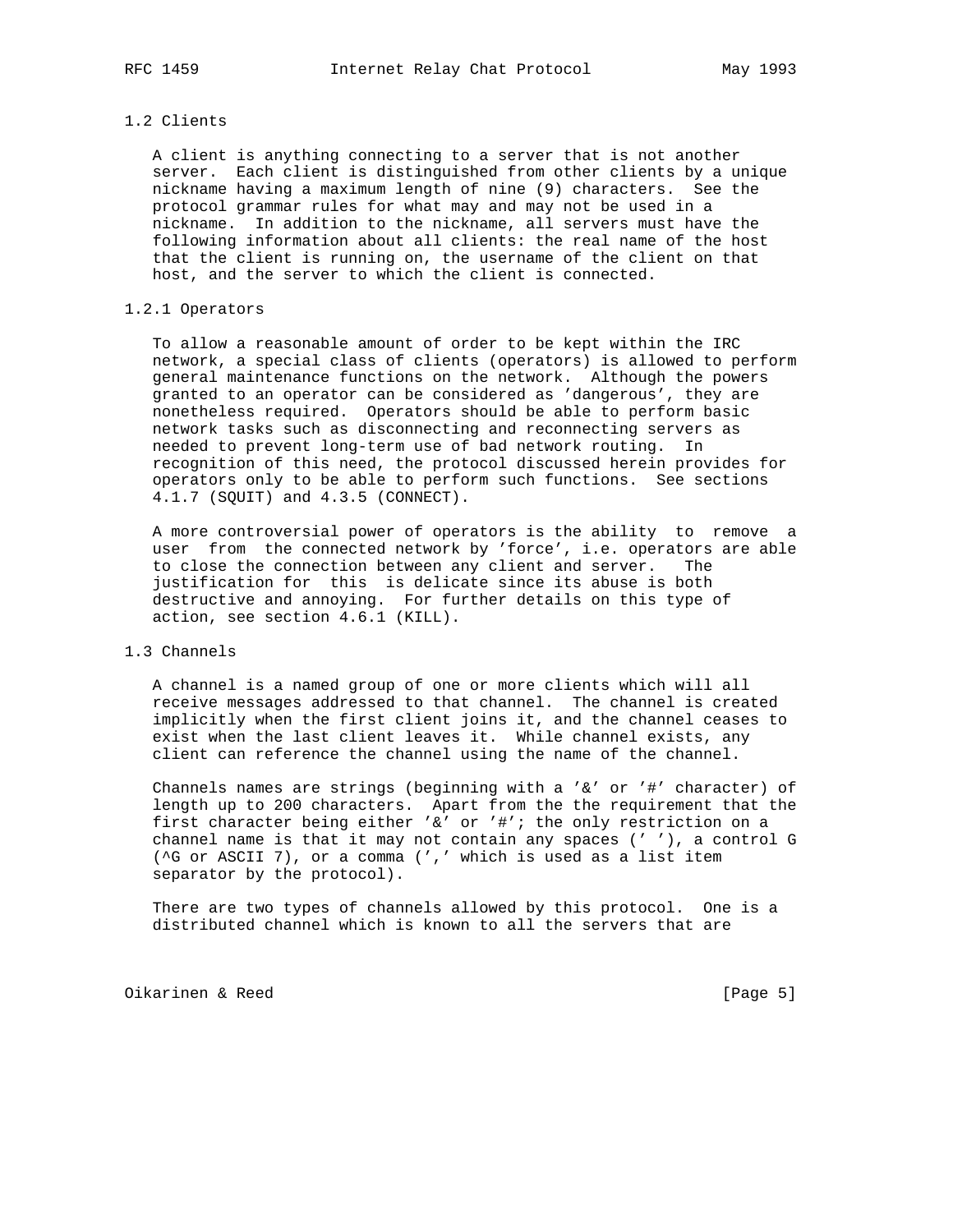# 1.2 Clients

 A client is anything connecting to a server that is not another server. Each client is distinguished from other clients by a unique nickname having a maximum length of nine (9) characters. See the protocol grammar rules for what may and may not be used in a nickname. In addition to the nickname, all servers must have the following information about all clients: the real name of the host that the client is running on, the username of the client on that host, and the server to which the client is connected.

# 1.2.1 Operators

 To allow a reasonable amount of order to be kept within the IRC network, a special class of clients (operators) is allowed to perform general maintenance functions on the network. Although the powers granted to an operator can be considered as 'dangerous', they are nonetheless required. Operators should be able to perform basic network tasks such as disconnecting and reconnecting servers as needed to prevent long-term use of bad network routing. In recognition of this need, the protocol discussed herein provides for operators only to be able to perform such functions. See sections 4.1.7 (SQUIT) and 4.3.5 (CONNECT).

 A more controversial power of operators is the ability to remove a user from the connected network by 'force', i.e. operators are able to close the connection between any client and server. The justification for this is delicate since its abuse is both destructive and annoying. For further details on this type of action, see section 4.6.1 (KILL).

### 1.3 Channels

 A channel is a named group of one or more clients which will all receive messages addressed to that channel. The channel is created implicitly when the first client joins it, and the channel ceases to exist when the last client leaves it. While channel exists, any client can reference the channel using the name of the channel.

 Channels names are strings (beginning with a '&' or '#' character) of length up to 200 characters. Apart from the the requirement that the first character being either '&' or '#'; the only restriction on a channel name is that it may not contain any spaces (' '), a control G (^G or ASCII 7), or a comma (',' which is used as a list item separator by the protocol).

 There are two types of channels allowed by this protocol. One is a distributed channel which is known to all the servers that are

Oikarinen & Reed [Page 5]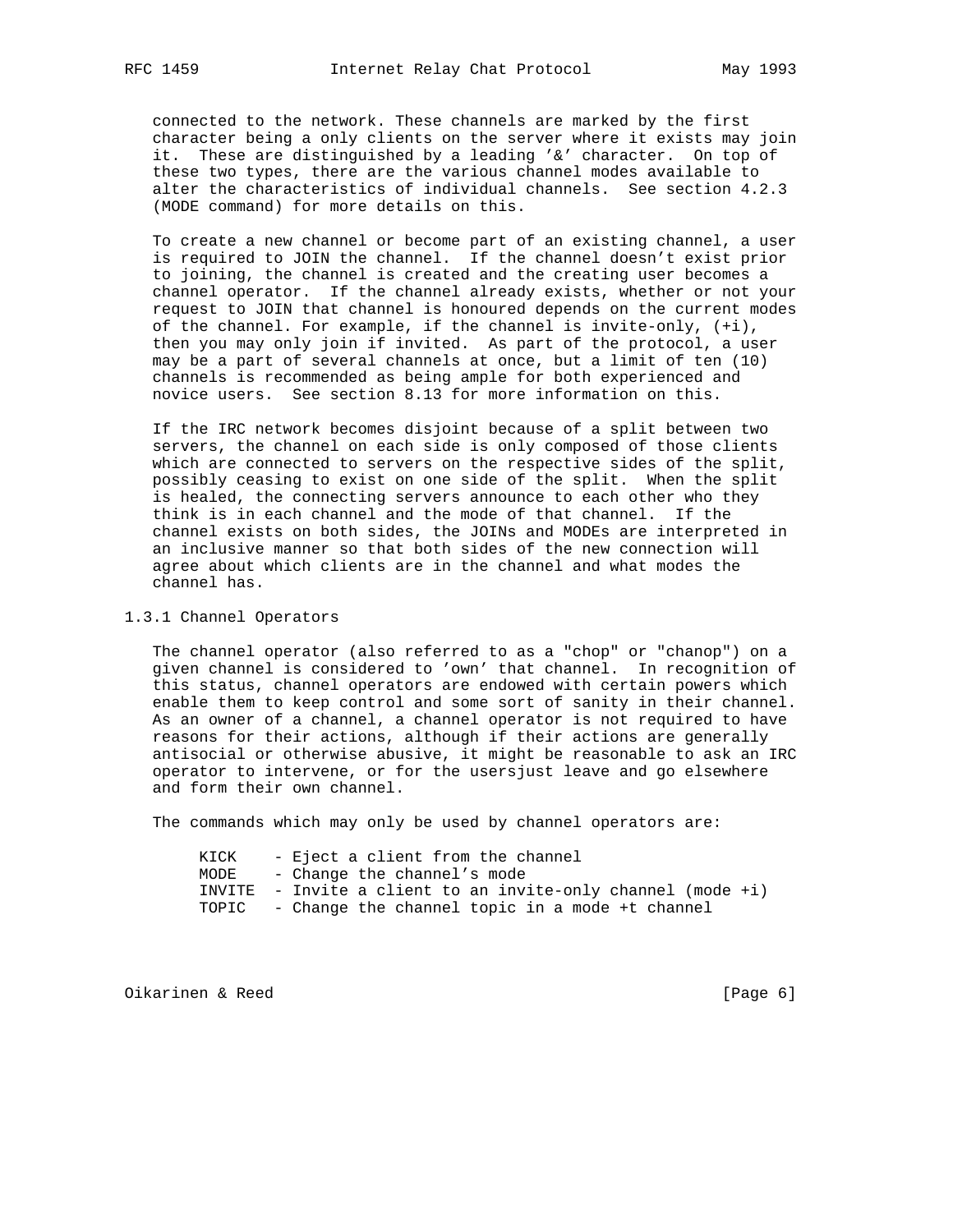connected to the network. These channels are marked by the first character being a only clients on the server where it exists may join it. These are distinguished by a leading '&' character. On top of these two types, there are the various channel modes available to alter the characteristics of individual channels. See section 4.2.3 (MODE command) for more details on this.

 To create a new channel or become part of an existing channel, a user is required to JOIN the channel. If the channel doesn't exist prior to joining, the channel is created and the creating user becomes a channel operator. If the channel already exists, whether or not your request to JOIN that channel is honoured depends on the current modes of the channel. For example, if the channel is invite-only, (+i), then you may only join if invited. As part of the protocol, a user may be a part of several channels at once, but a limit of ten (10) channels is recommended as being ample for both experienced and novice users. See section 8.13 for more information on this.

 If the IRC network becomes disjoint because of a split between two servers, the channel on each side is only composed of those clients which are connected to servers on the respective sides of the split, possibly ceasing to exist on one side of the split. When the split is healed, the connecting servers announce to each other who they think is in each channel and the mode of that channel. If the channel exists on both sides, the JOINs and MODEs are interpreted in an inclusive manner so that both sides of the new connection will agree about which clients are in the channel and what modes the channel has.

### 1.3.1 Channel Operators

 The channel operator (also referred to as a "chop" or "chanop") on a given channel is considered to 'own' that channel. In recognition of this status, channel operators are endowed with certain powers which enable them to keep control and some sort of sanity in their channel. As an owner of a channel, a channel operator is not required to have reasons for their actions, although if their actions are generally antisocial or otherwise abusive, it might be reasonable to ask an IRC operator to intervene, or for the usersjust leave and go elsewhere and form their own channel.

The commands which may only be used by channel operators are:

| KICK | - Eject a client from the channel                               |  |
|------|-----------------------------------------------------------------|--|
| MODE | - Change the channel's mode                                     |  |
|      | INVITE - Invite a client to an invite-only channel (mode $+i$ ) |  |
|      | TOPIC - Change the channel topic in a mode +t channel           |  |

Oikarinen & Reed [Page 6]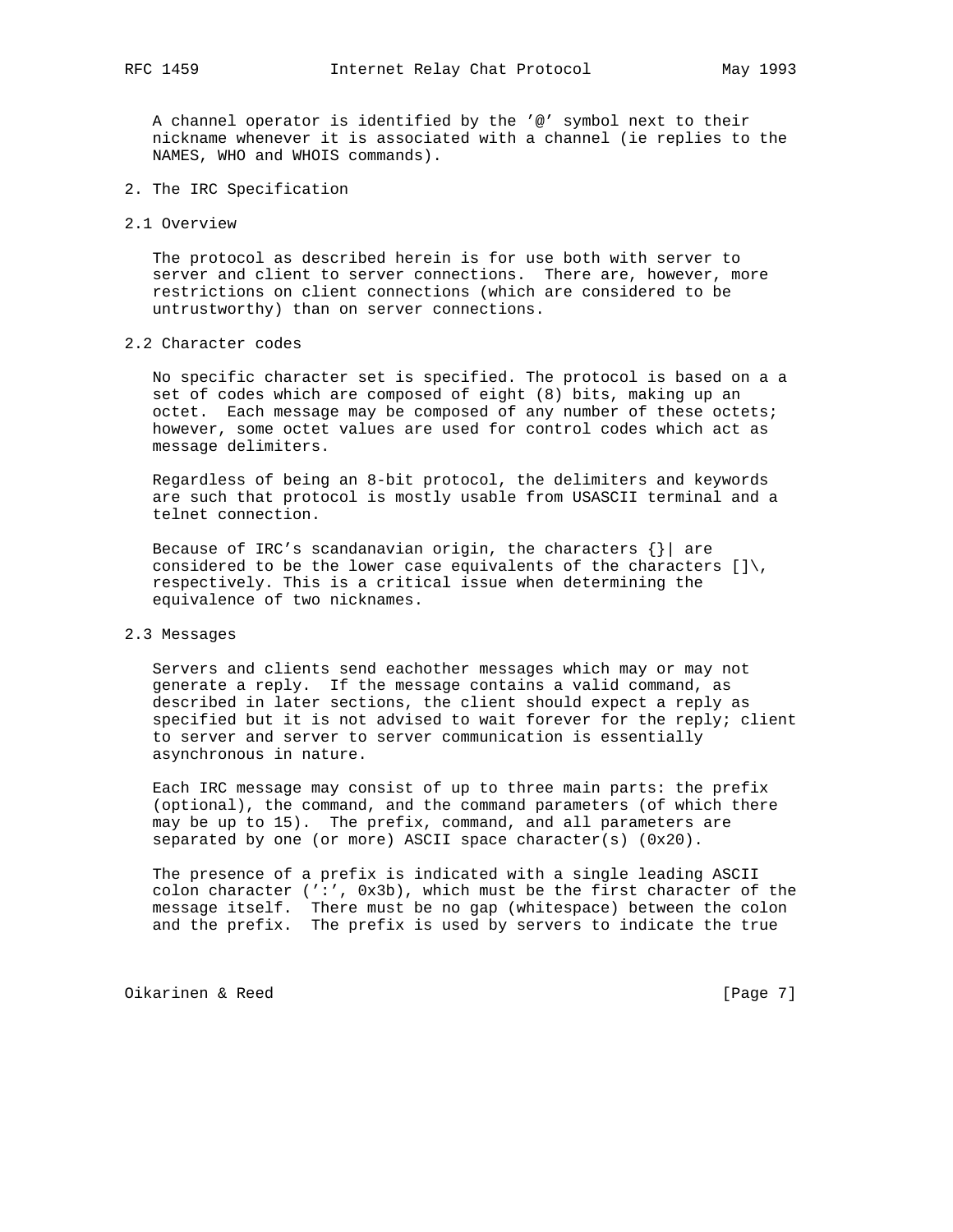A channel operator is identified by the '@' symbol next to their nickname whenever it is associated with a channel (ie replies to the NAMES, WHO and WHOIS commands).

- 2. The IRC Specification
- 2.1 Overview

 The protocol as described herein is for use both with server to server and client to server connections. There are, however, more restrictions on client connections (which are considered to be untrustworthy) than on server connections.

2.2 Character codes

 No specific character set is specified. The protocol is based on a a set of codes which are composed of eight (8) bits, making up an octet. Each message may be composed of any number of these octets; however, some octet values are used for control codes which act as message delimiters.

 Regardless of being an 8-bit protocol, the delimiters and keywords are such that protocol is mostly usable from USASCII terminal and a telnet connection.

Because of IRC's scandanavian origin, the characters  $\{ \} |$  are considered to be the lower case equivalents of the characters  $| \cdot | \cdot \rangle$ , respectively. This is a critical issue when determining the equivalence of two nicknames.

### 2.3 Messages

 Servers and clients send eachother messages which may or may not generate a reply. If the message contains a valid command, as described in later sections, the client should expect a reply as specified but it is not advised to wait forever for the reply; client to server and server to server communication is essentially asynchronous in nature.

 Each IRC message may consist of up to three main parts: the prefix (optional), the command, and the command parameters (of which there may be up to 15). The prefix, command, and all parameters are separated by one (or more) ASCII space character(s) (0x20).

 The presence of a prefix is indicated with a single leading ASCII colon character (':', 0x3b), which must be the first character of the message itself. There must be no gap (whitespace) between the colon and the prefix. The prefix is used by servers to indicate the true

Oikarinen & Reed **in the example of the example of the example of the example of the example of the example of the example of the example of the example of the example of the example of the example of the example of the ex**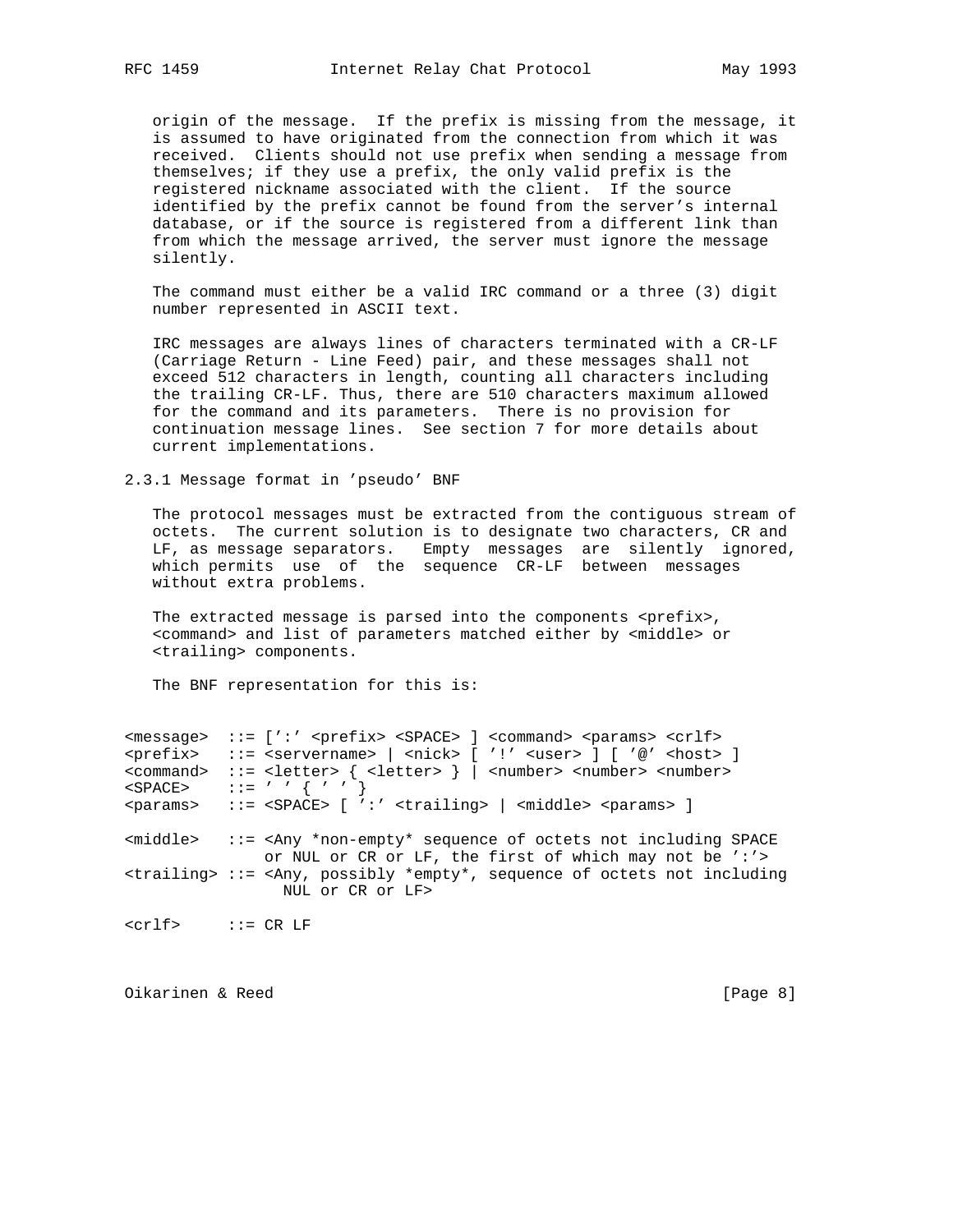origin of the message. If the prefix is missing from the message, it is assumed to have originated from the connection from which it was received. Clients should not use prefix when sending a message from themselves; if they use a prefix, the only valid prefix is the registered nickname associated with the client. If the source identified by the prefix cannot be found from the server's internal database, or if the source is registered from a different link than from which the message arrived, the server must ignore the message silently.

 The command must either be a valid IRC command or a three (3) digit number represented in ASCII text.

 IRC messages are always lines of characters terminated with a CR-LF (Carriage Return - Line Feed) pair, and these messages shall not exceed 512 characters in length, counting all characters including the trailing CR-LF. Thus, there are 510 characters maximum allowed for the command and its parameters. There is no provision for continuation message lines. See section 7 for more details about current implementations.

2.3.1 Message format in 'pseudo' BNF

 The protocol messages must be extracted from the contiguous stream of octets. The current solution is to designate two characters, CR and LF, as message separators. Empty messages are silently ignored, which permits use of the sequence CR-LF between messages without extra problems.

The extracted message is parsed into the components  $\langle\text{prefix}\rangle$ , <command> and list of parameters matched either by <middle> or <trailing> components.

The BNF representation for this is:

<message> ::= [':' <prefix> <SPACE> ] <command> <params> <crlf> <prefix> ::= <servername> | <nick> [ '!' <user> ] [ '@' <host> ] <command> ::= <letter> { <letter> } | <number> <number> <number> <SPACE> ::= ' ' { ' ' } <params> ::= <SPACE> [ ':' <trailing> | <middle> <params> ] <middle> ::= <Any \*non-empty\* sequence of octets not including SPACE or NUL or CR or LF, the first of which may not be ':'> <trailing> ::= <Any, possibly \*empty\*, sequence of octets not including NUL or CR or LF>

<crlf> ::= CR LF

Oikarinen & Reed [Page 8]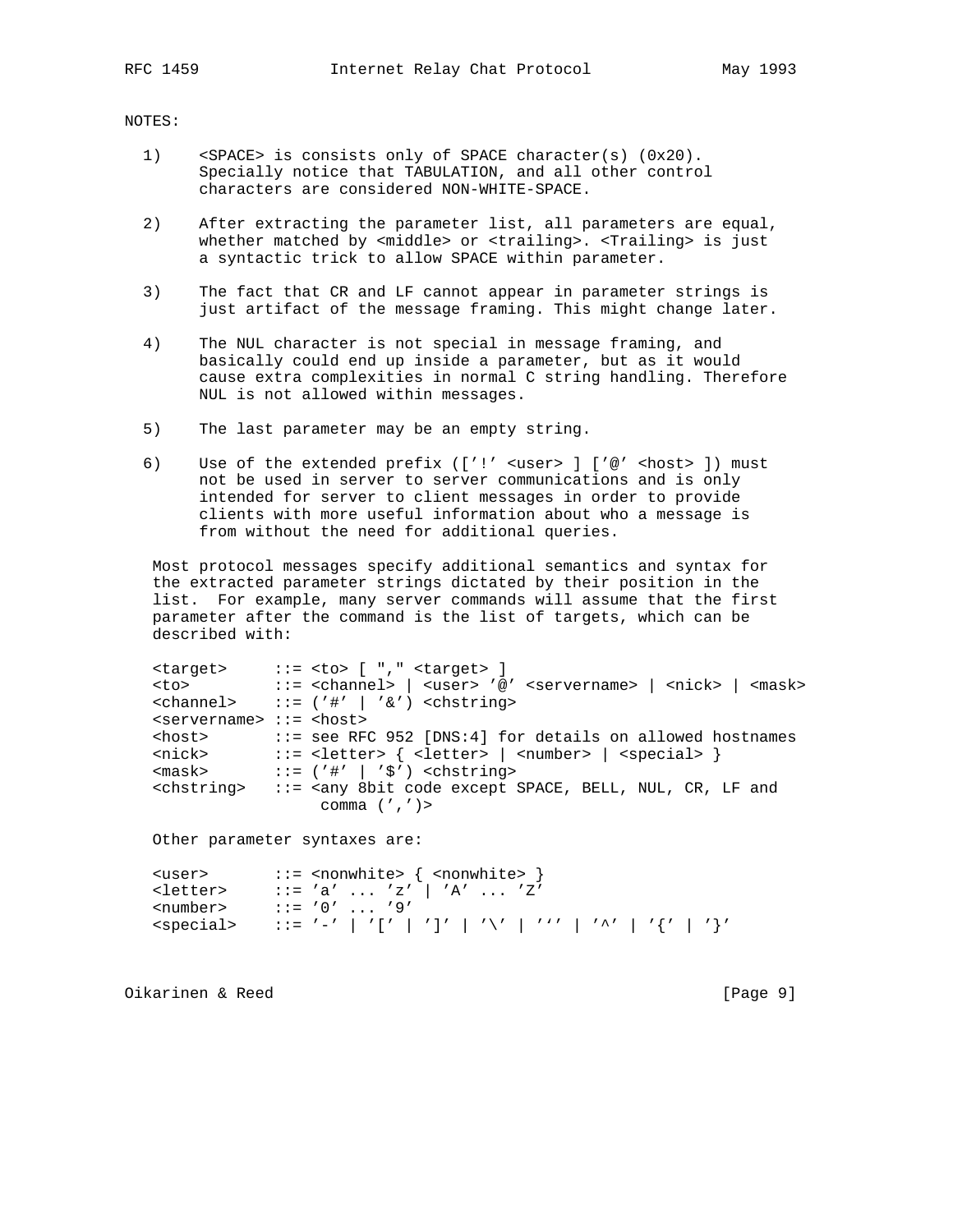#### NOTES:

- 1) <SPACE> is consists only of SPACE character(s) (0x20). Specially notice that TABULATION, and all other control characters are considered NON-WHITE-SPACE.
- 2) After extracting the parameter list, all parameters are equal, whether matched by <middle> or <trailing>. <Trailing> is just a syntactic trick to allow SPACE within parameter.
- 3) The fact that CR and LF cannot appear in parameter strings is just artifact of the message framing. This might change later.
- 4) The NUL character is not special in message framing, and basically could end up inside a parameter, but as it would cause extra complexities in normal C string handling. Therefore NUL is not allowed within messages.
- 5) The last parameter may be an empty string.
- 6) Use of the extended prefix (['!' <user> ] ['@' <host> ]) must not be used in server to server communications and is only intended for server to client messages in order to provide clients with more useful information about who a message is from without the need for additional queries.

 Most protocol messages specify additional semantics and syntax for the extracted parameter strings dictated by their position in the list. For example, many server commands will assume that the first parameter after the command is the list of targets, which can be described with:

|                                                           | $\langle target \rangle$ ::= $\langle to \rangle$ [ "," $\langle target \rangle$ ]                                    |
|-----------------------------------------------------------|-----------------------------------------------------------------------------------------------------------------------|
|                                                           | <to> ::= <channel>   <user> '@' <servername>   <nick>   <mask></mask></nick></servername></user></channel></to>       |
|                                                           | <channel> <math>::= ('#'   '&amp;')</math> <chstring></chstring></channel>                                            |
| $\langle$ servername> $\cdot\cdot\cdot$ = $\langle$ host> |                                                                                                                       |
| <host></host>                                             | ::= see RFC 952 [DNS:4] for details on allowed hostnames                                                              |
| <nick></nick>                                             | ::= <letter> { <letter>   <number>   <special> }</special></number></letter></letter>                                 |
| $<$ mas $k>$                                              | $::=$ ('#'   '\$') < chstring>                                                                                        |
|                                                           | <chstring> ::= <any 8bit="" and<="" bell,="" code="" cr,="" except="" lf="" nul,="" space,="" td=""></any></chstring> |
|                                                           | comma $(','')$                                                                                                        |
|                                                           |                                                                                                                       |

Other parameter syntaxes are:

| <user></user>       | $ ::=$ <nonwhite> { <nonwhite> }</nonwhite></nonwhite>          |
|---------------------|-----------------------------------------------------------------|
| <letter></letter>   | $\because$ 'a'  'z'   'A'  'Z'                                  |
| <number></number>   | $::= '0'  '9'$                                                  |
| <special></special> | │ : := '-' │ '[' │ ']' │ '\' │ ''' │ '^' │ '^' │ ''   '{' │ '}' |

Oikarinen & Reed [Page 9]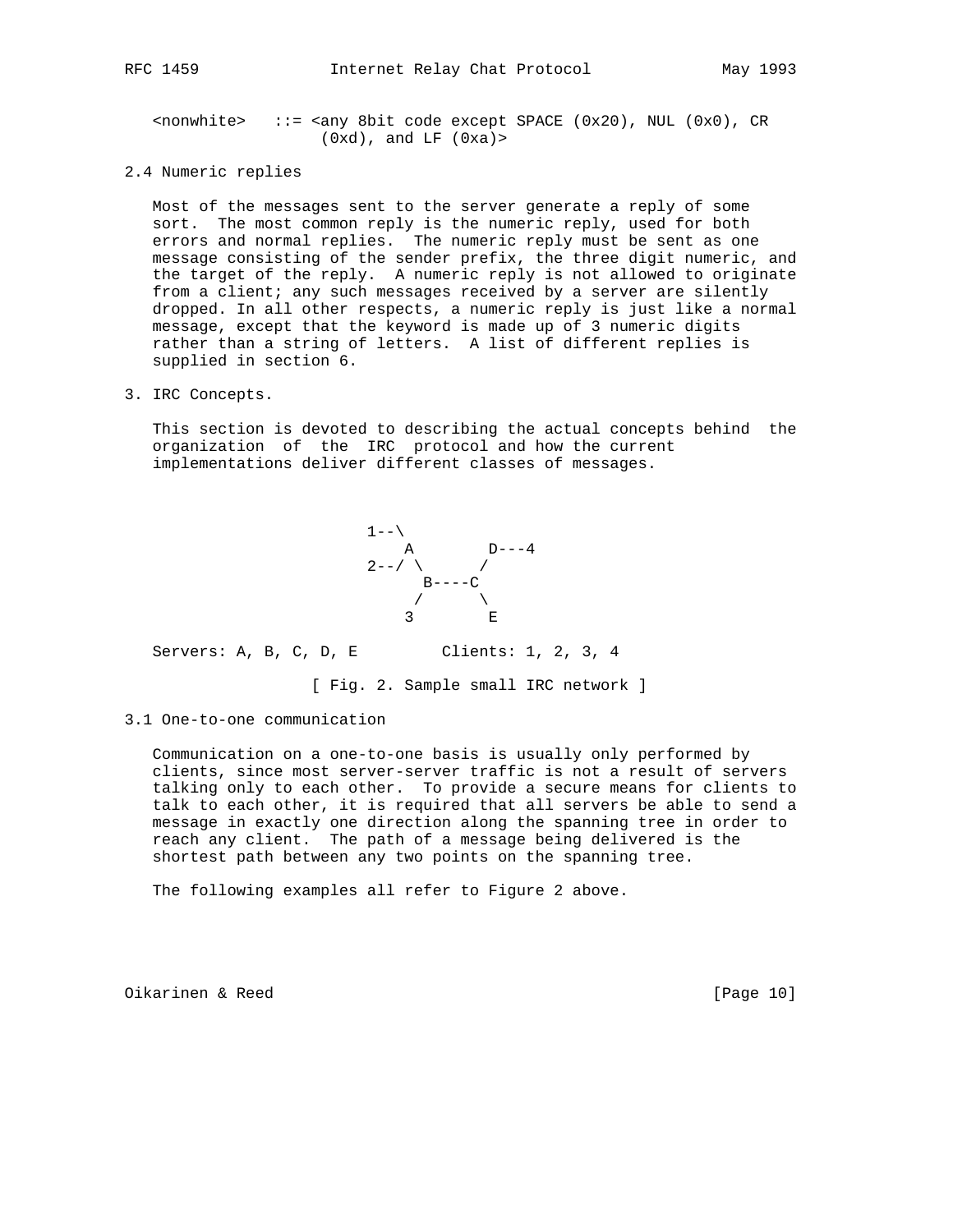$\{1, 2, \ldots\}$  ::=  $\{2, 2, \ldots\}$  and  $\{1, 2, \ldots\}$  and  $\{1, 2, \ldots\}$  and  $\{1, 2, \ldots\}$  and  $\{1, 2, \ldots\}$  and  $\{1, 2, \ldots\}$  and  $\{1, 2, \ldots\}$  and  $\{1, 2, \ldots\}$  and  $\{1, 2, \ldots\}$  and  $\{1, 2, \ldots\}$  and  $\{1, 2, \ldots\$  $(0xd)$ , and LF  $(0xa)$ 

2.4 Numeric replies

 Most of the messages sent to the server generate a reply of some sort. The most common reply is the numeric reply, used for both errors and normal replies. The numeric reply must be sent as one message consisting of the sender prefix, the three digit numeric, and the target of the reply. A numeric reply is not allowed to originate from a client; any such messages received by a server are silently dropped. In all other respects, a numeric reply is just like a normal message, except that the keyword is made up of 3 numeric digits rather than a string of letters. A list of different replies is supplied in section 6.

3. IRC Concepts.

 This section is devoted to describing the actual concepts behind the organization of the IRC protocol and how the current implementations deliver different classes of messages.



Servers: A, B, C, D, E Clients: 1, 2, 3, 4

[ Fig. 2. Sample small IRC network ]

3.1 One-to-one communication

 Communication on a one-to-one basis is usually only performed by clients, since most server-server traffic is not a result of servers talking only to each other. To provide a secure means for clients to talk to each other, it is required that all servers be able to send a message in exactly one direction along the spanning tree in order to reach any client. The path of a message being delivered is the shortest path between any two points on the spanning tree.

The following examples all refer to Figure 2 above.

Oikarinen & Reed [Page 10]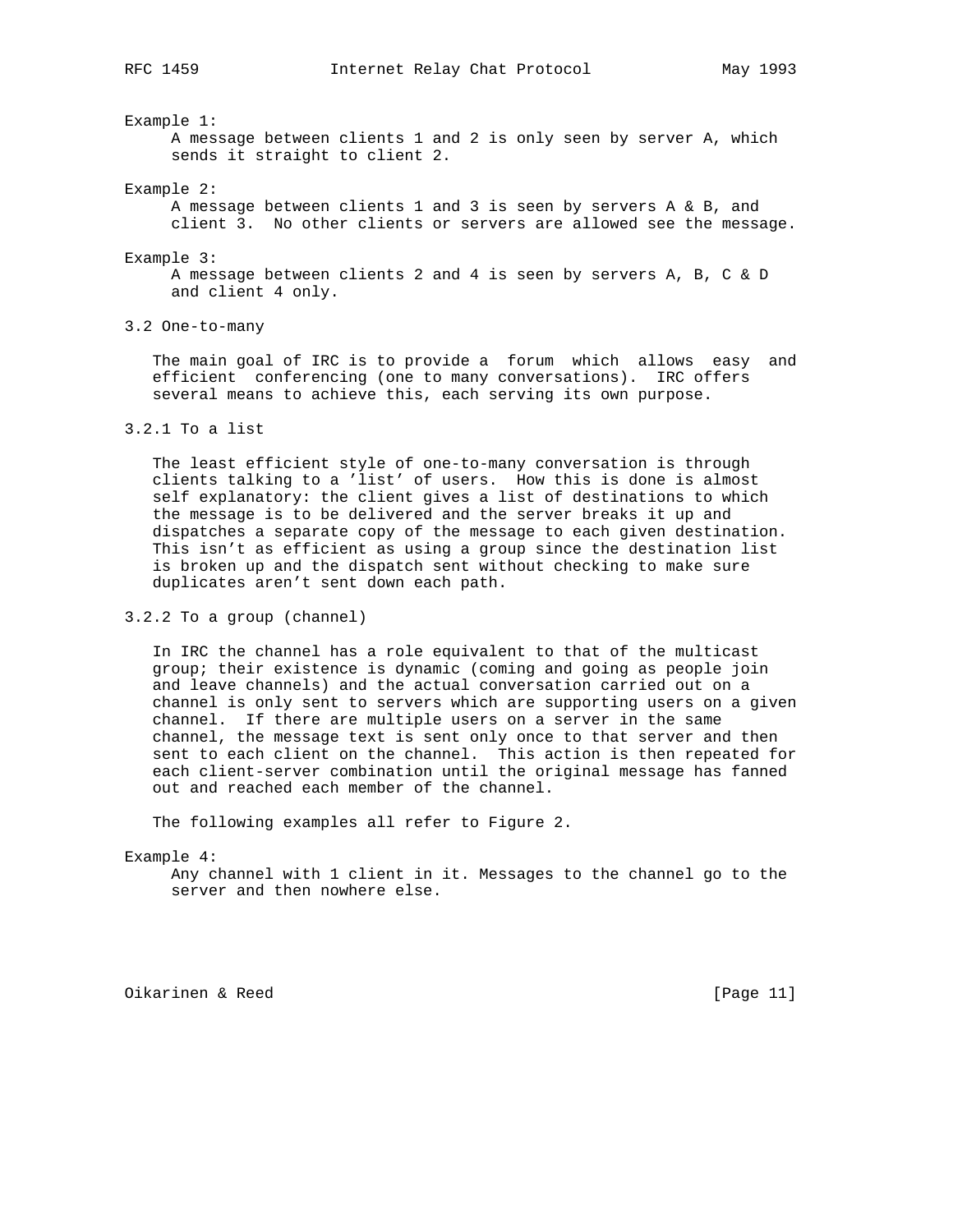Example 1:

 A message between clients 1 and 2 is only seen by server A, which sends it straight to client 2.

Example 2:

 A message between clients 1 and 3 is seen by servers A & B, and client 3. No other clients or servers are allowed see the message.

Example 3:

 A message between clients 2 and 4 is seen by servers A, B, C & D and client 4 only.

3.2 One-to-many

 The main goal of IRC is to provide a forum which allows easy and efficient conferencing (one to many conversations). IRC offers several means to achieve this, each serving its own purpose.

#### 3.2.1 To a list

 The least efficient style of one-to-many conversation is through clients talking to a 'list' of users. How this is done is almost self explanatory: the client gives a list of destinations to which the message is to be delivered and the server breaks it up and dispatches a separate copy of the message to each given destination. This isn't as efficient as using a group since the destination list is broken up and the dispatch sent without checking to make sure duplicates aren't sent down each path.

3.2.2 To a group (channel)

 In IRC the channel has a role equivalent to that of the multicast group; their existence is dynamic (coming and going as people join and leave channels) and the actual conversation carried out on a channel is only sent to servers which are supporting users on a given channel. If there are multiple users on a server in the same channel, the message text is sent only once to that server and then sent to each client on the channel. This action is then repeated for each client-server combination until the original message has fanned out and reached each member of the channel.

The following examples all refer to Figure 2.

Example 4:

 Any channel with 1 client in it. Messages to the channel go to the server and then nowhere else.

Oikarinen & Reed [Page 11]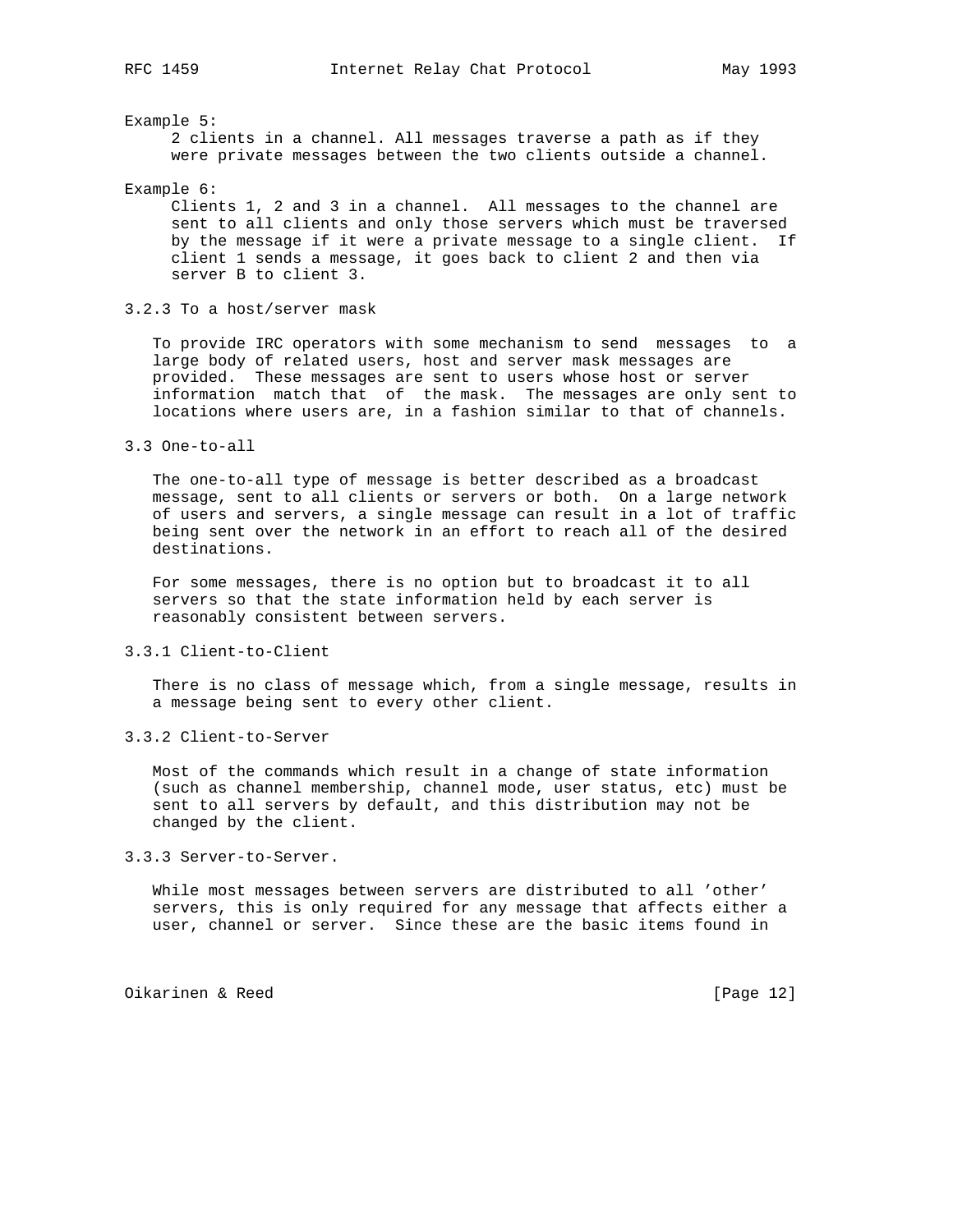Example 5:

 2 clients in a channel. All messages traverse a path as if they were private messages between the two clients outside a channel.

Example 6:

 Clients 1, 2 and 3 in a channel. All messages to the channel are sent to all clients and only those servers which must be traversed by the message if it were a private message to a single client. If client 1 sends a message, it goes back to client 2 and then via server B to client 3.

3.2.3 To a host/server mask

 To provide IRC operators with some mechanism to send messages to a large body of related users, host and server mask messages are provided. These messages are sent to users whose host or server information match that of the mask. The messages are only sent to locations where users are, in a fashion similar to that of channels.

 The one-to-all type of message is better described as a broadcast message, sent to all clients or servers or both. On a large network of users and servers, a single message can result in a lot of traffic being sent over the network in an effort to reach all of the desired destinations.

 For some messages, there is no option but to broadcast it to all servers so that the state information held by each server is reasonably consistent between servers.

3.3.1 Client-to-Client

 There is no class of message which, from a single message, results in a message being sent to every other client.

3.3.2 Client-to-Server

 Most of the commands which result in a change of state information (such as channel membership, channel mode, user status, etc) must be sent to all servers by default, and this distribution may not be changed by the client.

3.3.3 Server-to-Server.

 While most messages between servers are distributed to all 'other' servers, this is only required for any message that affects either a user, channel or server. Since these are the basic items found in

Oikarinen & Reed [Page 12]

<sup>3.3</sup> One-to-all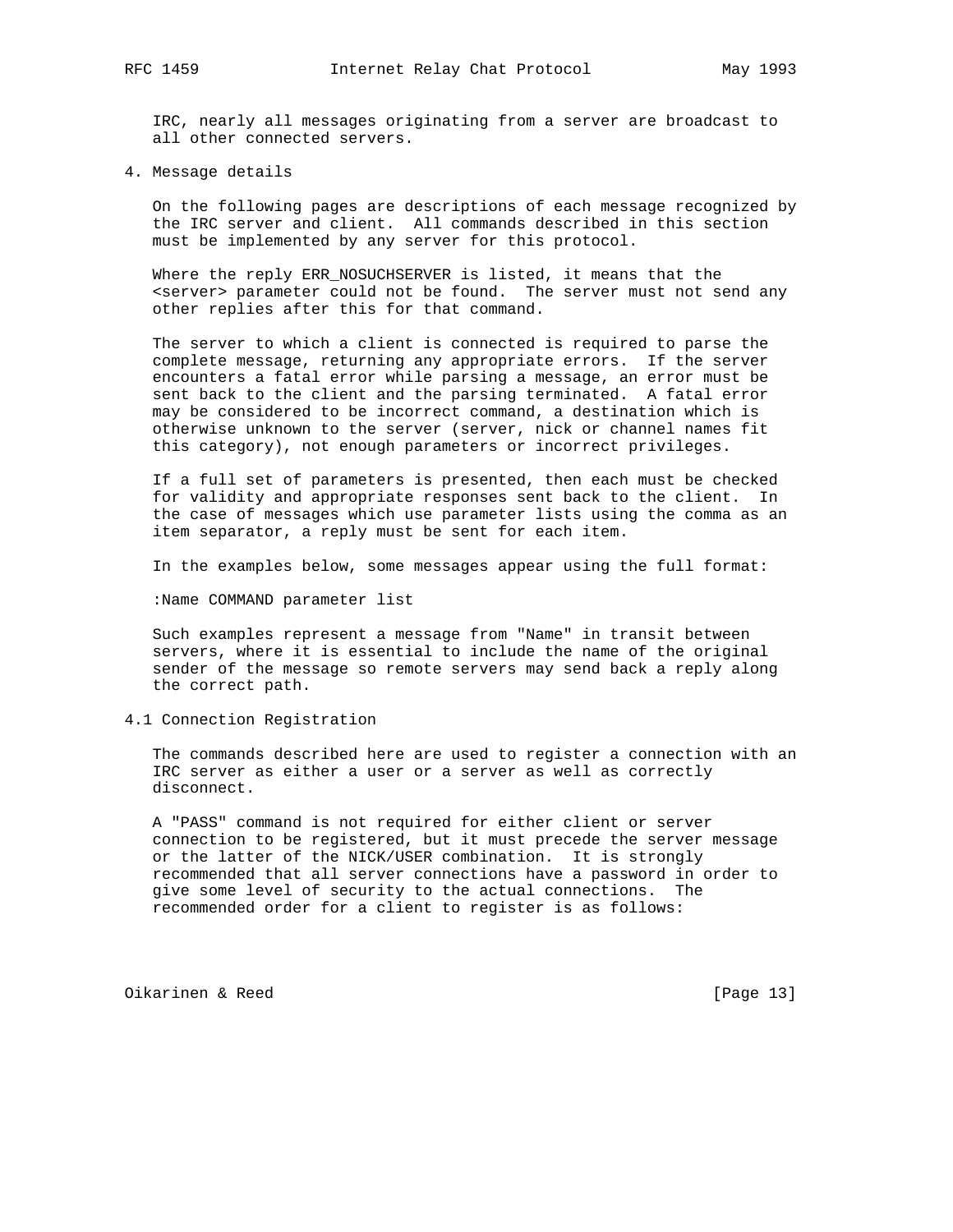IRC, nearly all messages originating from a server are broadcast to all other connected servers.

4. Message details

 On the following pages are descriptions of each message recognized by the IRC server and client. All commands described in this section must be implemented by any server for this protocol.

 Where the reply ERR\_NOSUCHSERVER is listed, it means that the <server> parameter could not be found. The server must not send any other replies after this for that command.

 The server to which a client is connected is required to parse the complete message, returning any appropriate errors. If the server encounters a fatal error while parsing a message, an error must be sent back to the client and the parsing terminated. A fatal error may be considered to be incorrect command, a destination which is otherwise unknown to the server (server, nick or channel names fit this category), not enough parameters or incorrect privileges.

 If a full set of parameters is presented, then each must be checked for validity and appropriate responses sent back to the client. In the case of messages which use parameter lists using the comma as an item separator, a reply must be sent for each item.

In the examples below, some messages appear using the full format:

:Name COMMAND parameter list

 Such examples represent a message from "Name" in transit between servers, where it is essential to include the name of the original sender of the message so remote servers may send back a reply along the correct path.

4.1 Connection Registration

 The commands described here are used to register a connection with an IRC server as either a user or a server as well as correctly disconnect.

 A "PASS" command is not required for either client or server connection to be registered, but it must precede the server message or the latter of the NICK/USER combination. It is strongly recommended that all server connections have a password in order to give some level of security to the actual connections. The recommended order for a client to register is as follows:

Oikarinen & Reed [Page 13]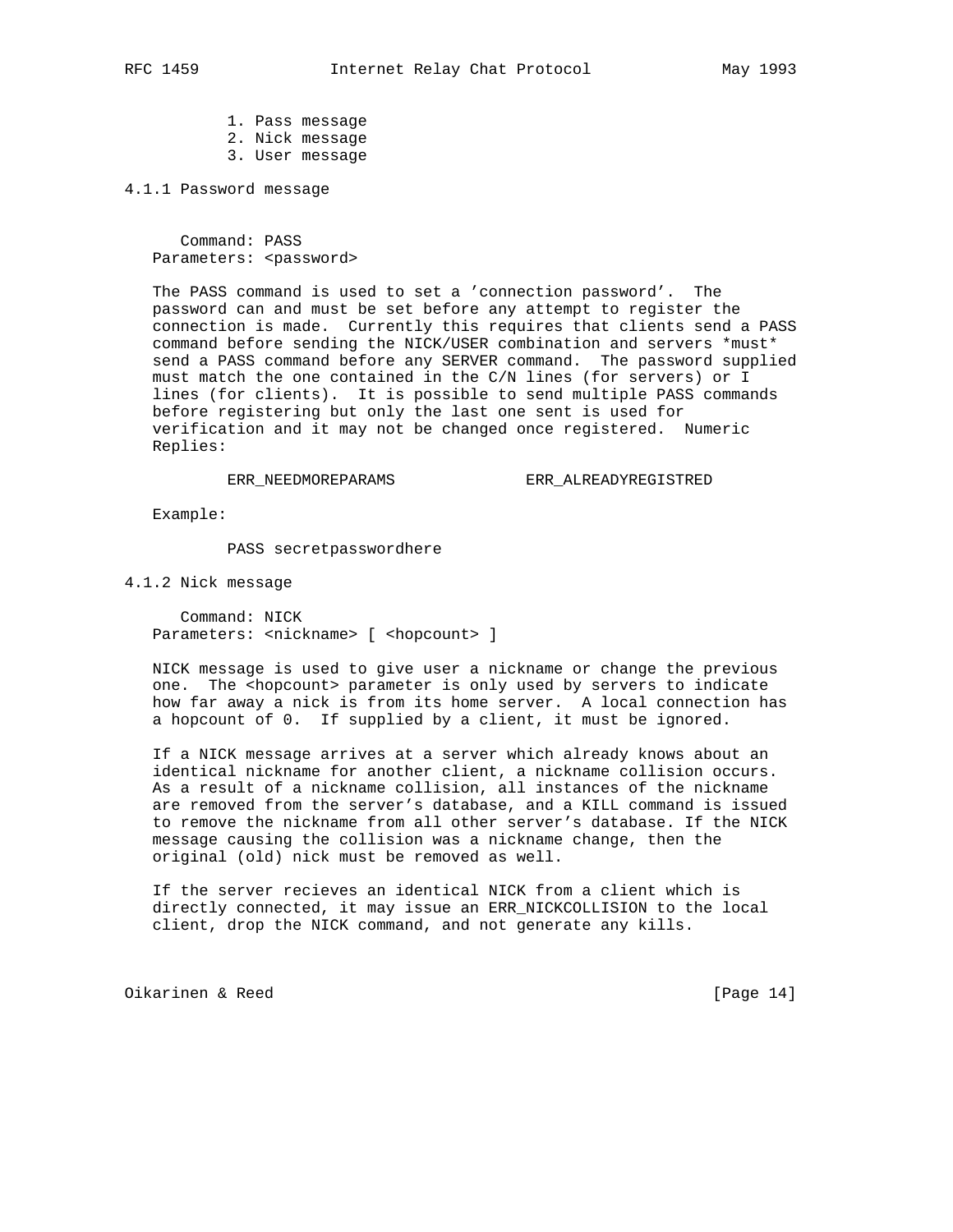1. Pass message 2. Nick message 3. User message

4.1.1 Password message

 Command: PASS Parameters: <password>

 The PASS command is used to set a 'connection password'. The password can and must be set before any attempt to register the connection is made. Currently this requires that clients send a PASS command before sending the NICK/USER combination and servers \*must\* send a PASS command before any SERVER command. The password supplied must match the one contained in the C/N lines (for servers) or I lines (for clients). It is possible to send multiple PASS commands before registering but only the last one sent is used for verification and it may not be changed once registered. Numeric Replies:

ERR\_NEEDMOREPARAMS ERR\_ALREADYREGISTRED

Example:

PASS secretpasswordhere

4.1.2 Nick message

 Command: NICK Parameters: <nickname> [ <hopcount> ]

 NICK message is used to give user a nickname or change the previous one. The <hopcount> parameter is only used by servers to indicate how far away a nick is from its home server. A local connection has a hopcount of 0. If supplied by a client, it must be ignored.

 If a NICK message arrives at a server which already knows about an identical nickname for another client, a nickname collision occurs. As a result of a nickname collision, all instances of the nickname are removed from the server's database, and a KILL command is issued to remove the nickname from all other server's database. If the NICK message causing the collision was a nickname change, then the original (old) nick must be removed as well.

 If the server recieves an identical NICK from a client which is directly connected, it may issue an ERR\_NICKCOLLISION to the local client, drop the NICK command, and not generate any kills.

Oikarinen & Reed [Page 14]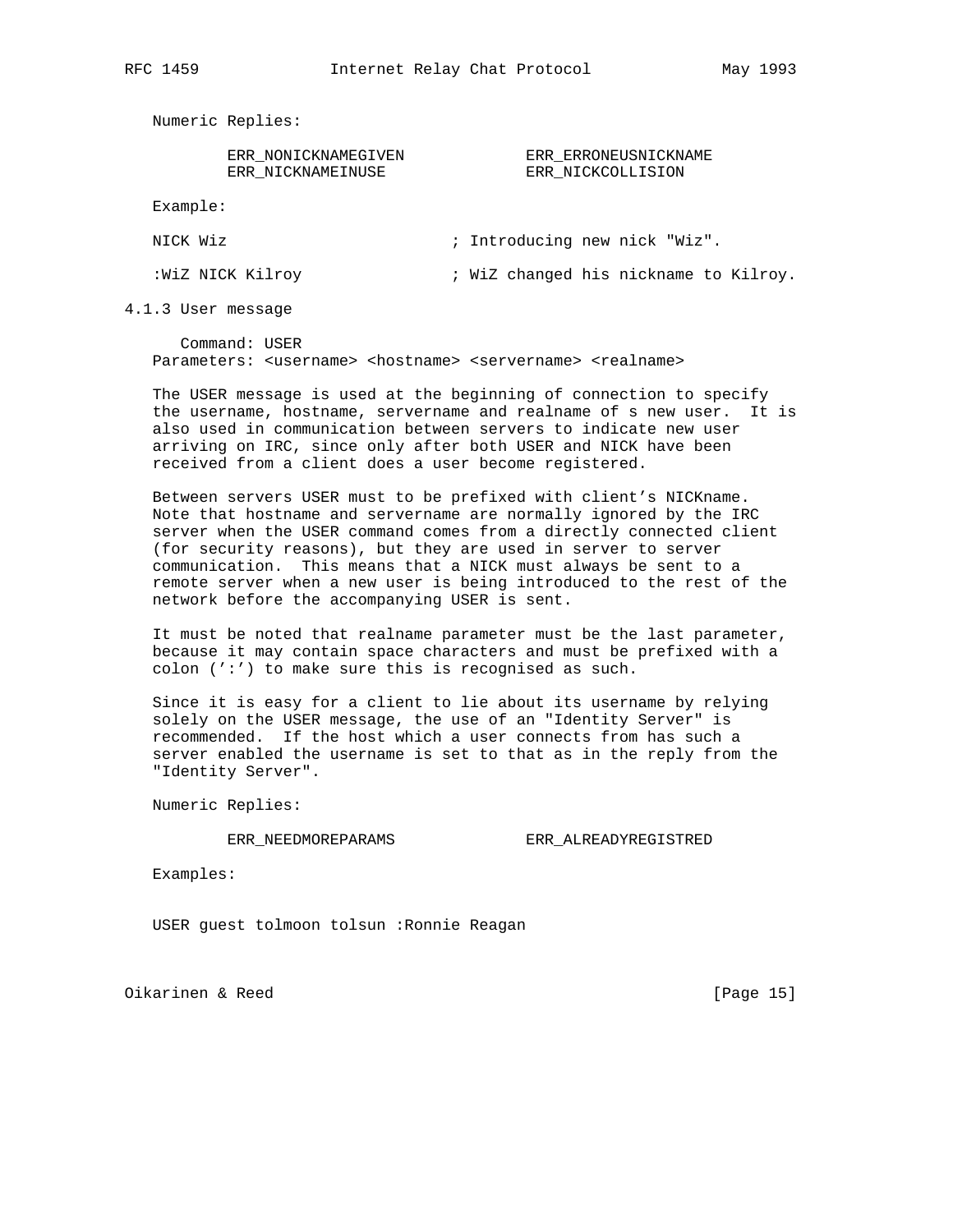Numeric Replies:

| ERR NONICKNAMEGIVEN |
|---------------------|
| ERR NICKNAMEINUSE   |

ERR\_NONICKNAMEGIVEN ERR\_ERRONEUSNICKNAME<br>ERR\_NICKNAMEINUSE ERR\_NICKCOLLISION ERR\_NICKCOLLISION

Example:

| NICK Wiz | ; Introducing new nick "Wiz" |
|----------|------------------------------|
|          |                              |

:WiZ NICK Kilroy  $\cdot$  WiZ changed his nickname to Kilroy.

4.1.3 User message

 Command: USER Parameters: <username> <hostname> <servername> <realname>

 The USER message is used at the beginning of connection to specify the username, hostname, servername and realname of s new user. It is also used in communication between servers to indicate new user arriving on IRC, since only after both USER and NICK have been received from a client does a user become registered.

 Between servers USER must to be prefixed with client's NICKname. Note that hostname and servername are normally ignored by the IRC server when the USER command comes from a directly connected client (for security reasons), but they are used in server to server communication. This means that a NICK must always be sent to a remote server when a new user is being introduced to the rest of the network before the accompanying USER is sent.

 It must be noted that realname parameter must be the last parameter, because it may contain space characters and must be prefixed with a colon (':') to make sure this is recognised as such.

 Since it is easy for a client to lie about its username by relying solely on the USER message, the use of an "Identity Server" is recommended. If the host which a user connects from has such a server enabled the username is set to that as in the reply from the "Identity Server".

Numeric Replies:

ERR\_NEEDMOREPARAMS ERR\_ALREADYREGISTRED

Examples:

USER guest tolmoon tolsun :Ronnie Reagan

Oikarinen & Reed [Page 15]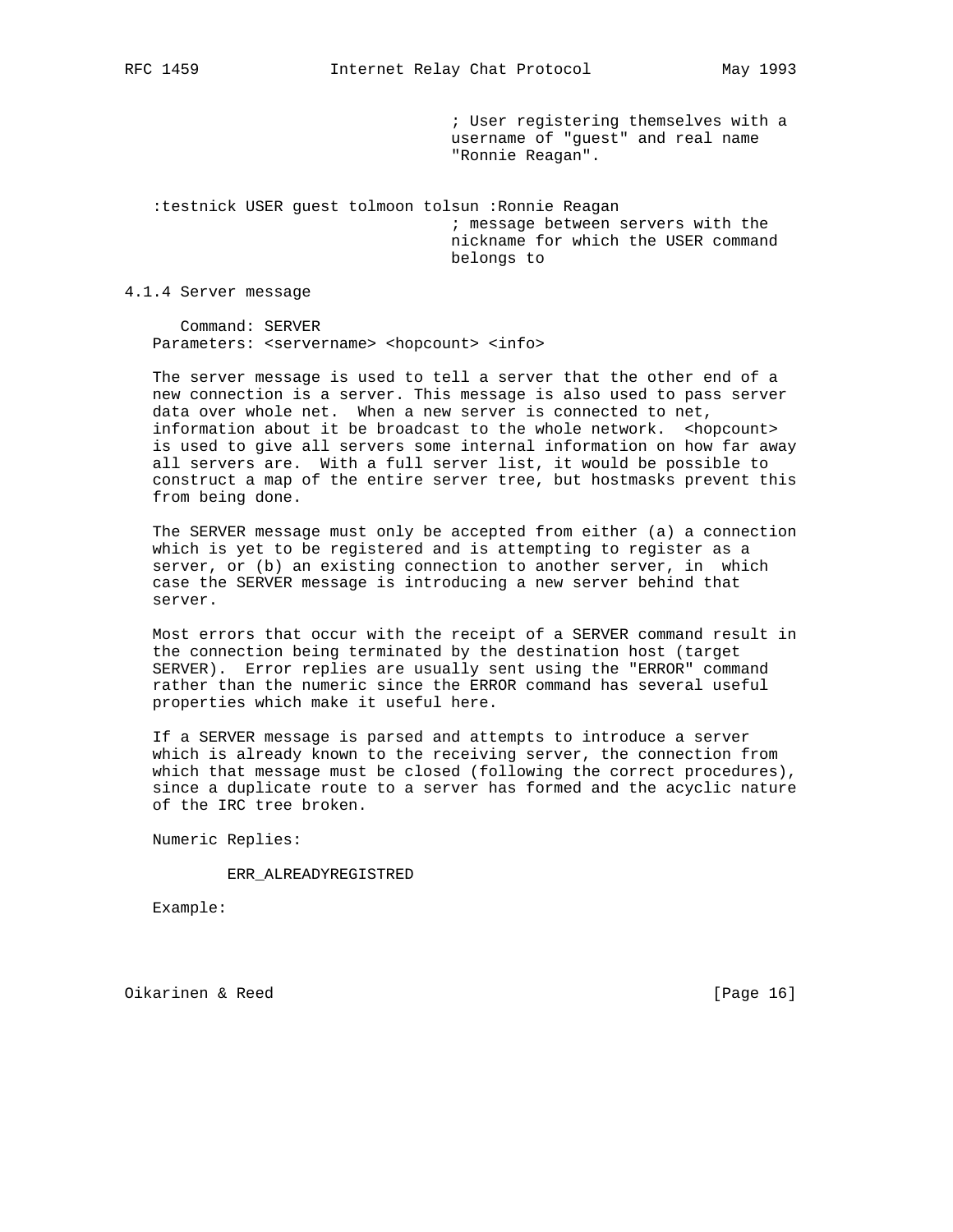; User registering themselves with a username of "guest" and real name "Ronnie Reagan".

 :testnick USER guest tolmoon tolsun :Ronnie Reagan ; message between servers with the nickname for which the USER command belongs to

4.1.4 Server message

 Command: SERVER Parameters: <servername> <hopcount> <info>

 The server message is used to tell a server that the other end of a new connection is a server. This message is also used to pass server data over whole net. When a new server is connected to net, information about it be broadcast to the whole network. <hopcount> is used to give all servers some internal information on how far away all servers are. With a full server list, it would be possible to construct a map of the entire server tree, but hostmasks prevent this from being done.

 The SERVER message must only be accepted from either (a) a connection which is yet to be registered and is attempting to register as a server, or (b) an existing connection to another server, in which case the SERVER message is introducing a new server behind that server.

 Most errors that occur with the receipt of a SERVER command result in the connection being terminated by the destination host (target SERVER). Error replies are usually sent using the "ERROR" command rather than the numeric since the ERROR command has several useful properties which make it useful here.

 If a SERVER message is parsed and attempts to introduce a server which is already known to the receiving server, the connection from which that message must be closed (following the correct procedures), since a duplicate route to a server has formed and the acyclic nature of the IRC tree broken.

Numeric Replies:

ERR\_ALREADYREGISTRED

Example:

Oikarinen & Reed [Page 16]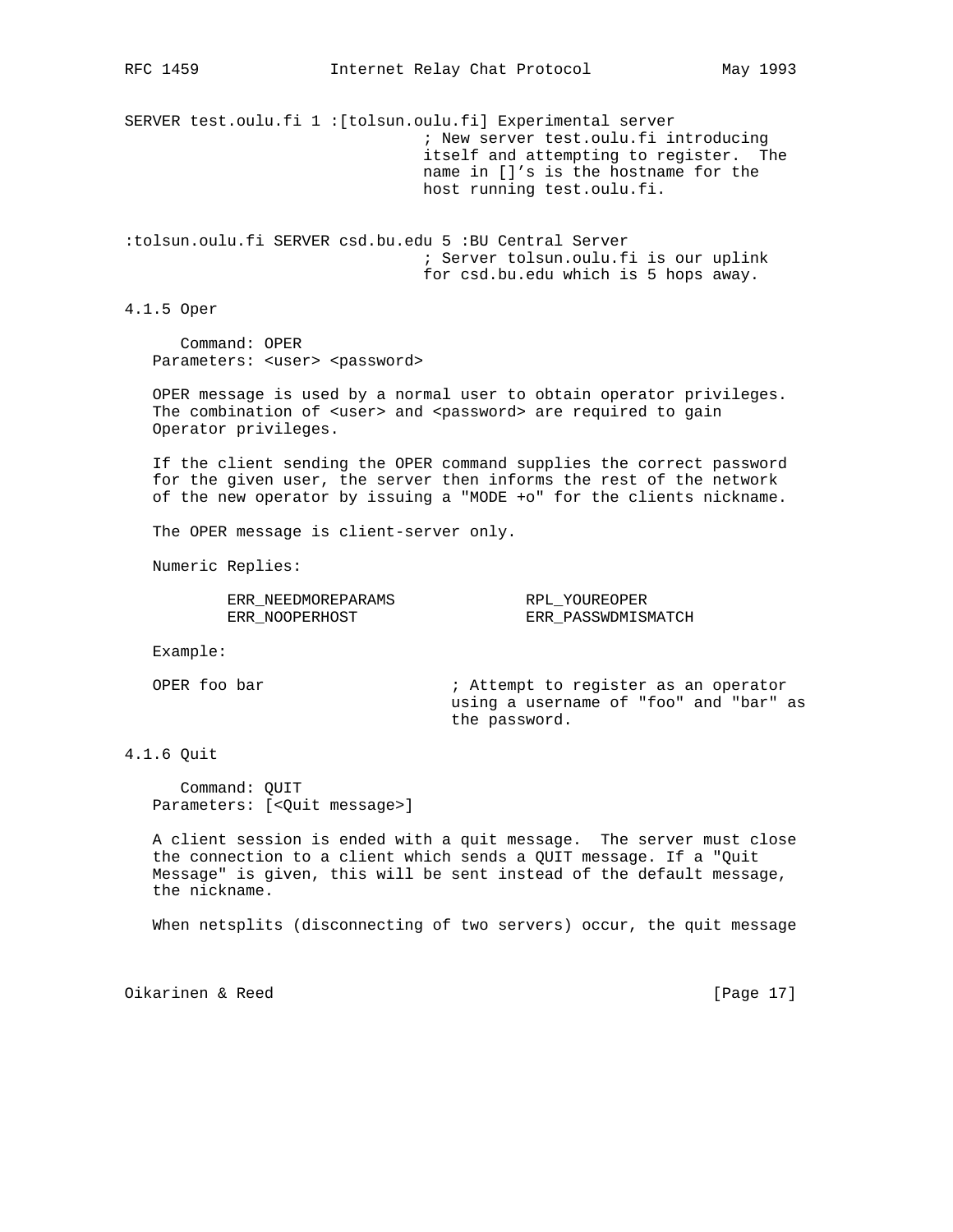SERVER test.oulu.fi 1 :[tolsun.oulu.fi] Experimental server ; New server test.oulu.fi introducing itself and attempting to register. The name in []'s is the hostname for the host running test.oulu.fi.

:tolsun.oulu.fi SERVER csd.bu.edu 5 :BU Central Server ; Server tolsun.oulu.fi is our uplink for csd.bu.edu which is 5 hops away.

4.1.5 Oper

 Command: OPER Parameters: <user> <password>

 OPER message is used by a normal user to obtain operator privileges. The combination of <user> and <password> are required to gain Operator privileges.

 If the client sending the OPER command supplies the correct password for the given user, the server then informs the rest of the network of the new operator by issuing a "MODE +o" for the clients nickname.

The OPER message is client-server only.

Numeric Replies:

| ERR NEEDMOREPARAMS | RPL YOUREOPER      |
|--------------------|--------------------|
| ERR NOOPERHOST     | ERR PASSWDMISMATCH |

Example:

OPER foo bar  $\qquad \qquad ;$  Attempt to register as an operator using a username of "foo" and "bar" as the password.

4.1.6 Quit

 Command: QUIT Parameters: [<Quit message>]

 A client session is ended with a quit message. The server must close the connection to a client which sends a QUIT message. If a "Quit Message" is given, this will be sent instead of the default message, the nickname.

When netsplits (disconnecting of two servers) occur, the quit message

Oikarinen & Reed [Page 17]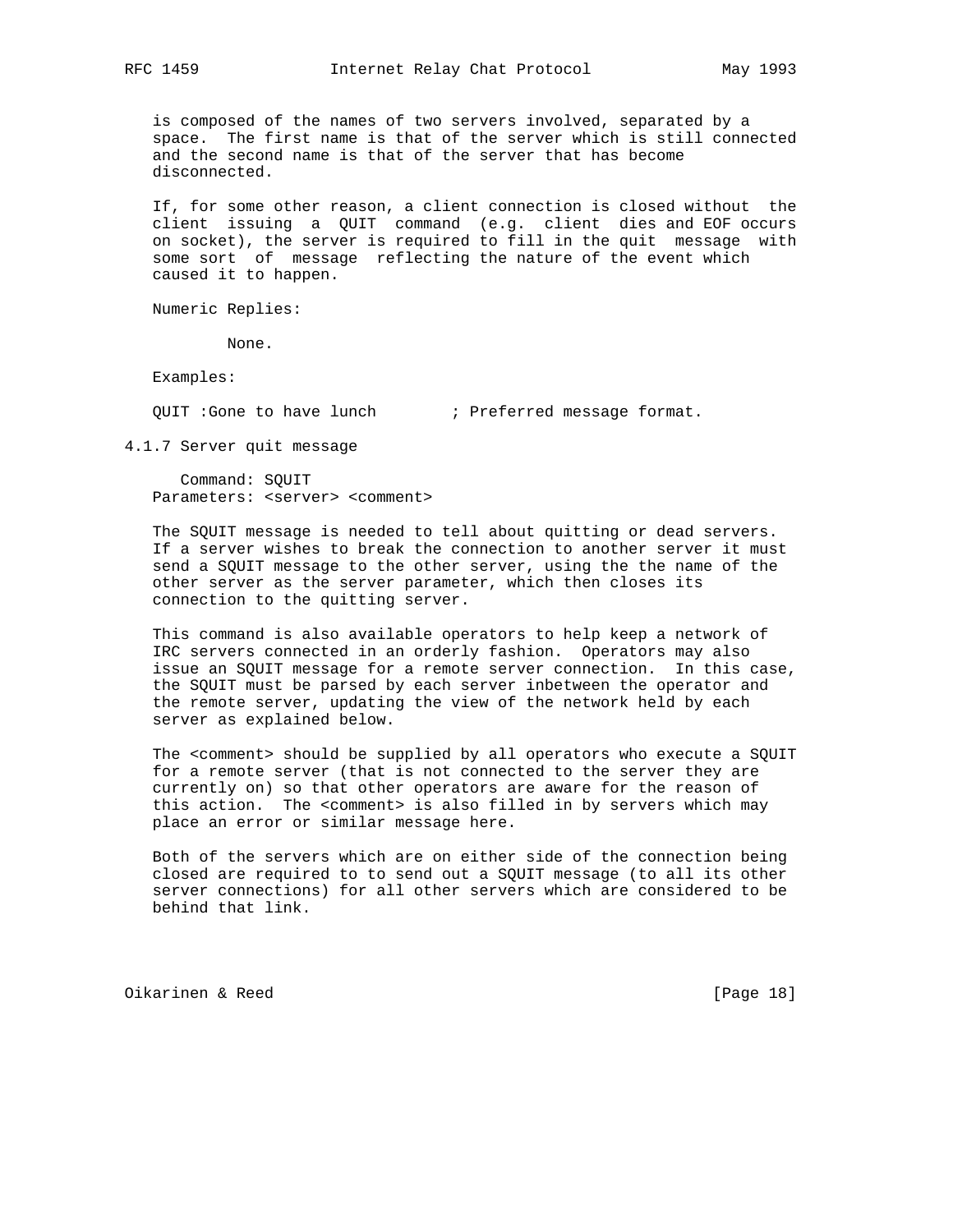is composed of the names of two servers involved, separated by a space. The first name is that of the server which is still connected and the second name is that of the server that has become disconnected.

 If, for some other reason, a client connection is closed without the client issuing a QUIT command (e.g. client dies and EOF occurs on socket), the server is required to fill in the quit message with some sort of message reflecting the nature of the event which caused it to happen.

Numeric Replies:

None.

Examples:

QUIT :Gone to have lunch ; Preferred message format.

4.1.7 Server quit message

 Command: SQUIT Parameters: <server> <comment>

 The SQUIT message is needed to tell about quitting or dead servers. If a server wishes to break the connection to another server it must send a SQUIT message to the other server, using the the name of the other server as the server parameter, which then closes its connection to the quitting server.

 This command is also available operators to help keep a network of IRC servers connected in an orderly fashion. Operators may also issue an SQUIT message for a remote server connection. In this case, the SQUIT must be parsed by each server inbetween the operator and the remote server, updating the view of the network held by each server as explained below.

The <comment> should be supplied by all operators who execute a SQUIT for a remote server (that is not connected to the server they are currently on) so that other operators are aware for the reason of this action. The <comment> is also filled in by servers which may place an error or similar message here.

 Both of the servers which are on either side of the connection being closed are required to to send out a SQUIT message (to all its other server connections) for all other servers which are considered to be behind that link.

Oikarinen & Reed [Page 18]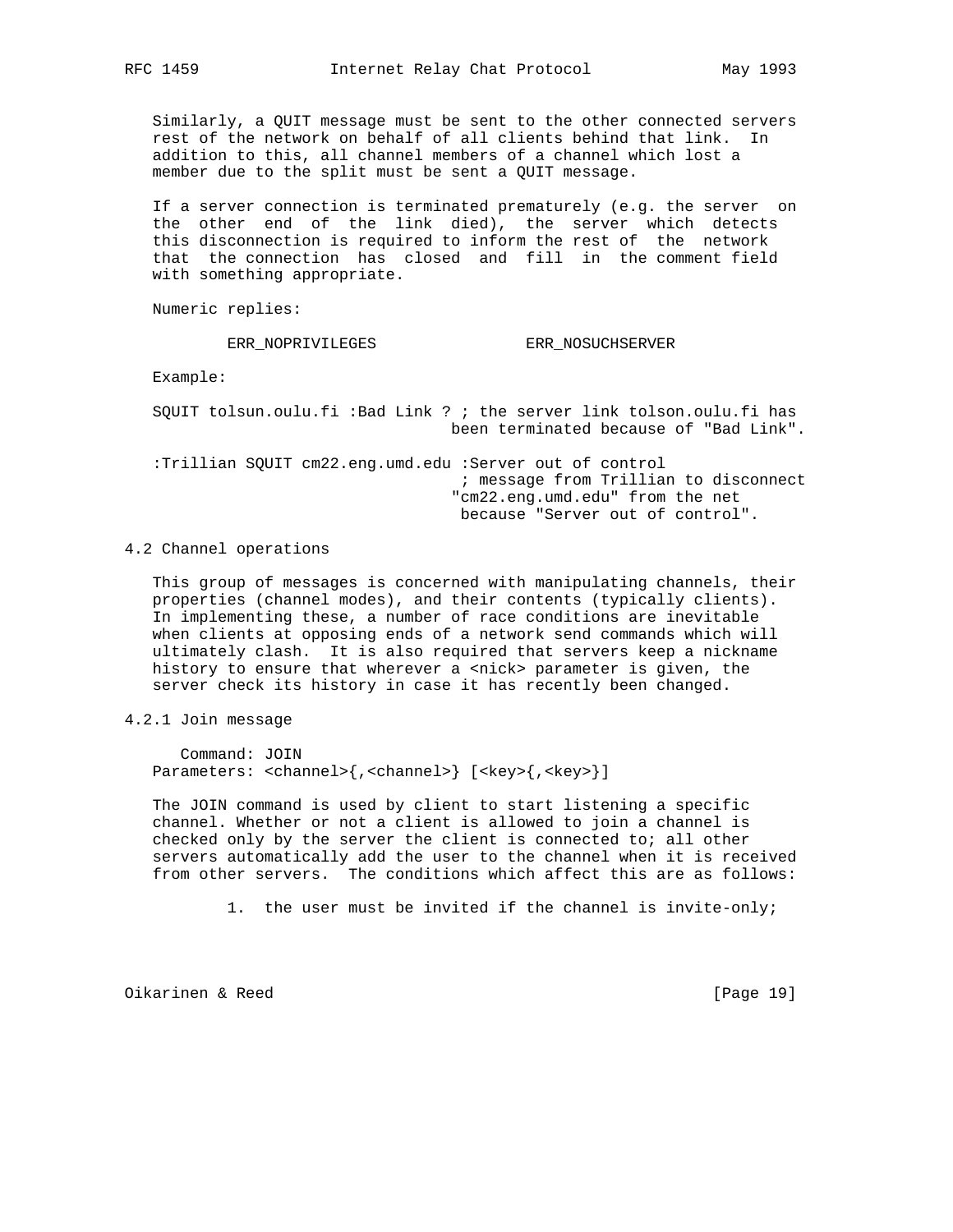Similarly, a QUIT message must be sent to the other connected servers rest of the network on behalf of all clients behind that link. In addition to this, all channel members of a channel which lost a member due to the split must be sent a QUIT message.

 If a server connection is terminated prematurely (e.g. the server on the other end of the link died), the server which detects this disconnection is required to inform the rest of the network that the connection has closed and fill in the comment field with something appropriate.

Numeric replies:

ERR\_NOPRIVILEGES ERR\_NOSUCHSERVER

Example:

 SQUIT tolsun.oulu.fi :Bad Link ? ; the server link tolson.oulu.fi has been terminated because of "Bad Link".

 :Trillian SQUIT cm22.eng.umd.edu :Server out of control ; message from Trillian to disconnect "cm22.eng.umd.edu" from the net because "Server out of control".

4.2 Channel operations

 This group of messages is concerned with manipulating channels, their properties (channel modes), and their contents (typically clients). In implementing these, a number of race conditions are inevitable when clients at opposing ends of a network send commands which will ultimately clash. It is also required that servers keep a nickname history to ensure that wherever a <nick> parameter is given, the server check its history in case it has recently been changed.

4.2.1 Join message

 Command: JOIN Parameters: <channel>{,<channel>} [<key>{,<key>}]

 The JOIN command is used by client to start listening a specific channel. Whether or not a client is allowed to join a channel is checked only by the server the client is connected to; all other servers automatically add the user to the channel when it is received from other servers. The conditions which affect this are as follows:

1. the user must be invited if the channel is invite-only;

Oikarinen & Reed [Page 19]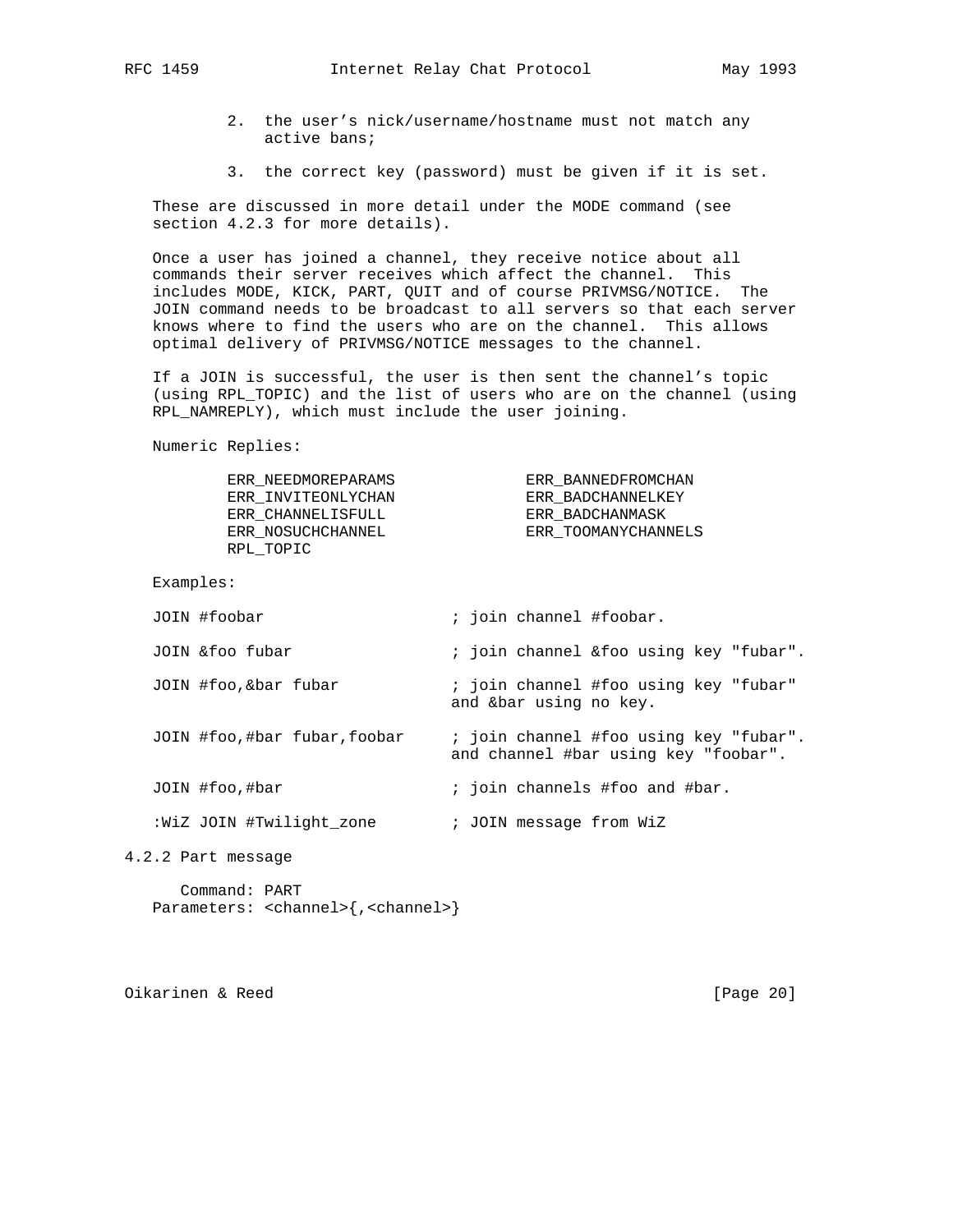- 2. the user's nick/username/hostname must not match any active bans;
- 3. the correct key (password) must be given if it is set.

 These are discussed in more detail under the MODE command (see section 4.2.3 for more details).

 Once a user has joined a channel, they receive notice about all commands their server receives which affect the channel. This includes MODE, KICK, PART, QUIT and of course PRIVMSG/NOTICE. The JOIN command needs to be broadcast to all servers so that each server knows where to find the users who are on the channel. This allows optimal delivery of PRIVMSG/NOTICE messages to the channel.

 If a JOIN is successful, the user is then sent the channel's topic (using RPL\_TOPIC) and the list of users who are on the channel (using RPL NAMREPLY), which must include the user joining.

Numeric Replies:

 ERR\_NEEDMOREPARAMS ERR\_BANNEDFROMCHAN ERR\_INVITEONLYCHAN ERR\_BADCHANNELKEY ERR\_CHANNELISFULL ERR\_BADCHANMASK ERR\_NOSUCHCHANNEL ERR\_TOOMANYCHANNELS RPL\_TOPIC

```
 Examples:
```

| JOIN #foobar                | ; join channel #foobar.                                                        |
|-----------------------------|--------------------------------------------------------------------------------|
| JOIN & foo fubar            | ; join channel &foo using key "fubar".                                         |
| JOIN #foo, &bar fubar       | ; join channel #foo using key "fubar"<br>and &bar using no key.                |
| JOIN #foo,#bar fubar,foobar | ; join channel #foo using key "fubar".<br>and channel #bar using key "foobar". |
| JOIN #foo,#bar              | ; join channels #foo and #bar.                                                 |
| :WiZ JOIN #Twilight zone    | ; JOIN message from WiZ                                                        |

4.2.2 Part message

 Command: PART Parameters: <channel>{,<channel>}

Oikarinen & Reed [Page 20]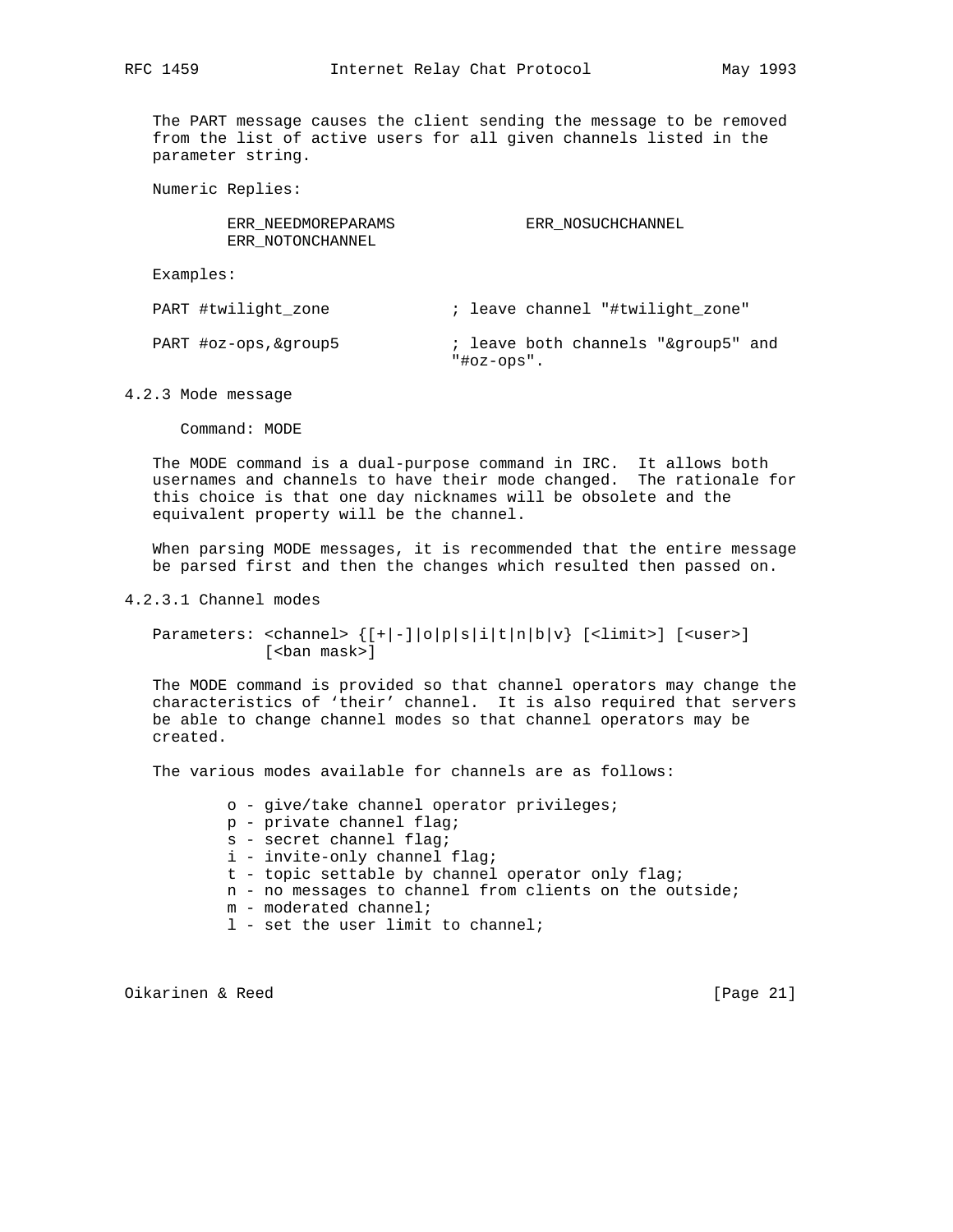The PART message causes the client sending the message to be removed from the list of active users for all given channels listed in the parameter string.

Numeric Replies:

| ERR NEEDMOREPARAMS | ERR NOSUCHCHANNEL |
|--------------------|-------------------|
| ERR NOTONCHANNEL   |                   |
|                    |                   |

Examples:

PART #twilight\_zone ; leave channel "#twilight\_zone"

PART #oz-ops, &group5  $\qquad$  ; leave both channels "&group5" and "#oz-ops".

4.2.3 Mode message

Command: MODE

 The MODE command is a dual-purpose command in IRC. It allows both usernames and channels to have their mode changed. The rationale for this choice is that one day nicknames will be obsolete and the equivalent property will be the channel.

 When parsing MODE messages, it is recommended that the entire message be parsed first and then the changes which resulted then passed on.

4.2.3.1 Channel modes

Parameters: <channel>  $\{[+|-] \, |o|p|s|i|t|n|b|v\}$  [<limit>] [<user>] [<ban mask>]

 The MODE command is provided so that channel operators may change the characteristics of 'their' channel. It is also required that servers be able to change channel modes so that channel operators may be created.

The various modes available for channels are as follows:

- o give/take channel operator privileges;
- p private channel flag;
- s secret channel flag;
- i invite-only channel flag;
- t topic settable by channel operator only flag;
- n no messages to channel from clients on the outside;
- m moderated channel;
- l set the user limit to channel;

Oikarinen & Reed [Page 21]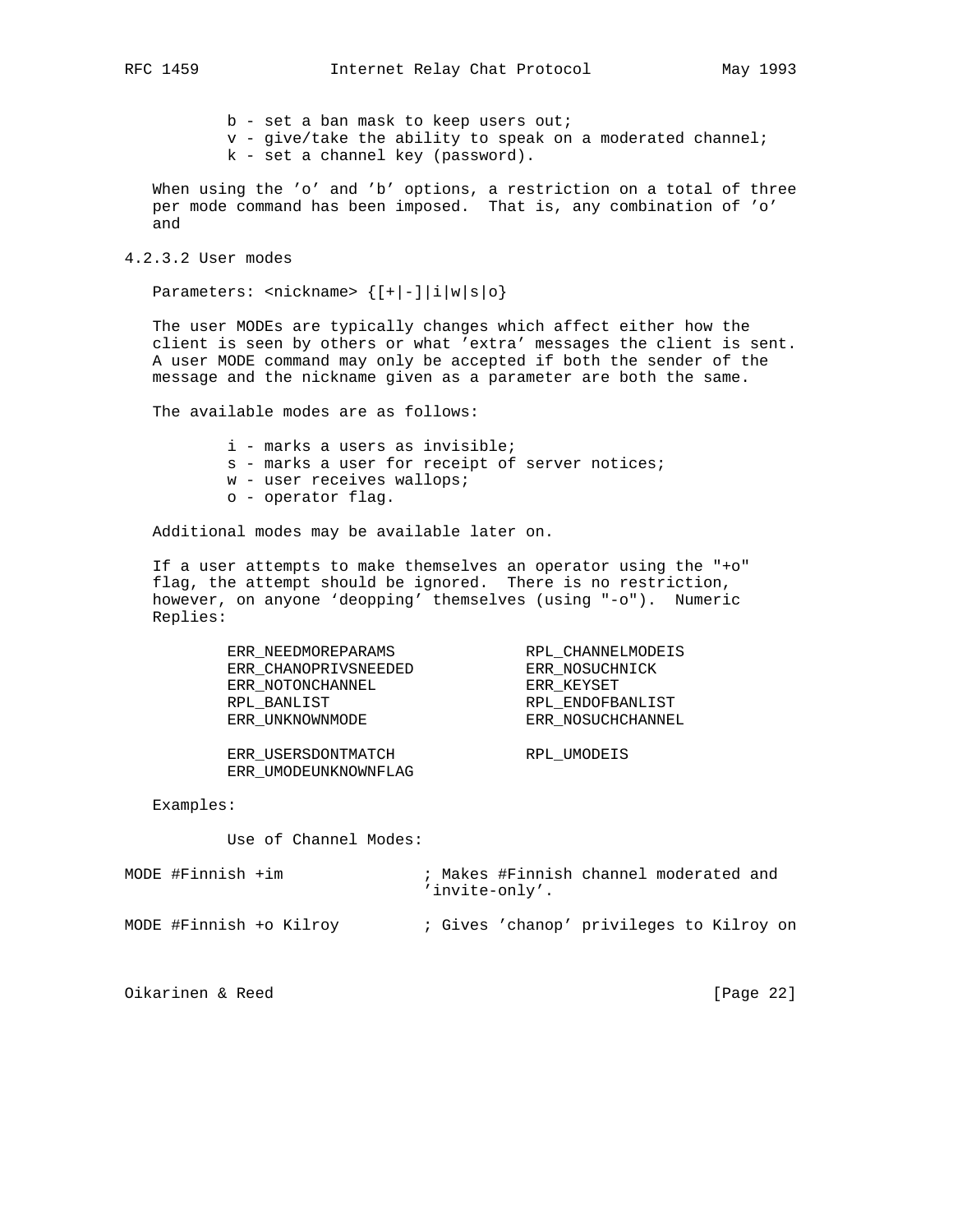b - set a ban mask to keep users out;

v - give/take the ability to speak on a moderated channel;

k - set a channel key (password).

 When using the 'o' and 'b' options, a restriction on a total of three per mode command has been imposed. That is, any combination of 'o' and

4.2.3.2 User modes

Parameters:  $\langle \text{nickname} \rangle$  { $[+|-] |i|w|s|o$ }

 The user MODEs are typically changes which affect either how the client is seen by others or what 'extra' messages the client is sent. A user MODE command may only be accepted if both the sender of the message and the nickname given as a parameter are both the same.

The available modes are as follows:

i - marks a users as invisible;

- s marks a user for receipt of server notices;
- w user receives wallops;
- o operator flag.

Additional modes may be available later on.

 If a user attempts to make themselves an operator using the "+o" flag, the attempt should be ignored. There is no restriction, however, on anyone 'deopping' themselves (using "-o"). Numeric Replies:

| ERR NEEDMOREPARAMS   | RPL CHANNELMODEIS |
|----------------------|-------------------|
| ERR CHANOPRIVSNEEDED | ERR NOSUCHNICK    |
| ERR NOTONCHANNEL     | ERR KEYSET        |
| RPL BANLIST          | RPL ENDOFBANLIST  |
| ERR UNKNOWNMODE      | ERR NOSUCHCHANNEL |
|                      |                   |
| ERR USERSDONTMATCH   | RPL UMODEIS       |
| ERR UMODEUNKNOWNFLAG |                   |

Examples:

Use of Channel Modes:

| MODE #Finnish $+im$ |                         |  | ; Makes #Finnish channel moderated and<br>'invite-only'. |  |  |  |
|---------------------|-------------------------|--|----------------------------------------------------------|--|--|--|
|                     | MODE #Finnish +o Kilroy |  | ; Gives 'chanop' privileges to Kilroy on                 |  |  |  |

Oikarinen & Reed [Page 22]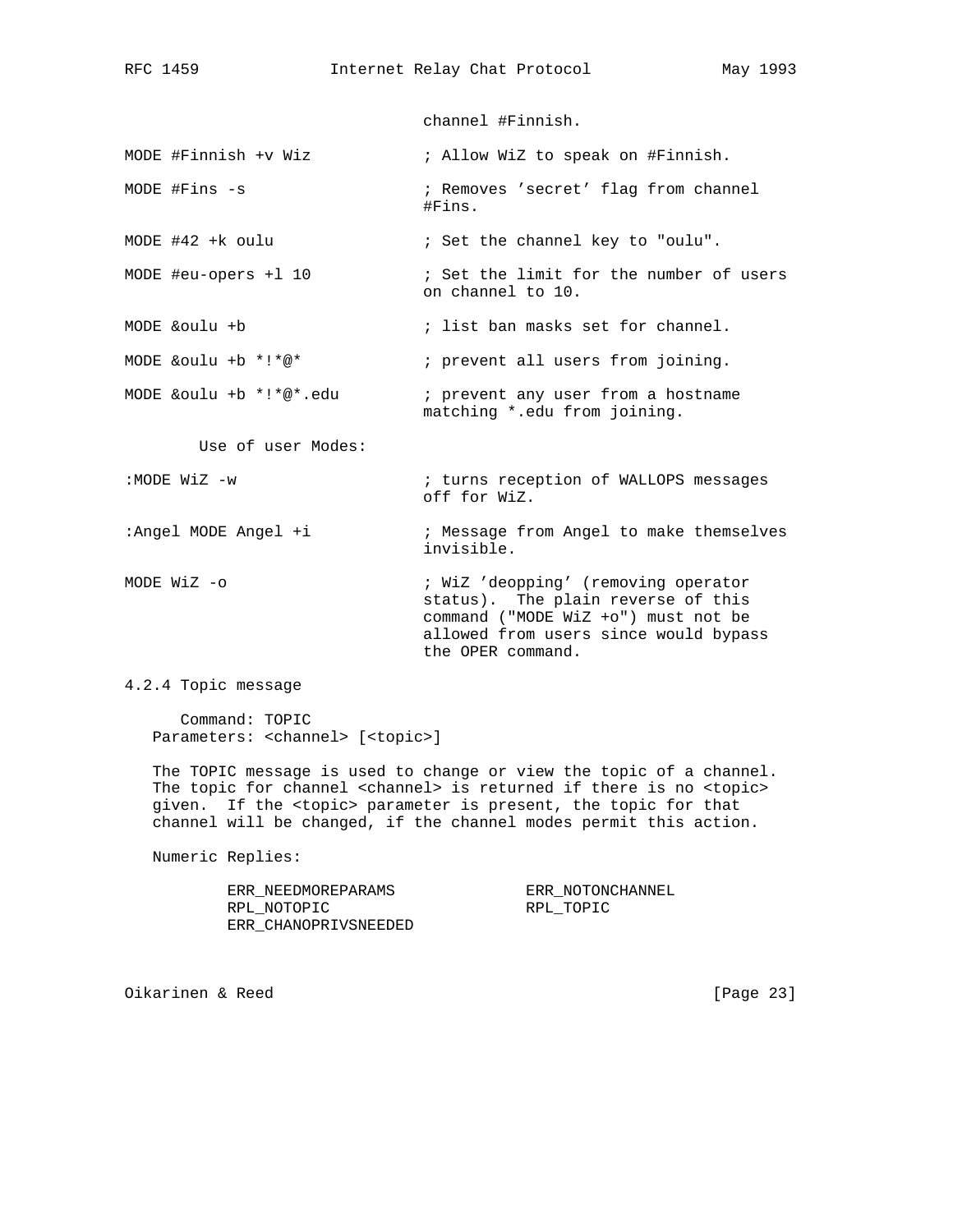channel #Finnish.

MODE #Finnish +v Wiz : Allow WiZ to speak on #Finnish.

MODE #Fins -s  $\qquad \qquad ;$  Removes 'secret' flag from channel #Fins.

MODE #42 +k oulu  $\qquad \qquad ;$  Set the channel key to "oulu".

MODE #eu-opers +1 10  $\qquad \qquad ;$  Set the limit for the number of users on channel to 10.

MODE &oulu +b ; list ban masks set for channel.

MODE &oulu +b \*!\*@\* ; prevent all users from joining.

MODE &oulu +b \*!\*@\*.edu ; prevent any user from a hostname matching \*.edu from joining.

Use of user Modes:

: MODE WiZ -w  $\qquad \qquad ;$  turns reception of WALLOPS messages off for WiZ.

:Angel MODE Angel +i  $\qquad \qquad ;$  Message from Angel to make themselves invisible.

MODE WiZ -o  $\cdot$  WiZ 'deopping' (removing operator status). The plain reverse of this command ("MODE WiZ +o") must not be allowed from users since would bypass the OPER command.

4.2.4 Topic message

 Command: TOPIC Parameters: <channel> [<topic>]

 The TOPIC message is used to change or view the topic of a channel. The topic for channel <channel> is returned if there is no <topic> given. If the <topic> parameter is present, the topic for that channel will be changed, if the channel modes permit this action.

Numeric Replies:

 ERR\_NEEDMOREPARAMS ERR\_NOTONCHANNEL RPL\_NOTOPIC RPL\_TOPIC ERR\_CHANOPRIVSNEEDED

Oikarinen & Reed [Page 23]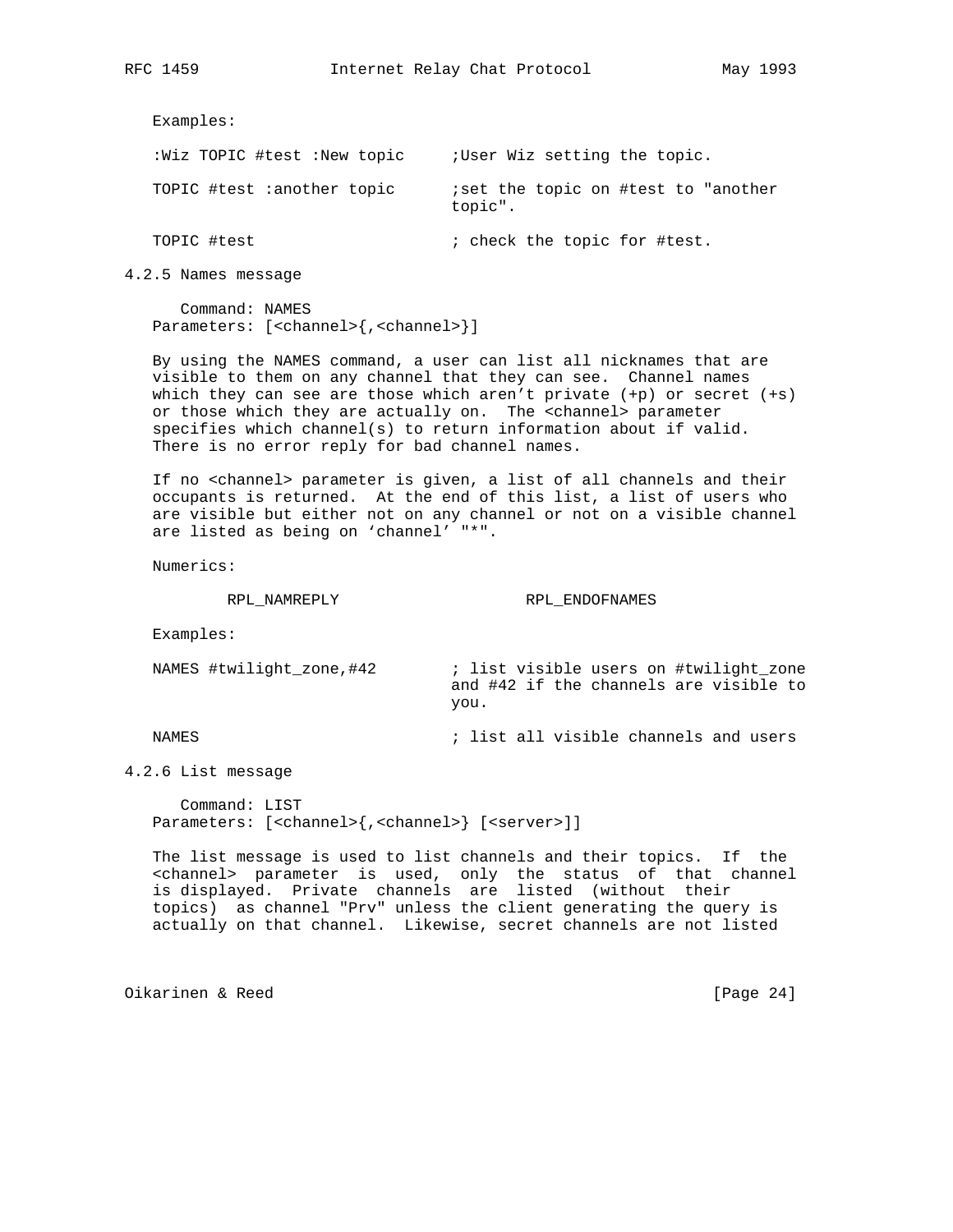Examples:

| :Wiz TOPIC #test :New topic | ; User Wiz setting the topic.                   |
|-----------------------------|-------------------------------------------------|
| TOPIC #test :another topic  | iset the topic on #test to "another"<br>topic". |
| TOPIC #test                 | ; check the topic for #test.                    |

4.2.5 Names message

 Command: NAMES Parameters: [<channel>{,<channel>}]

 By using the NAMES command, a user can list all nicknames that are visible to them on any channel that they can see. Channel names which they can see are those which aren't private (+p) or secret (+s) or those which they are actually on. The <channel> parameter specifies which channel(s) to return information about if valid. There is no error reply for bad channel names.

 If no <channel> parameter is given, a list of all channels and their occupants is returned. At the end of this list, a list of users who are visible but either not on any channel or not on a visible channel are listed as being on 'channel' "\*".

Numerics:

RPL\_NAMREPLY RPL\_ENDOFNAMES

Examples:

 NAMES #twilight\_zone,#42 ; list visible users on #twilight\_zone and #42 if the channels are visible to you.

NAMES  $\qquad \qquad ;$  list all visible channels and users

4.2.6 List message

 Command: LIST Parameters: [<channel>{,<channel>} [<server>]]

 The list message is used to list channels and their topics. If the <channel> parameter is used, only the status of that channel is displayed. Private channels are listed (without their topics) as channel "Prv" unless the client generating the query is actually on that channel. Likewise, secret channels are not listed

Oikarinen & Reed [Page 24]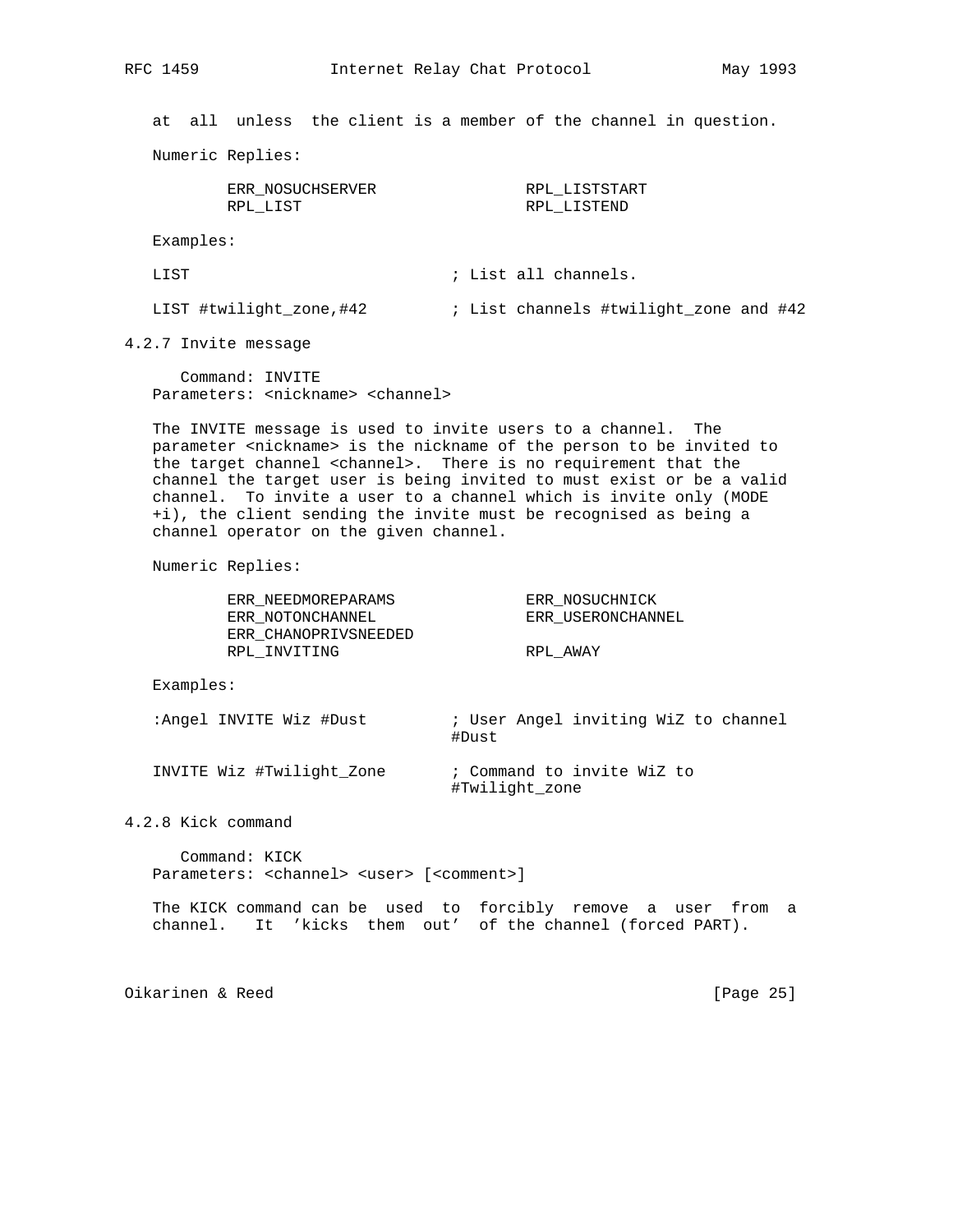at all unless the client is a member of the channel in question.

Numeric Replies:

| ERR NOSUCHSERVER | RPL LISTSTART |
|------------------|---------------|
| RPL LIST         | RPL LISTEND   |

Examples:

LIST  $\qquad \qquad ;$  List all channels.

LIST #twilight\_zone,#42 ; List channels #twilight\_zone and #42

4.2.7 Invite message

 Command: INVITE Parameters: <nickname> <channel>

 The INVITE message is used to invite users to a channel. The parameter <nickname> is the nickname of the person to be invited to the target channel <channel>. There is no requirement that the channel the target user is being invited to must exist or be a valid channel. To invite a user to a channel which is invite only (MODE +i), the client sending the invite must be recognised as being a channel operator on the given channel.

Numeric Replies:

| ERR NEEDMOREPARAMS   | ERR NOSUCHNICK    |
|----------------------|-------------------|
| ERR NOTONCHANNEL     | ERR USERONCHANNEL |
| ERR CHANOPRIVSNEEDED |                   |
| RPL INVITING         | RPL AWAY          |

Examples:

:Angel INVITE Wiz #Dust : User Angel inviting WiZ to channel #Dust

 INVITE Wiz #Twilight\_Zone ; Command to invite WiZ to #Twilight\_zone

4.2.8 Kick command

 Command: KICK Parameters: <channel> <user> [<comment>]

 The KICK command can be used to forcibly remove a user from a channel. It 'kicks them out' of the channel (forced PART).

Oikarinen & Reed [Page 25]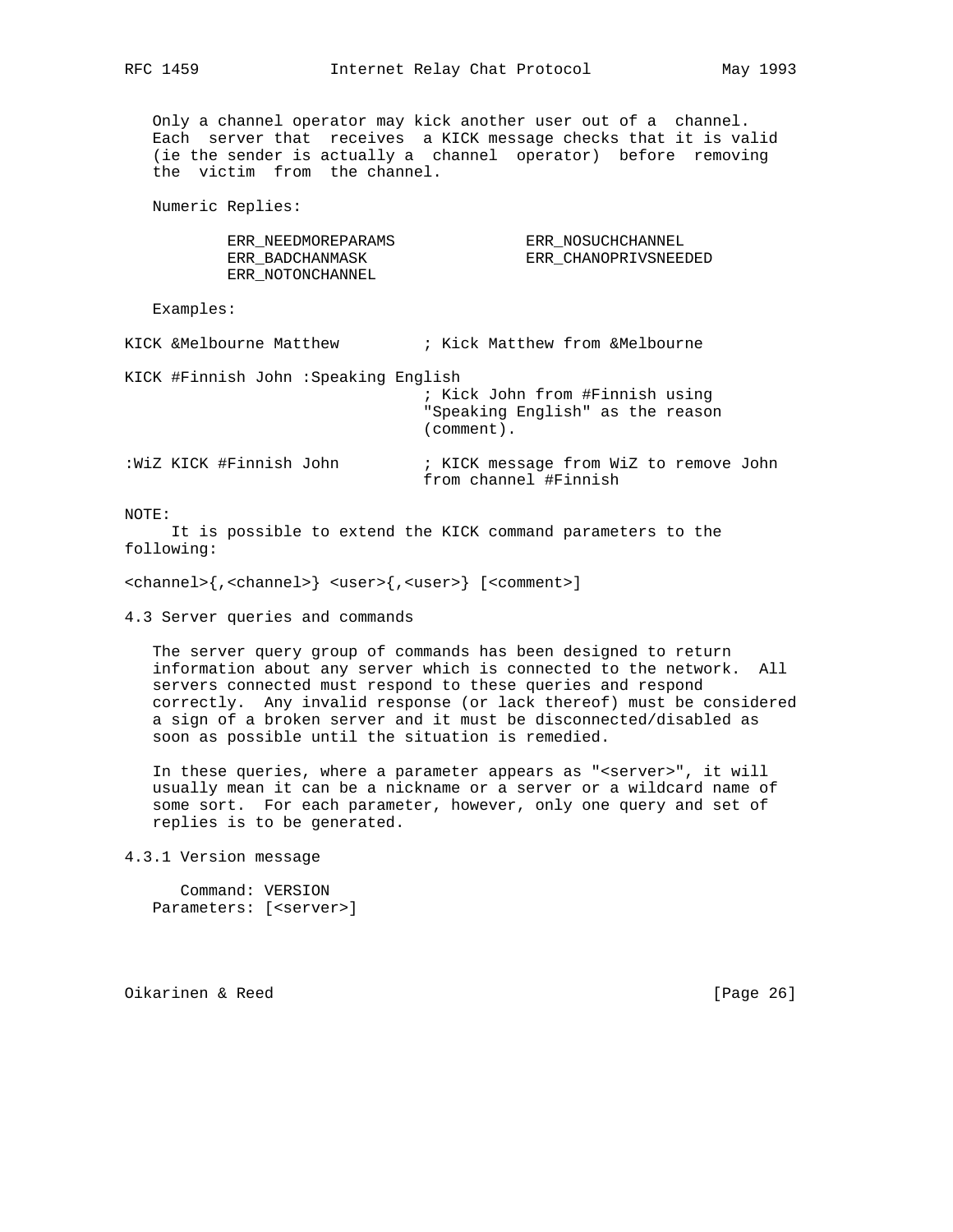Only a channel operator may kick another user out of a channel. Each server that receives a KICK message checks that it is valid (ie the sender is actually a channel operator) before removing the victim from the channel.

Numeric Replies:

 ERR\_NEEDMOREPARAMS ERR\_NOSUCHCHANNEL ERR\_NOTONCHANNEL

ERR\_BADCHANMASK ERR\_CHANOPRIVSNEEDED

Examples:

KICK &Melbourne Matthew  $\qquad$  ; Kick Matthew from &Melbourne

KICK #Finnish John :Speaking English

 ; Kick John from #Finnish using "Speaking English" as the reason (comment).

:WiZ KICK #Finnish John ; KICK message from WiZ to remove John from channel #Finnish

NOTE:

 It is possible to extend the KICK command parameters to the following:

<channel>{,<channel>} <user>{,<user>} [<comment>]

4.3 Server queries and commands

 The server query group of commands has been designed to return information about any server which is connected to the network. All servers connected must respond to these queries and respond correctly. Any invalid response (or lack thereof) must be considered a sign of a broken server and it must be disconnected/disabled as soon as possible until the situation is remedied.

In these queries, where a parameter appears as "<server>", it will usually mean it can be a nickname or a server or a wildcard name of some sort. For each parameter, however, only one query and set of replies is to be generated.

4.3.1 Version message

 Command: VERSION Parameters: [<server>]

Oikarinen & Reed [Page 26]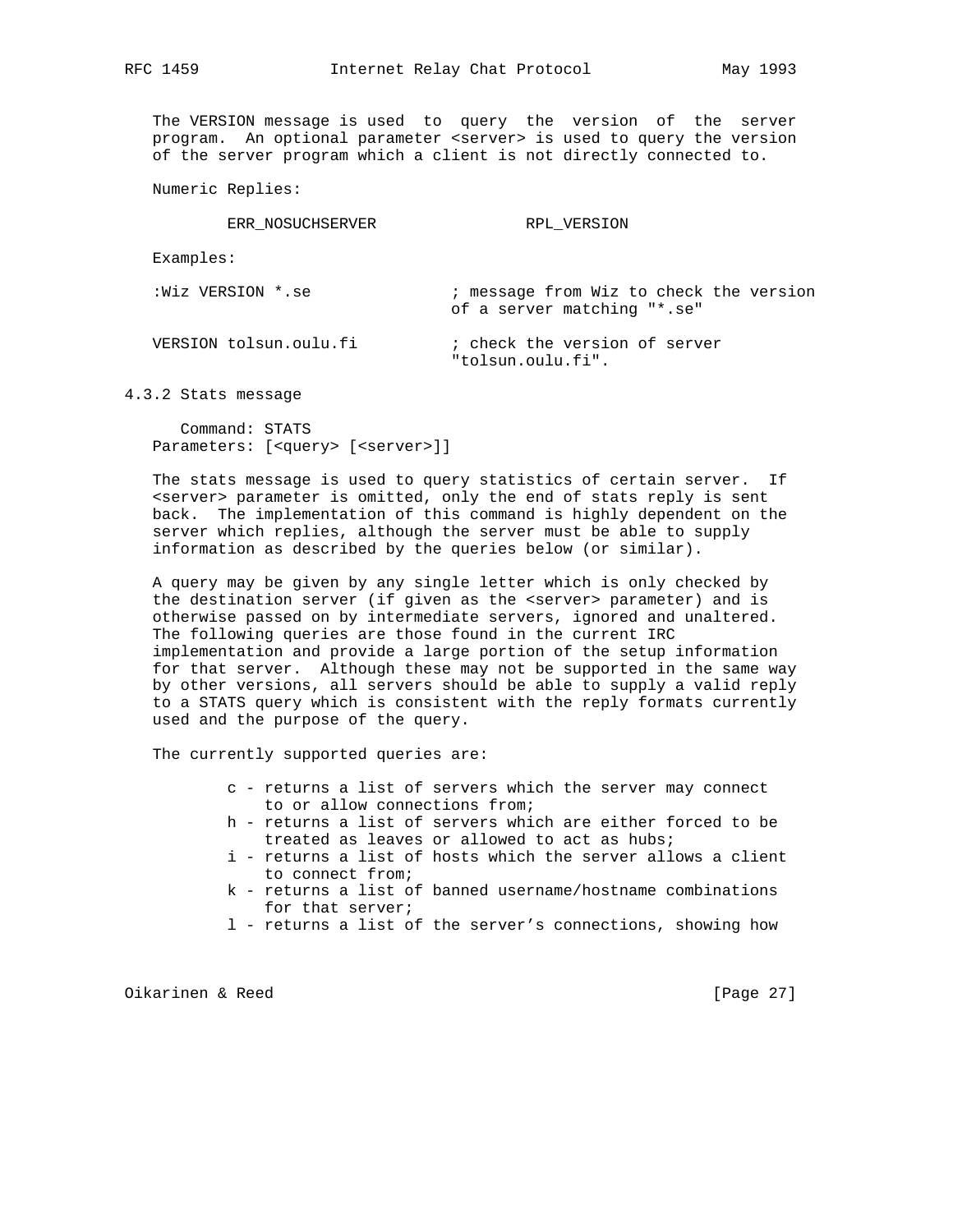The VERSION message is used to query the version of the server program. An optional parameter <server> is used to query the version of the server program which a client is not directly connected to.

Numeric Replies:

ERR\_NOSUCHSERVER RPL\_VERSION

Examples:

| :Wiz VERSION *.se      | ; message from Wiz to check the version<br>of a server matching "*.se" |
|------------------------|------------------------------------------------------------------------|
| VERSION tolsun.oulu.fi | ; check the version of server<br>"tolsun.oulu.fi".                     |

4.3.2 Stats message

 Command: STATS Parameters: [<query> [<server>]]

 The stats message is used to query statistics of certain server. If <server> parameter is omitted, only the end of stats reply is sent back. The implementation of this command is highly dependent on the server which replies, although the server must be able to supply information as described by the queries below (or similar).

 A query may be given by any single letter which is only checked by the destination server (if given as the <server> parameter) and is otherwise passed on by intermediate servers, ignored and unaltered. The following queries are those found in the current IRC implementation and provide a large portion of the setup information for that server. Although these may not be supported in the same way by other versions, all servers should be able to supply a valid reply to a STATS query which is consistent with the reply formats currently used and the purpose of the query.

The currently supported queries are:

- c returns a list of servers which the server may connect to or allow connections from;
- h returns a list of servers which are either forced to be treated as leaves or allowed to act as hubs;
- i returns a list of hosts which the server allows a client to connect from;
- k returns a list of banned username/hostname combinations for that server;
- l returns a list of the server's connections, showing how

Oikarinen & Reed [Page 27]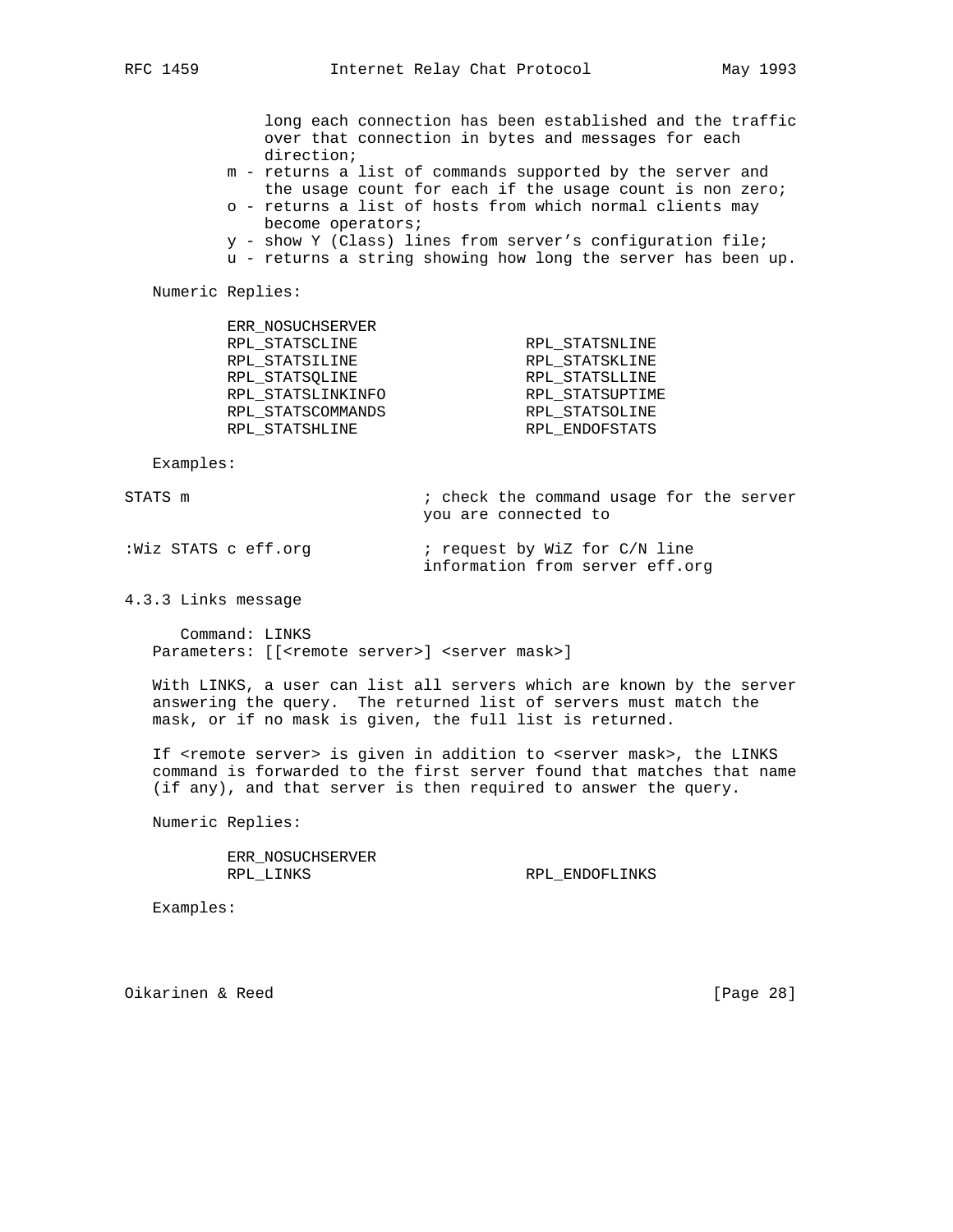long each connection has been established and the traffic over that connection in bytes and messages for each direction;

- m returns a list of commands supported by the server and the usage count for each if the usage count is non zero;
- o returns a list of hosts from which normal clients may become operators;
- y show Y (Class) lines from server's configuration file;
- u returns a string showing how long the server has been up.

Numeric Replies:

ERR\_NOSUCHSERVER

| ERR NOSUCHSERVER  |                 |
|-------------------|-----------------|
| RPL STATSCLINE    | RPL STATSNLINE  |
| RPL STATSILINE    | RPL STATSKLINE  |
| RPL STATSOLINE    | RPL STATSLLINE  |
| RPL STATSLINKINFO | RPL STATSUPTIME |
| RPL STATSCOMMANDS | RPL STATSOLINE  |
| RPL STATSHLINE    | RPL ENDOFSTATS  |
|                   |                 |

Examples:

STATS m  $\qquad \qquad ;$  check the command usage for the server you are connected to

| :Wiz STATS c eff.org | ; request by WiZ for C/N line   |  |
|----------------------|---------------------------------|--|
|                      | information from server eff.org |  |

4.3.3 Links message

 Command: LINKS Parameters: [[<remote server>] <server mask>]

 With LINKS, a user can list all servers which are known by the server answering the query. The returned list of servers must match the mask, or if no mask is given, the full list is returned.

If <remote server> is given in addition to <server mask>, the LINKS command is forwarded to the first server found that matches that name (if any), and that server is then required to answer the query.

Numeric Replies:

 ERR\_NOSUCHSERVER RPL\_LINKS RPL\_ENDOFLINKS

Examples:

Oikarinen & Reed [Page 28]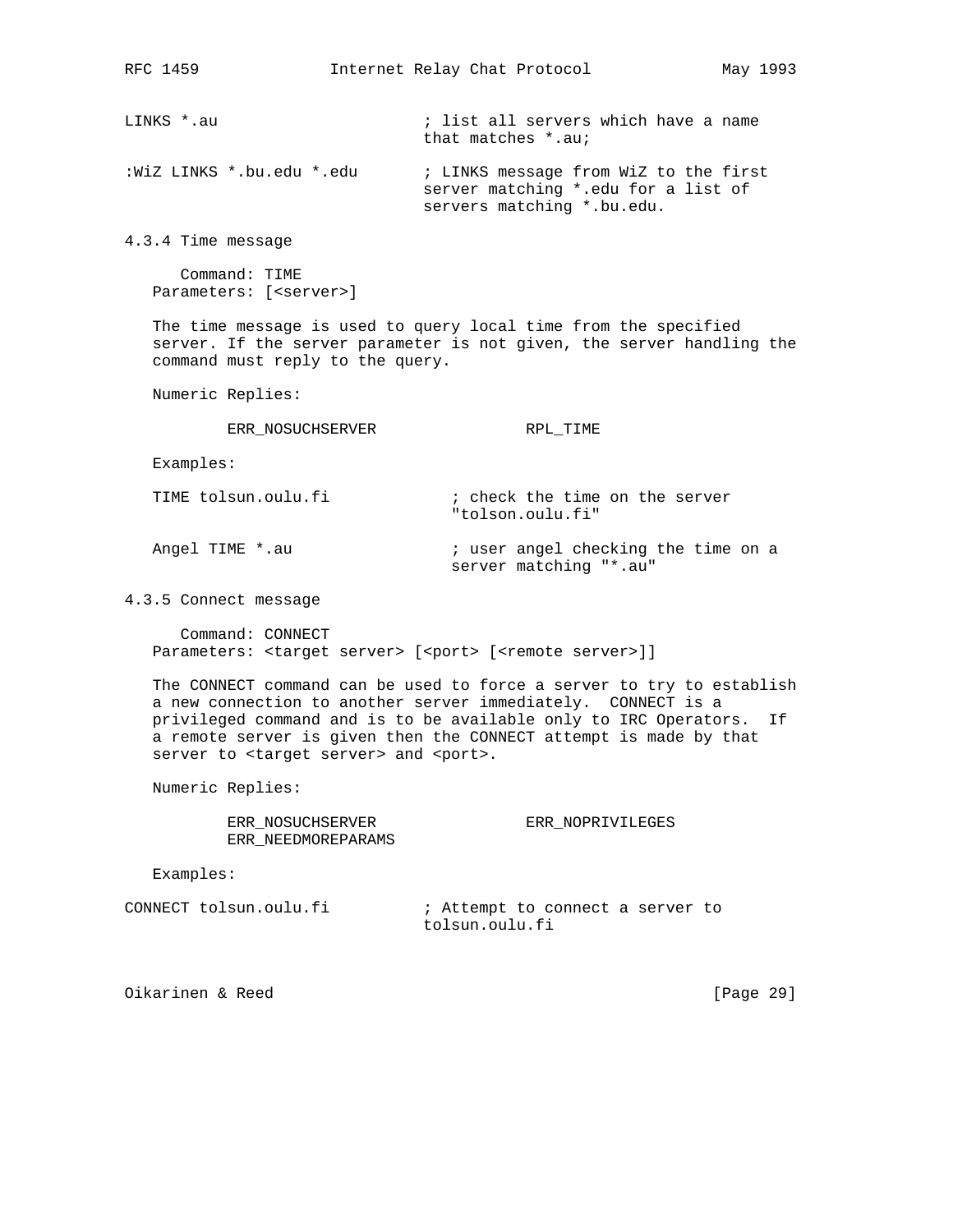LINKS \*.au  $\qquad \qquad ;$  list all servers which have a name that matches \*.au;

:WiZ LINKS \*.bu.edu \*.edu ; LINKS message from WiZ to the first server matching \*.edu for a list of servers matching \*.bu.edu.

4.3.4 Time message

 Command: TIME Parameters: [<server>]

 The time message is used to query local time from the specified server. If the server parameter is not given, the server handling the command must reply to the query.

Numeric Replies:

ERR\_NOSUCHSERVER RPL\_TIME

Examples:

TIME tolsun.oulu.fi  $\qquad \qquad ;$  check the time on the server "tolson.oulu.fi"

Angel TIME \*.au *;* user angel checking the time on a server matching "\*.au"

4.3.5 Connect message

 Command: CONNECT Parameters: <target server> [<port> [<remote server>]]

 The CONNECT command can be used to force a server to try to establish a new connection to another server immediately. CONNECT is a privileged command and is to be available only to IRC Operators. If a remote server is given then the CONNECT attempt is made by that server to <target server> and <port>.

Numeric Replies:

 ERR\_NOSUCHSERVER ERR\_NOPRIVILEGES ERR\_NEEDMOREPARAMS

Examples:

CONNECT tolsun.oulu.fi  $\qquad \qquad ;$  Attempt to connect a server to tolsun.oulu.fi

Oikarinen & Reed [Page 29]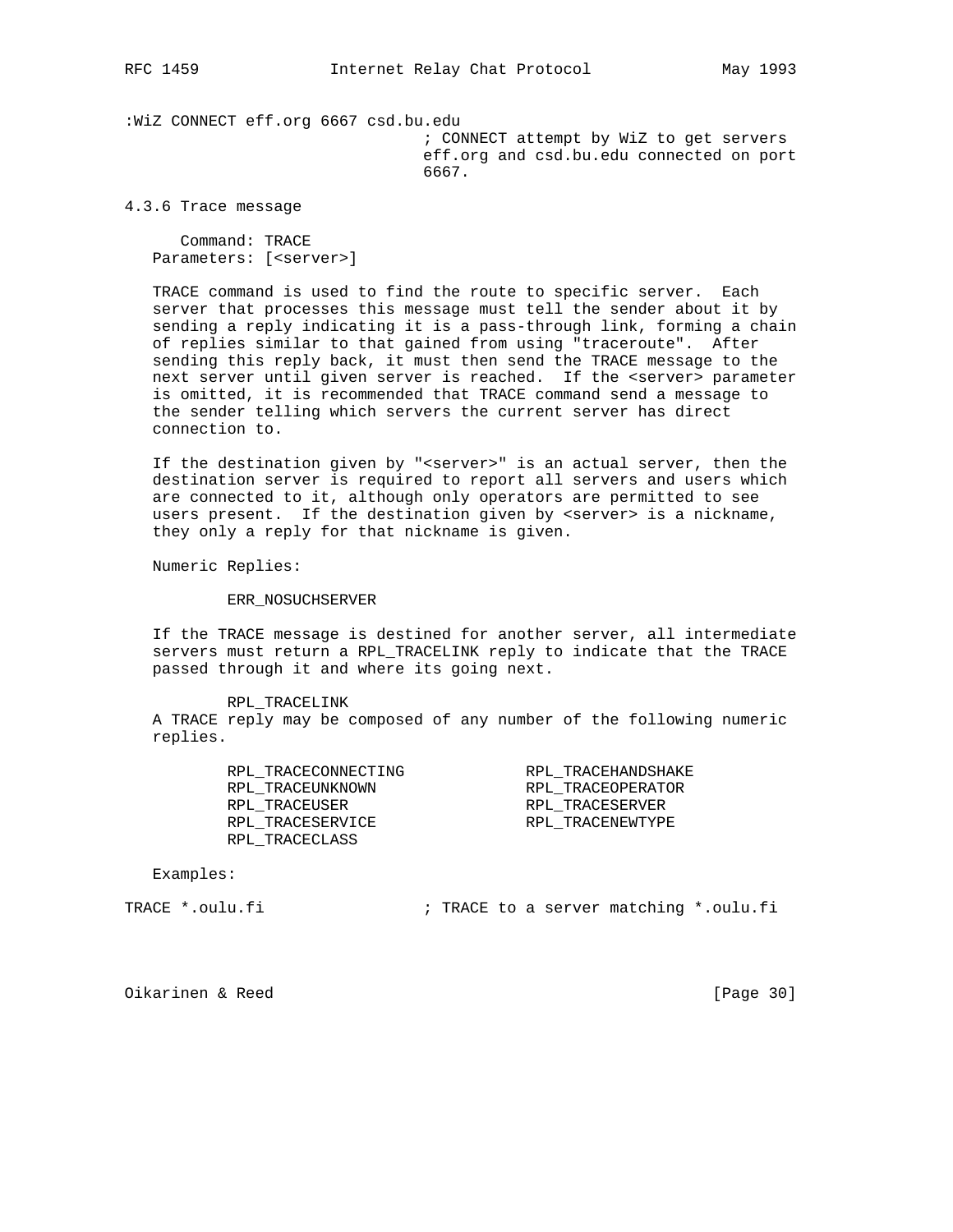:WiZ CONNECT eff.org 6667 csd.bu.edu

 ; CONNECT attempt by WiZ to get servers eff.org and csd.bu.edu connected on port 6667.

4.3.6 Trace message

 Command: TRACE Parameters: [<server>]

 TRACE command is used to find the route to specific server. Each server that processes this message must tell the sender about it by sending a reply indicating it is a pass-through link, forming a chain of replies similar to that gained from using "traceroute". After sending this reply back, it must then send the TRACE message to the next server until given server is reached. If the <server> parameter is omitted, it is recommended that TRACE command send a message to the sender telling which servers the current server has direct connection to.

 If the destination given by "<server>" is an actual server, then the destination server is required to report all servers and users which are connected to it, although only operators are permitted to see users present. If the destination given by <server> is a nickname, they only a reply for that nickname is given.

Numeric Replies:

ERR\_NOSUCHSERVER

 If the TRACE message is destined for another server, all intermediate servers must return a RPL\_TRACELINK reply to indicate that the TRACE passed through it and where its going next.

 RPL\_TRACELINK A TRACE reply may be composed of any number of the following numeric replies.

| RPL TRACECONNECTING | RPL TRACEHANDSHAKE |
|---------------------|--------------------|
| RPL TRACEUNKNOWN    | RPL TRACEOPERATOR  |
| RPL TRACEUSER       | RPL TRACESERVER    |
| RPL TRACESERVICE    | RPL TRACENEWTYPE   |
| RPL TRACECLASS      |                    |

Examples:

TRACE \*.oulu.fi ; TRACE to a server matching \*.oulu.fi

Oikarinen & Reed [Page 30]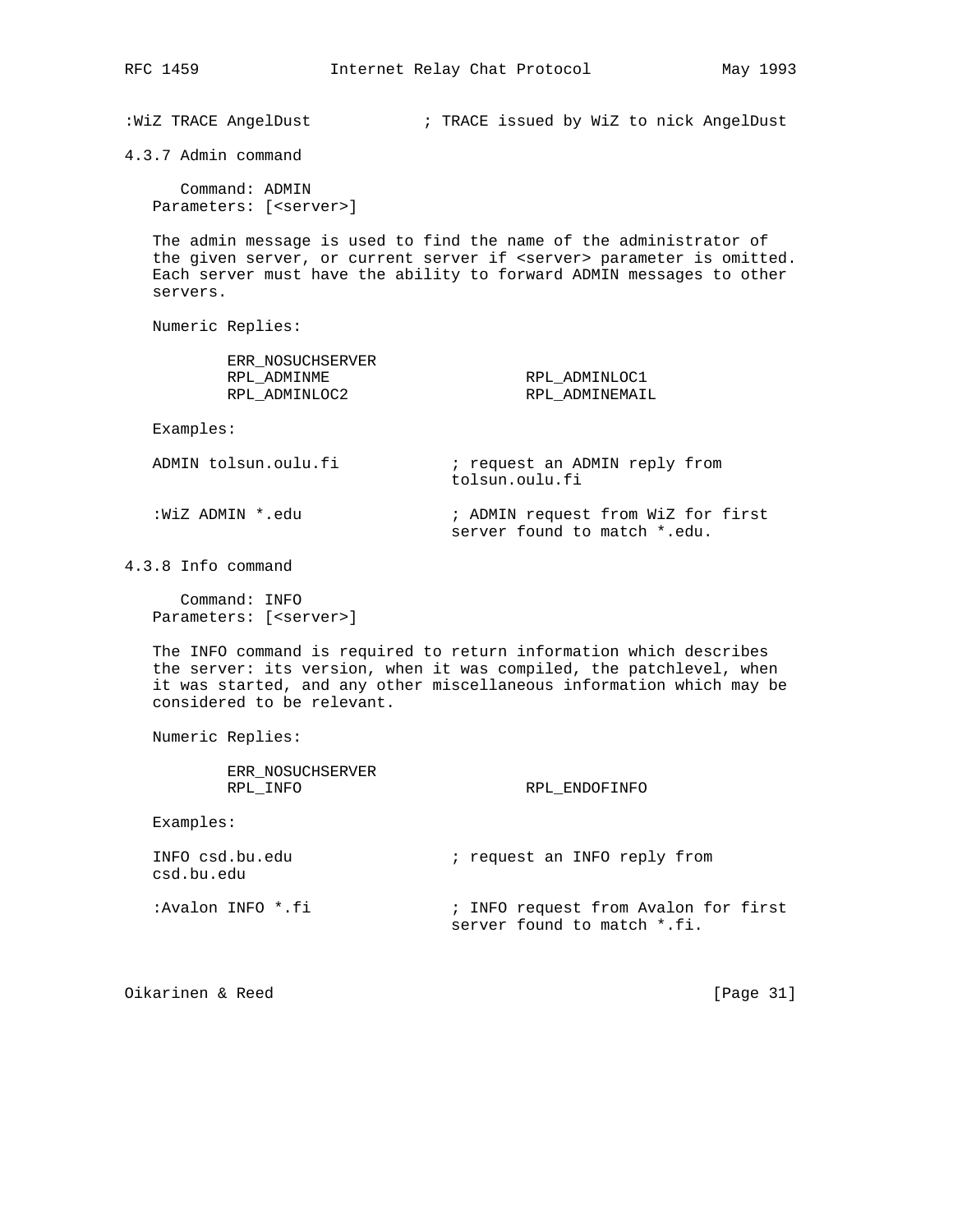:WiZ TRACE AngelDust ; TRACE issued by WiZ to nick AngelDust

4.3.7 Admin command

 Command: ADMIN Parameters: [<server>]

 The admin message is used to find the name of the administrator of the given server, or current server if <server> parameter is omitted. Each server must have the ability to forward ADMIN messages to other servers.

Numeric Replies:

| ERR NOSUCHSERVER<br>RPL ADMINME<br>RPL ADMINLOC2 | RPL ADMINLOC1<br>RPL ADMINEMAIL                                    |
|--------------------------------------------------|--------------------------------------------------------------------|
| Examples:                                        |                                                                    |
| ADMIN tolsun.oulu.fi                             | ; request an ADMIN reply from<br>tolsun.oulu.fi                    |
| :WiZ ADMIN *.edu                                 | ; ADMIN request from WiZ for first<br>server found to match *.edu. |

4.3.8 Info command

 Command: INFO Parameters: [<server>]

 The INFO command is required to return information which describes the server: its version, when it was compiled, the patchlevel, when it was started, and any other miscellaneous information which may be considered to be relevant.

Numeric Replies:

 ERR\_NOSUCHSERVER RPL\_INFO RPL\_ENDOFINFO

Examples:

| INFO csd.bu.edu<br>csd.bu.edu | ; request an INFO reply from                                        |
|-------------------------------|---------------------------------------------------------------------|
| :Avalon INFO *.fi             | ; INFO request from Avalon for first<br>server found to match *.fi. |

Oikarinen & Reed [Page 31]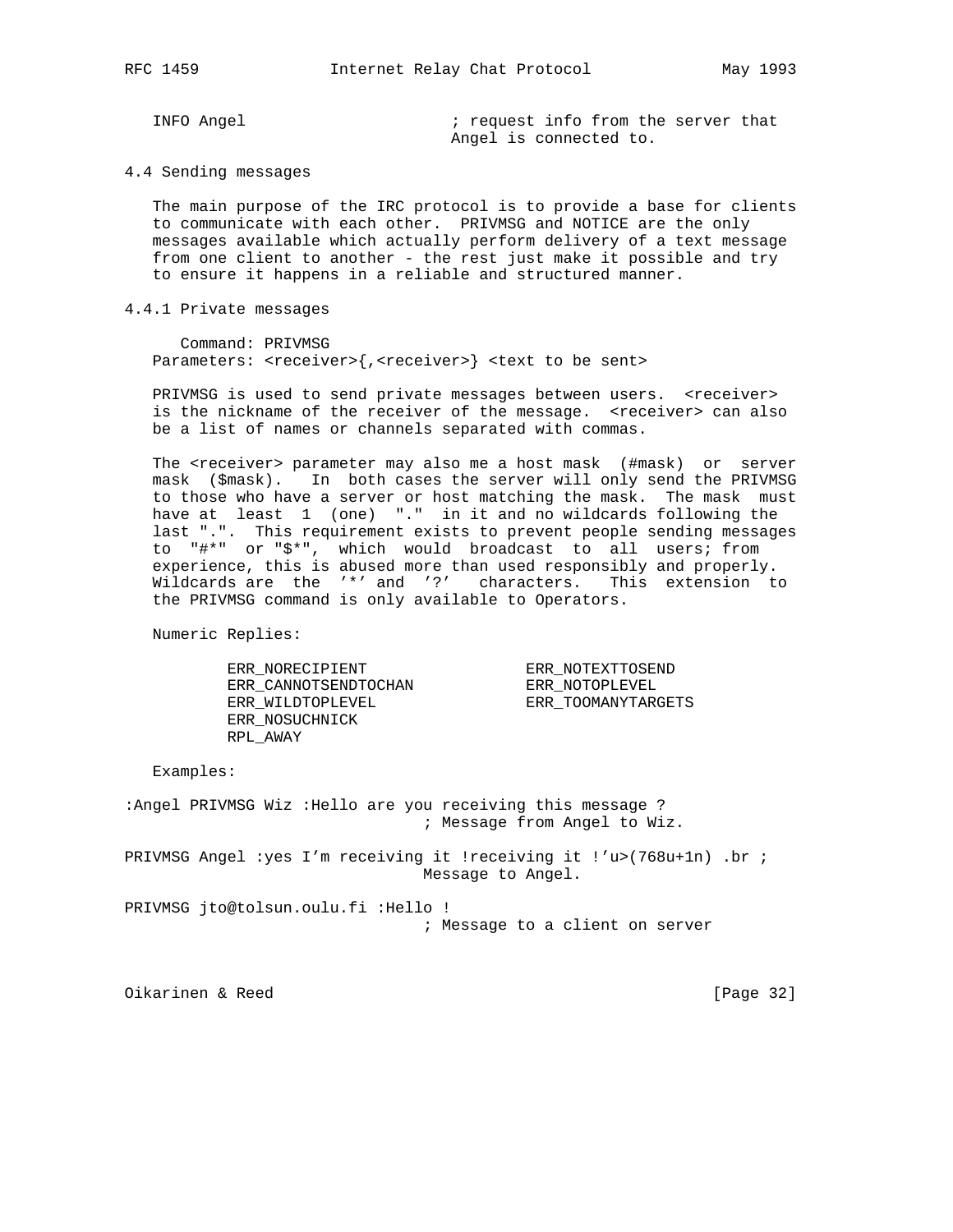INFO Angel  $\qquad \qquad ;$  request info from the server that Angel is connected to.

#### 4.4 Sending messages

 The main purpose of the IRC protocol is to provide a base for clients to communicate with each other. PRIVMSG and NOTICE are the only messages available which actually perform delivery of a text message from one client to another - the rest just make it possible and try to ensure it happens in a reliable and structured manner.

### 4.4.1 Private messages

 Command: PRIVMSG Parameters: <receiver>{,<receiver>} <text to be sent>

PRIVMSG is used to send private messages between users. <receiver> is the nickname of the receiver of the message. <receiver> can also be a list of names or channels separated with commas.

The <receiver> parameter may also me a host mask (#mask) or server mask (\$mask). In both cases the server will only send the PRIVMSG to those who have a server or host matching the mask. The mask must have at least 1 (one) "." in it and no wildcards following the last ".". This requirement exists to prevent people sending messages to "#\*" or "\$\*", which would broadcast to all users; from experience, this is abused more than used responsibly and properly. Wildcards are the '\*' and '?' characters. This extension to the PRIVMSG command is only available to Operators.

Numeric Replies:

 ERR\_NORECIPIENT ERR\_NOTEXTTOSEND ERR\_CANNOTSENDTOCHAN ERR\_NOTOPLEVEL ERR\_WILDTOPLEVEL ERR\_TOOMANYTARGETS ERR\_NOSUCHNICK RPL\_AWAY

Examples:

:Angel PRIVMSG Wiz :Hello are you receiving this message ? ; Message from Angel to Wiz.

PRIVMSG Angel :yes I'm receiving it !receiving it !'u>(768u+1n) .br ; Message to Angel.

PRIVMSG jto@tolsun.oulu.fi :Hello ! ; Message to a client on server

Oikarinen & Reed [Page 32]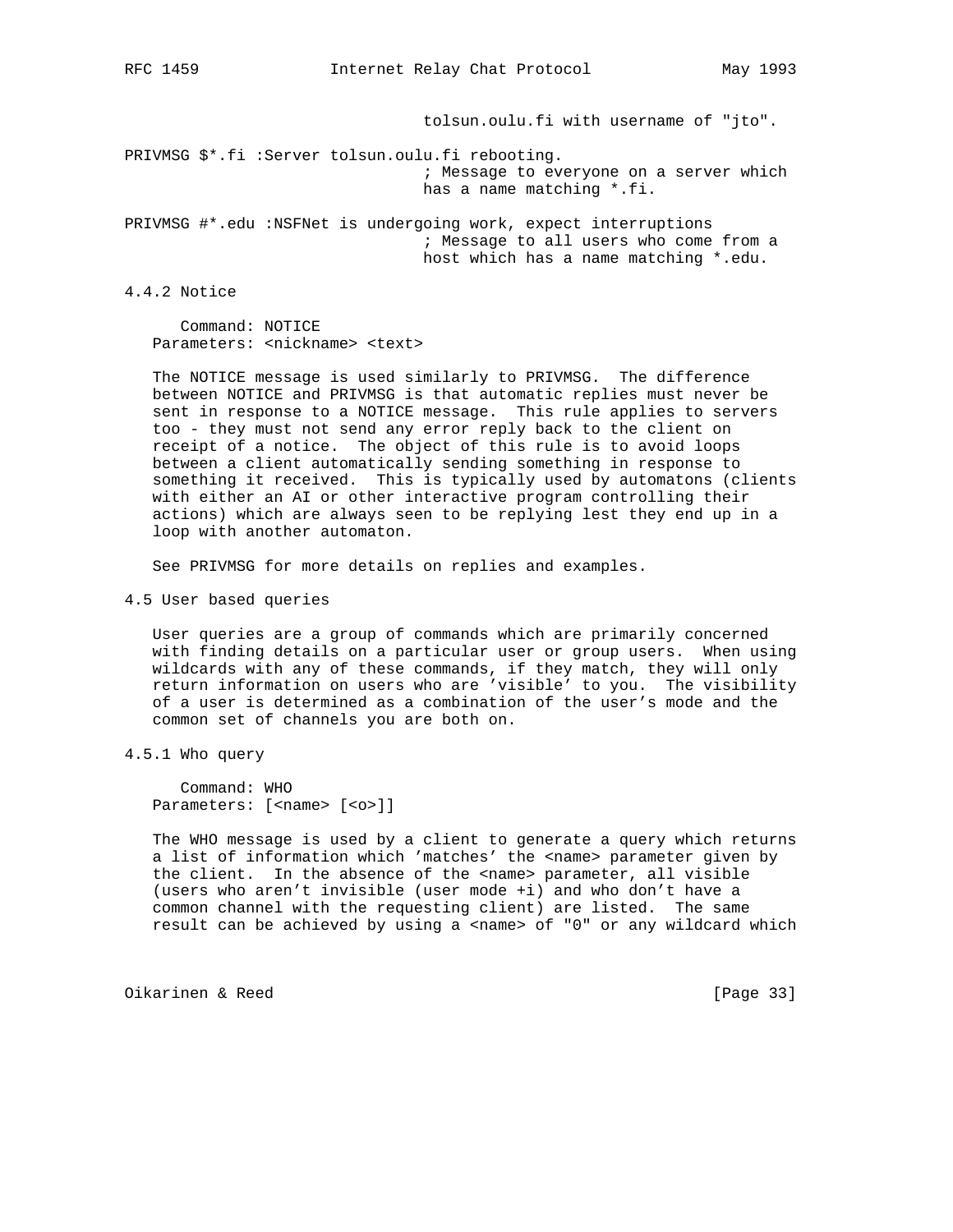tolsun.oulu.fi with username of "jto".

PRIVMSG \$\*.fi :Server tolsun.oulu.fi rebooting. ; Message to everyone on a server which has a name matching \*.fi.

PRIVMSG #\*.edu :NSFNet is undergoing work, expect interruptions ; Message to all users who come from a host which has a name matching \*.edu.

4.4.2 Notice

 Command: NOTICE Parameters: <nickname> <text>

 The NOTICE message is used similarly to PRIVMSG. The difference between NOTICE and PRIVMSG is that automatic replies must never be sent in response to a NOTICE message. This rule applies to servers too - they must not send any error reply back to the client on receipt of a notice. The object of this rule is to avoid loops between a client automatically sending something in response to something it received. This is typically used by automatons (clients with either an AI or other interactive program controlling their actions) which are always seen to be replying lest they end up in a loop with another automaton.

See PRIVMSG for more details on replies and examples.

4.5 User based queries

 User queries are a group of commands which are primarily concerned with finding details on a particular user or group users. When using wildcards with any of these commands, if they match, they will only return information on users who are 'visible' to you. The visibility of a user is determined as a combination of the user's mode and the common set of channels you are both on.

4.5.1 Who query

 Command: WHO Parameters: [<name> [<o>]]

 The WHO message is used by a client to generate a query which returns a list of information which 'matches' the <name> parameter given by the client. In the absence of the <name> parameter, all visible (users who aren't invisible (user mode +i) and who don't have a common channel with the requesting client) are listed. The same result can be achieved by using a <name> of "0" or any wildcard which

Oikarinen & Reed [Page 33]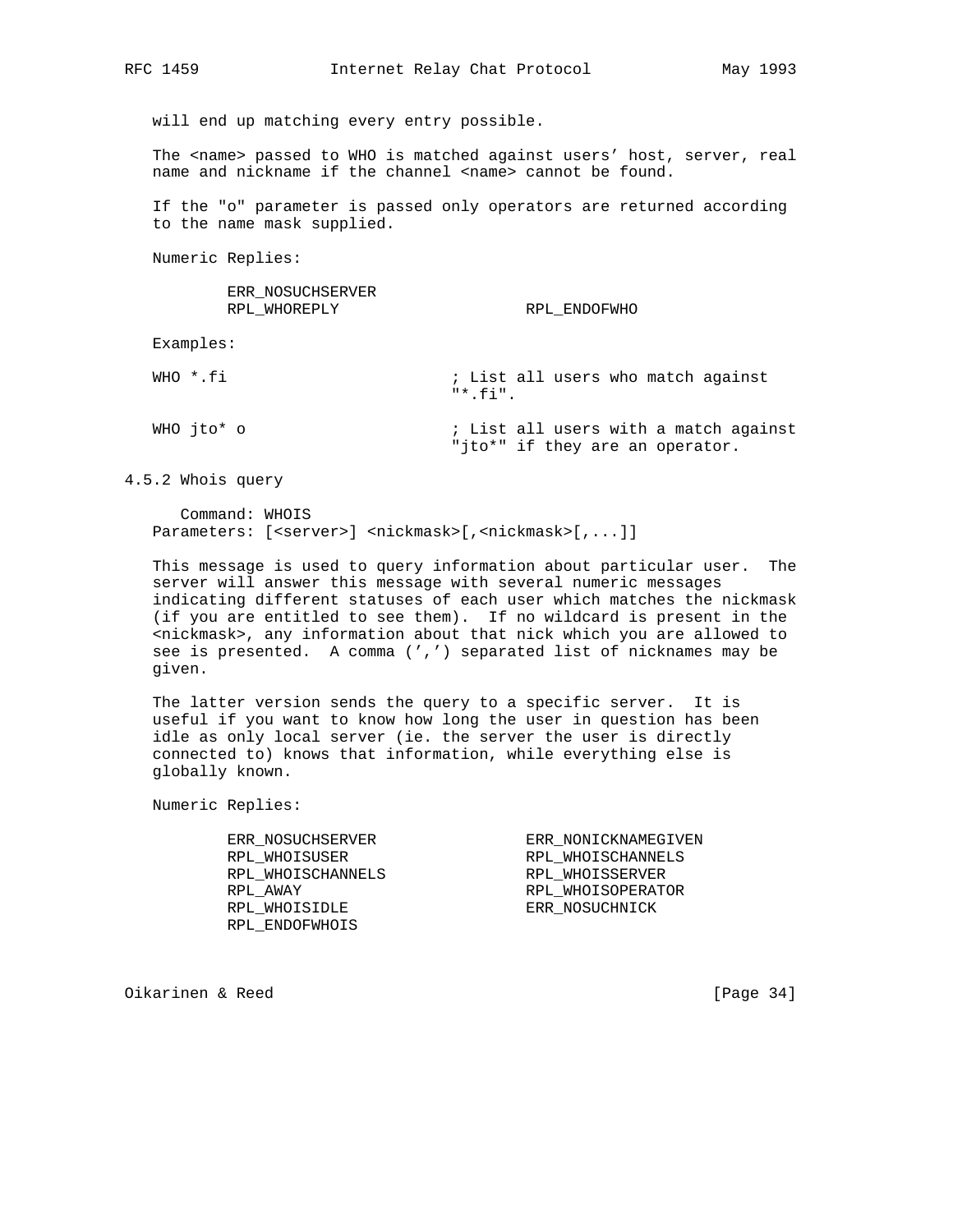will end up matching every entry possible.

The <name> passed to WHO is matched against users' host, server, real name and nickname if the channel <name> cannot be found.

 If the "o" parameter is passed only operators are returned according to the name mask supplied.

Numeric Replies:

 ERR\_NOSUCHSERVER RPL\_WHOREPLY RPL\_ENDOFWHO

Examples:

| WHO *.fi   | : List all users who match against<br>$"$ * fi"                          |
|------------|--------------------------------------------------------------------------|
| WHO ito* o | ; List all users with a match against<br>"jto*" if they are an operator. |

4.5.2 Whois query

 Command: WHOIS Parameters: [<server>] <nickmask>[,<nickmask>[,...]]

 This message is used to query information about particular user. The server will answer this message with several numeric messages indicating different statuses of each user which matches the nickmask (if you are entitled to see them). If no wildcard is present in the <nickmask>, any information about that nick which you are allowed to see is presented. A comma (',') separated list of nicknames may be given.

 The latter version sends the query to a specific server. It is useful if you want to know how long the user in question has been idle as only local server (ie. the server the user is directly connected to) knows that information, while everything else is globally known.

Numeric Replies:

| ERR NOSUCHSERVER  | ERR NONICKNAMEGIVEN |
|-------------------|---------------------|
| RPL WHOISUSER     | RPL WHOISCHANNELS   |
| RPL WHOISCHANNELS | RPL WHOISSERVER     |
| RPL AWAY          | RPL WHOISOPERATOR   |
| RPL WHOISIDLE     | ERR NOSUCHNICK      |
| RPL ENDOFWHOIS    |                     |

Oikarinen & Reed [Page 34]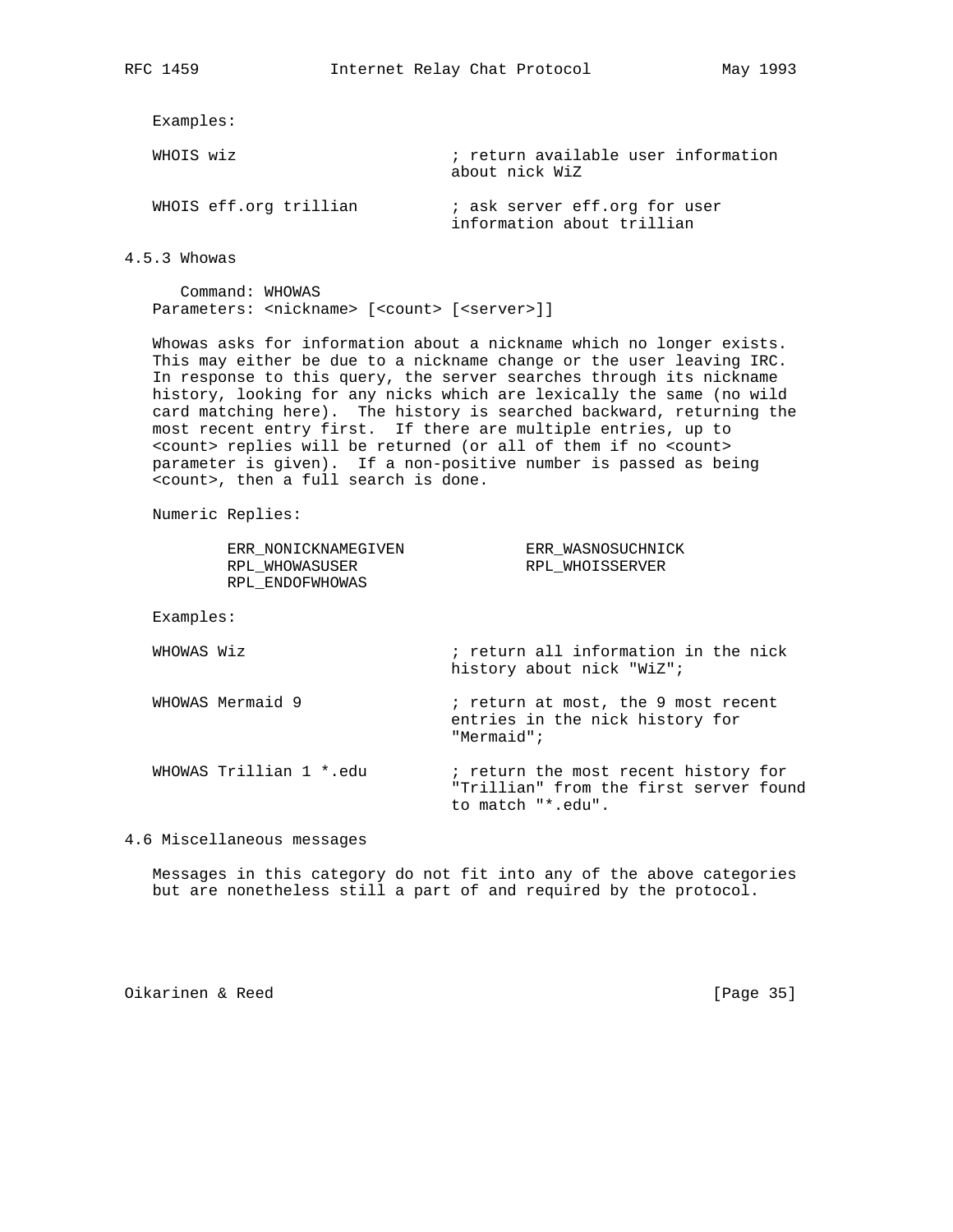Examples:

| WHOIS wiz              | ; return available user information<br>about nick WiZ       |
|------------------------|-------------------------------------------------------------|
| WHOIS eff.org trillian | ; ask server eff.org for user<br>information about trillian |

4.5.3 Whowas

 Command: WHOWAS Parameters: <nickname> [<count> [<server>]]

 Whowas asks for information about a nickname which no longer exists. This may either be due to a nickname change or the user leaving IRC. In response to this query, the server searches through its nickname history, looking for any nicks which are lexically the same (no wild card matching here). The history is searched backward, returning the most recent entry first. If there are multiple entries, up to <count> replies will be returned (or all of them if no <count> parameter is given). If a non-positive number is passed as being <count>, then a full search is done.

Numeric Replies:

| ERR NONICKNAMEGIVEN<br>RPL WHOWASUSER<br>RPL ENDOFWHOWAS | ERR WASNOSUCHNICK<br>RPL WHOISSERVER                                                                |
|----------------------------------------------------------|-----------------------------------------------------------------------------------------------------|
| Examples:                                                |                                                                                                     |
| WHOWAS Wiz                                               | ; return all information in the nick<br>history about nick "WiZ";                                   |
| WHOWAS Mermaid 9                                         | ; return at most, the 9 most recent<br>entries in the nick history for<br>"Mermaid";                |
| WHOWAS Trillian 1 *.edu                                  | ; return the most recent history for<br>"Trillian" from the first server found<br>to match "*.edu". |

4.6 Miscellaneous messages

 Messages in this category do not fit into any of the above categories but are nonetheless still a part of and required by the protocol.

Oikarinen & Reed [Page 35]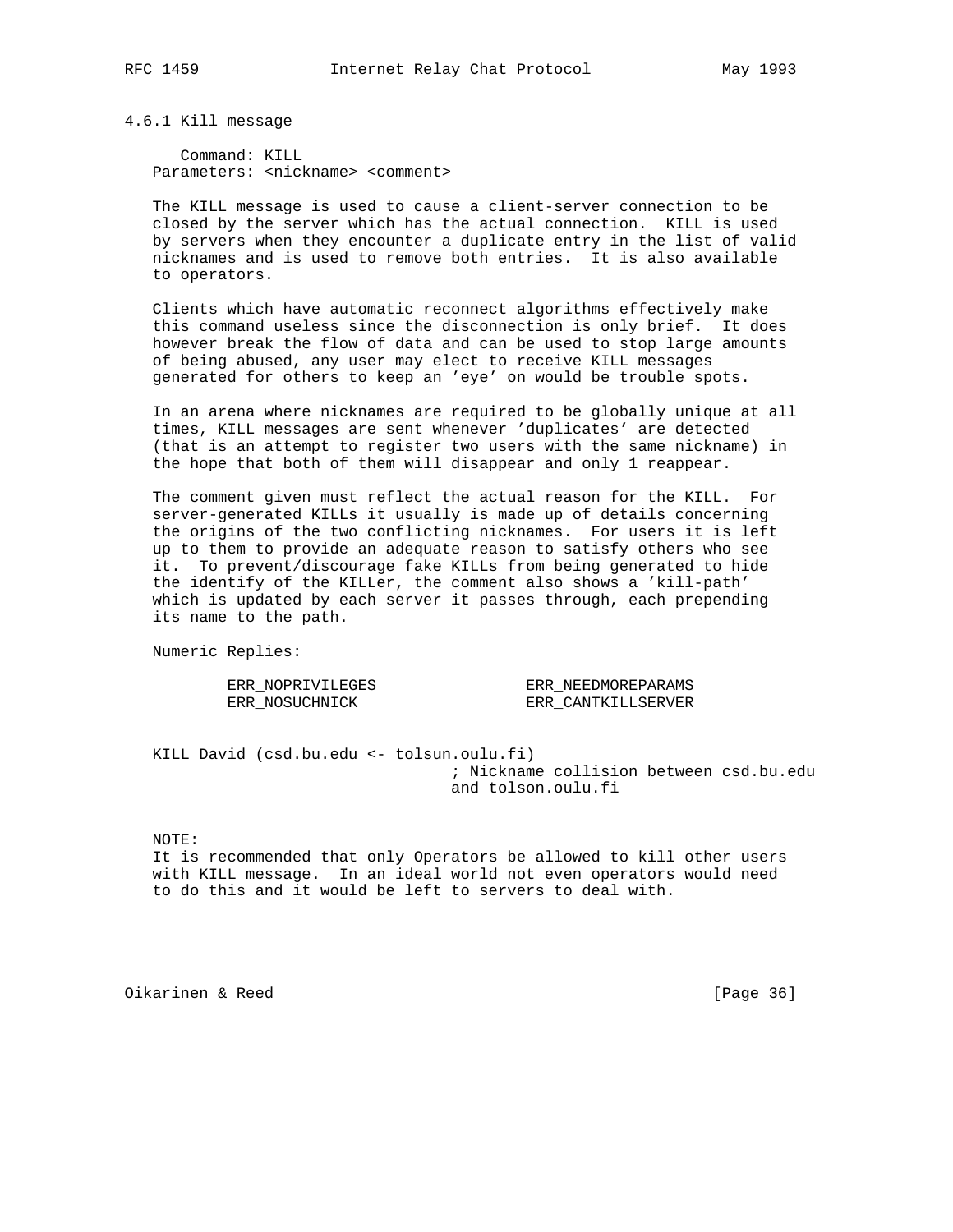4.6.1 Kill message

 Command: KILL Parameters: <nickname> <comment>

 The KILL message is used to cause a client-server connection to be closed by the server which has the actual connection. KILL is used by servers when they encounter a duplicate entry in the list of valid nicknames and is used to remove both entries. It is also available to operators.

 Clients which have automatic reconnect algorithms effectively make this command useless since the disconnection is only brief. It does however break the flow of data and can be used to stop large amounts of being abused, any user may elect to receive KILL messages generated for others to keep an 'eye' on would be trouble spots.

 In an arena where nicknames are required to be globally unique at all times, KILL messages are sent whenever 'duplicates' are detected (that is an attempt to register two users with the same nickname) in the hope that both of them will disappear and only 1 reappear.

 The comment given must reflect the actual reason for the KILL. For server-generated KILLs it usually is made up of details concerning the origins of the two conflicting nicknames. For users it is left up to them to provide an adequate reason to satisfy others who see it. To prevent/discourage fake KILLs from being generated to hide the identify of the KILLer, the comment also shows a 'kill-path' which is updated by each server it passes through, each prepending its name to the path.

Numeric Replies:

ERR\_NOSUCHNICK ERR\_CANTKILLSERVER

ERR\_NOPRIVILEGES ERR\_NEEDMOREPARAMS

 KILL David (csd.bu.edu <- tolsun.oulu.fi) ; Nickname collision between csd.bu.edu and tolson.oulu.fi

NOTE:

 It is recommended that only Operators be allowed to kill other users with KILL message. In an ideal world not even operators would need to do this and it would be left to servers to deal with.

Oikarinen & Reed [Page 36]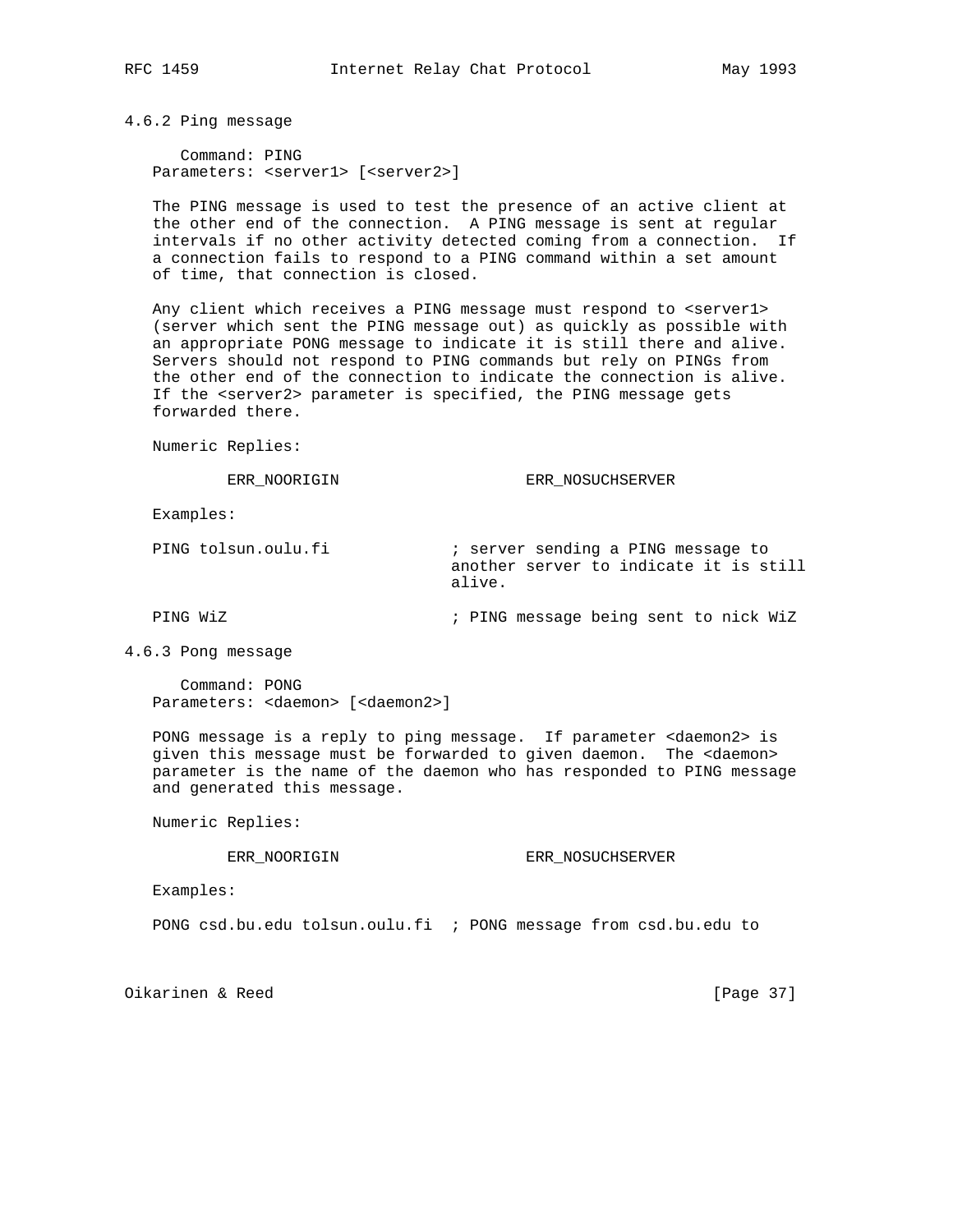4.6.2 Ping message

 Command: PING Parameters: <server1> [<server2>]

 The PING message is used to test the presence of an active client at the other end of the connection. A PING message is sent at regular intervals if no other activity detected coming from a connection. If a connection fails to respond to a PING command within a set amount of time, that connection is closed.

Any client which receives a PING message must respond to <server1> (server which sent the PING message out) as quickly as possible with an appropriate PONG message to indicate it is still there and alive. Servers should not respond to PING commands but rely on PINGs from the other end of the connection to indicate the connection is alive. If the <server2> parameter is specified, the PING message gets forwarded there.

Numeric Replies:

ERR\_NOORIGIN ERR\_NOSUCHSERVER

Examples:

PING tolsun.oulu.fi **induce**  $i$  server sending a PING message to another server to indicate it is still alive.

PING WiZ ; PING message being sent to nick WiZ

4.6.3 Pong message

 Command: PONG Parameters: <daemon> [<daemon2>]

 PONG message is a reply to ping message. If parameter <daemon2> is given this message must be forwarded to given daemon. The <daemon> parameter is the name of the daemon who has responded to PING message and generated this message.

Numeric Replies:

ERR\_NOORIGIN ERR\_NOSUCHSERVER

Examples:

PONG csd.bu.edu tolsun.oulu.fi ; PONG message from csd.bu.edu to

Oikarinen & Reed [Page 37]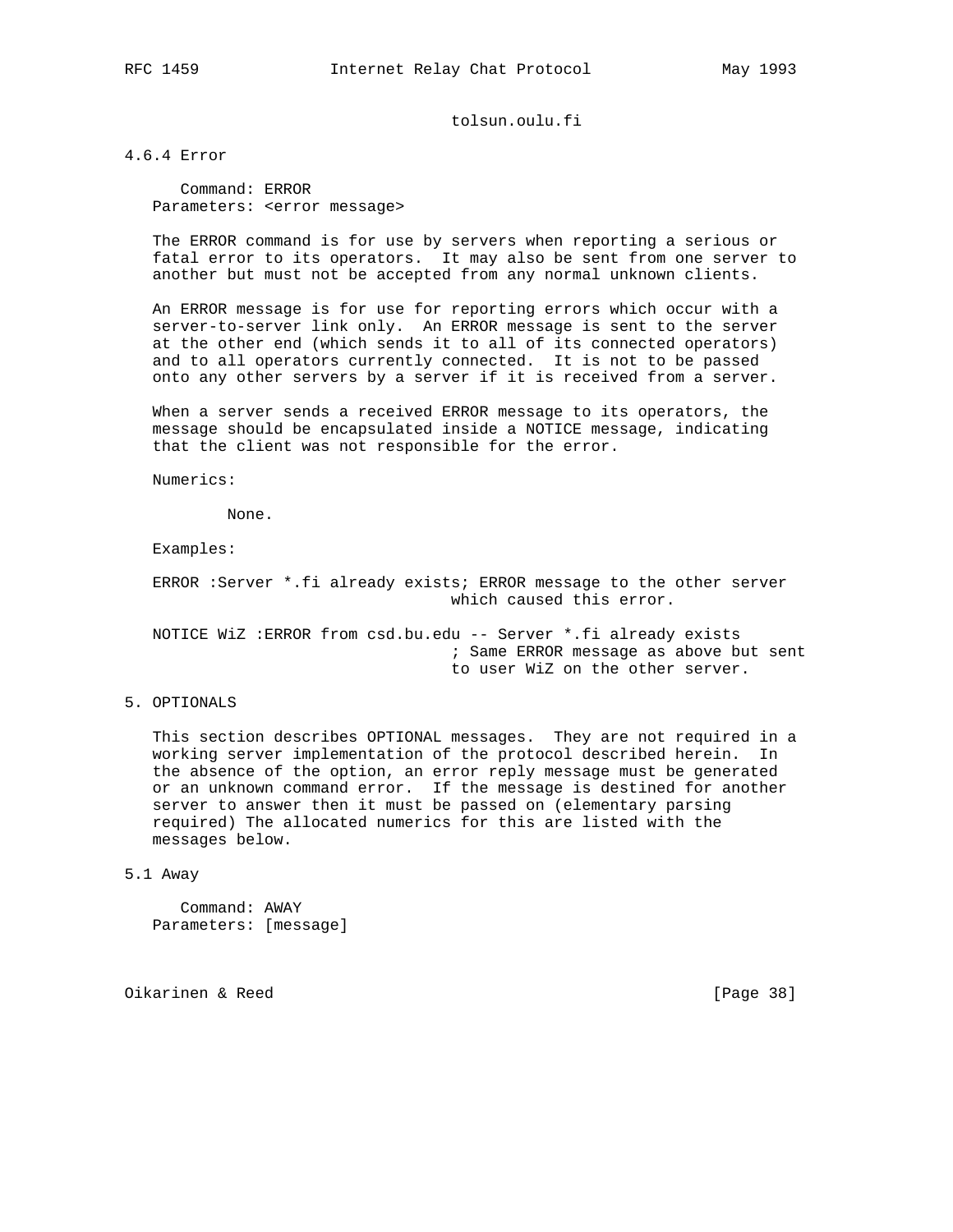# tolsun.oulu.fi

4.6.4 Error

 Command: ERROR Parameters: <error message>

 The ERROR command is for use by servers when reporting a serious or fatal error to its operators. It may also be sent from one server to another but must not be accepted from any normal unknown clients.

 An ERROR message is for use for reporting errors which occur with a server-to-server link only. An ERROR message is sent to the server at the other end (which sends it to all of its connected operators) and to all operators currently connected. It is not to be passed onto any other servers by a server if it is received from a server.

 When a server sends a received ERROR message to its operators, the message should be encapsulated inside a NOTICE message, indicating that the client was not responsible for the error.

Numerics:

None.

Examples:

 ERROR :Server \*.fi already exists; ERROR message to the other server which caused this error.

 NOTICE WiZ :ERROR from csd.bu.edu -- Server \*.fi already exists ; Same ERROR message as above but sent to user WiZ on the other server.

5. OPTIONALS

 This section describes OPTIONAL messages. They are not required in a working server implementation of the protocol described herein. In the absence of the option, an error reply message must be generated or an unknown command error. If the message is destined for another server to answer then it must be passed on (elementary parsing required) The allocated numerics for this are listed with the messages below.

5.1 Away

 Command: AWAY Parameters: [message]

Oikarinen & Reed [Page 38]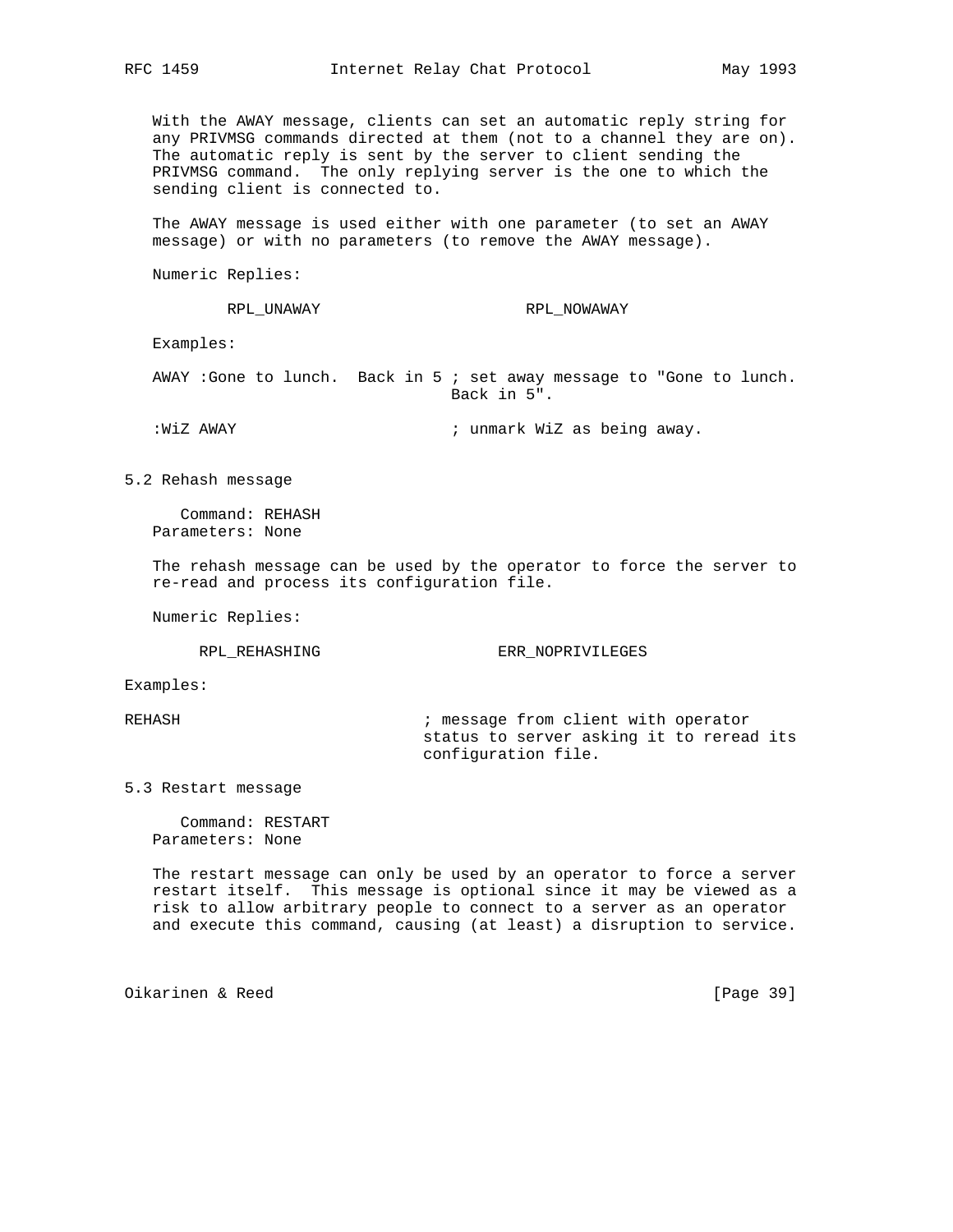With the AWAY message, clients can set an automatic reply string for any PRIVMSG commands directed at them (not to a channel they are on). The automatic reply is sent by the server to client sending the PRIVMSG command. The only replying server is the one to which the sending client is connected to.

 The AWAY message is used either with one parameter (to set an AWAY message) or with no parameters (to remove the AWAY message).

Numeric Replies:

RPL\_UNAWAY RPL\_NOWAWAY

Examples:

 AWAY :Gone to lunch. Back in 5 ; set away message to "Gone to lunch. Back in 5".

:WiZ AWAY ; unmark WiZ as being away.

5.2 Rehash message

 Command: REHASH Parameters: None

 The rehash message can be used by the operator to force the server to re-read and process its configuration file.

Numeric Replies:

RPL\_REHASHING ERR\_NOPRIVILEGES

Examples:

REHASH  $\qquad \qquad ;$  message from client with operator status to server asking it to reread its configuration file.

5.3 Restart message

 Command: RESTART Parameters: None

 The restart message can only be used by an operator to force a server restart itself. This message is optional since it may be viewed as a risk to allow arbitrary people to connect to a server as an operator and execute this command, causing (at least) a disruption to service.

Oikarinen & Reed [Page 39]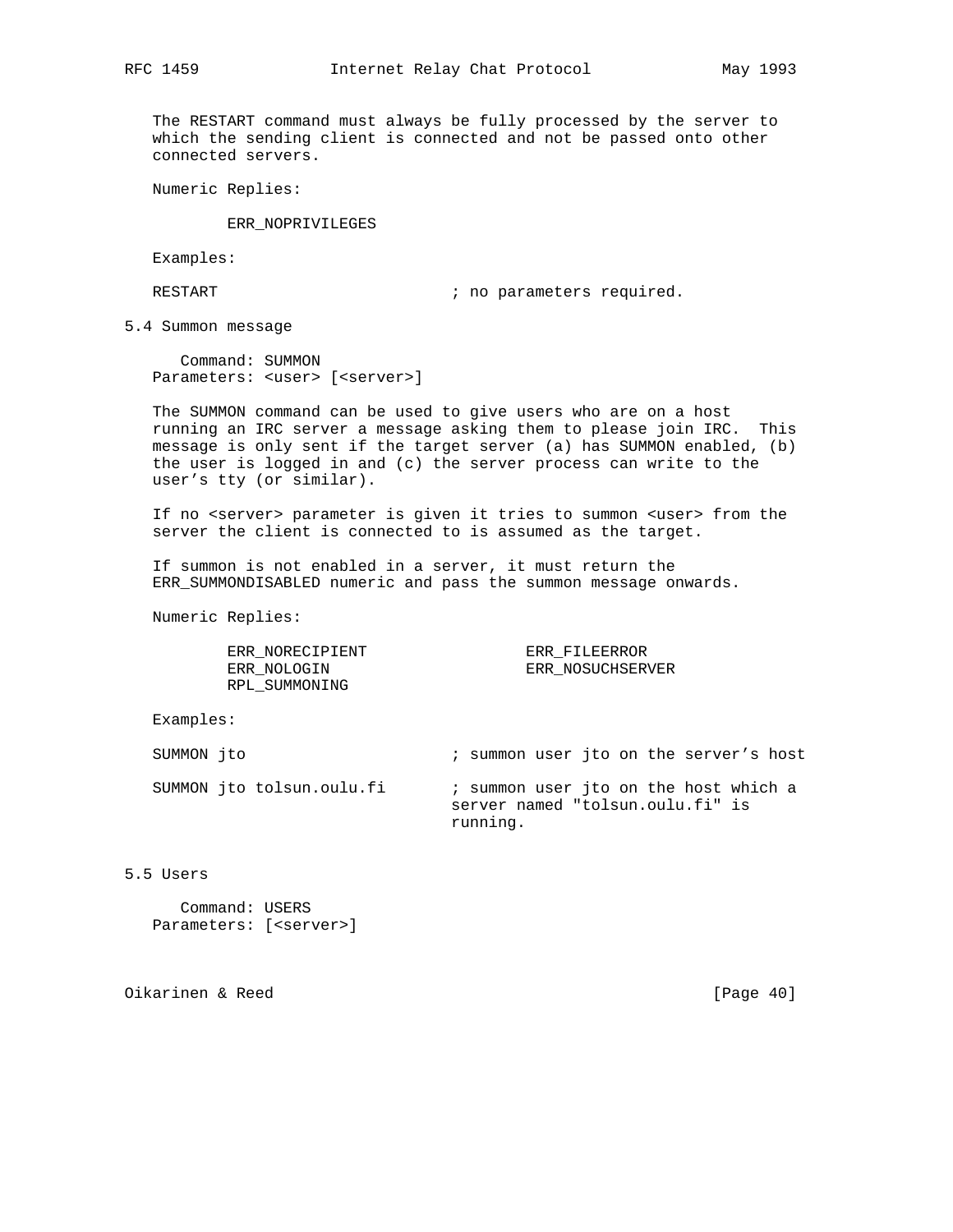The RESTART command must always be fully processed by the server to which the sending client is connected and not be passed onto other connected servers.

Numeric Replies:

ERR\_NOPRIVILEGES

Examples:

RESTART  $\qquad \qquad ;$  no parameters required.

5.4 Summon message

 Command: SUMMON Parameters: <user> [<server>]

 The SUMMON command can be used to give users who are on a host running an IRC server a message asking them to please join IRC. This message is only sent if the target server (a) has SUMMON enabled, (b) the user is logged in and (c) the server process can write to the user's tty (or similar).

 If no <server> parameter is given it tries to summon <user> from the server the client is connected to is assumed as the target.

 If summon is not enabled in a server, it must return the ERR\_SUMMONDISABLED numeric and pass the summon message onwards.

Numeric Replies:

ERR\_NORECIPIENT ERR\_FILEERROR ERR\_NOLOGIN ERR\_NOSUCHSERVER RPL\_SUMMONING

Examples:

| SUMMON ito |                           | ; summon user ito on the server's host                                                |  |  |  |  |  |
|------------|---------------------------|---------------------------------------------------------------------------------------|--|--|--|--|--|
|            | SUMMON ito tolsun.oulu.fi | ; summon user jto on the host which a<br>server named "tolsun.oulu.fi" is<br>running. |  |  |  |  |  |

5.5 Users

 Command: USERS Parameters: [<server>]

Oikarinen & Reed [Page 40]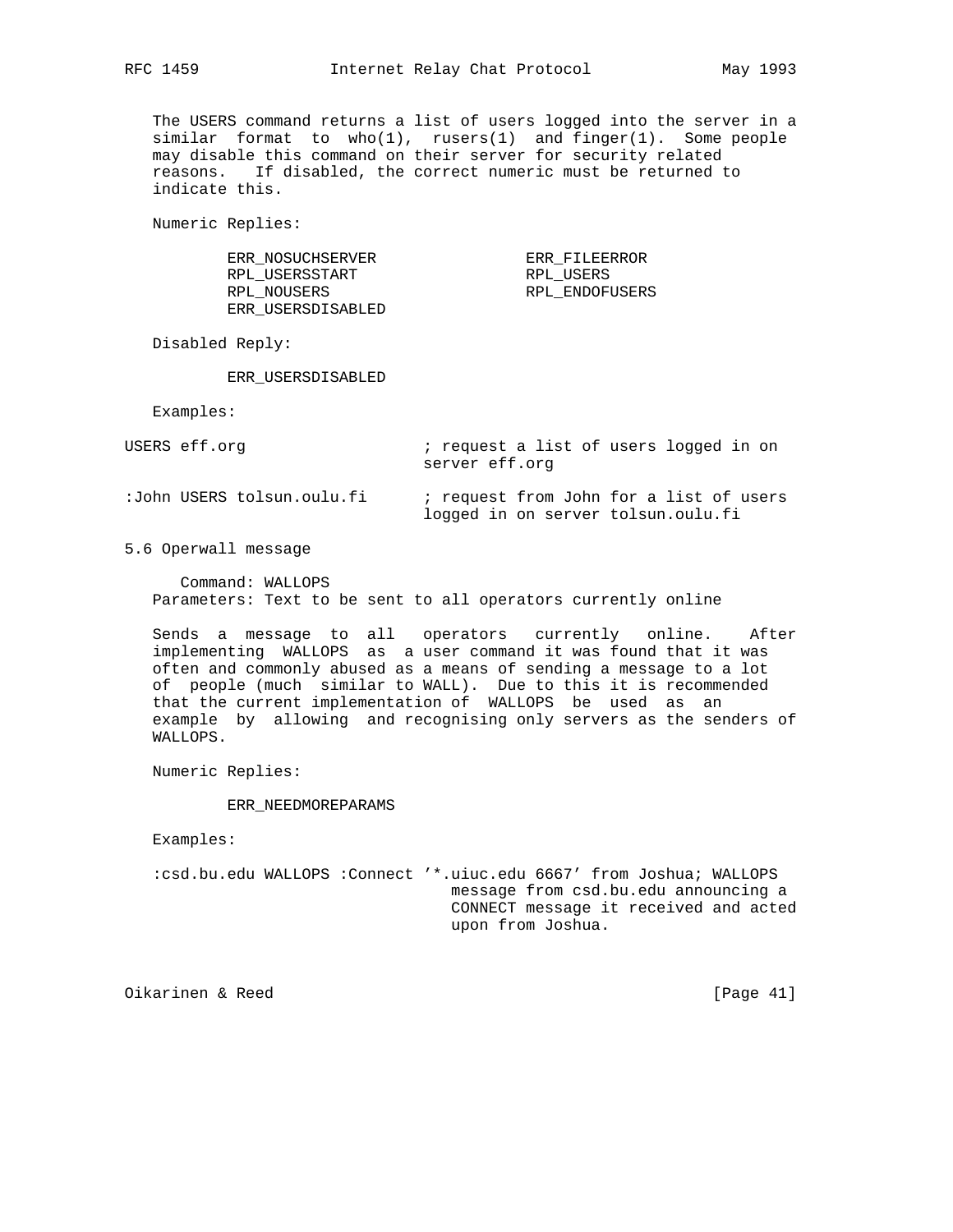The USERS command returns a list of users logged into the server in a similar format to  $who(1)$ , rusers(1) and finger(1). Some people may disable this command on their server for security related reasons. If disabled, the correct numeric must be returned to indicate this.

Numeric Replies:

| ERR NOSUCHSERVER  | ERR FILEERROR  |
|-------------------|----------------|
| RPL USERSSTART    | RPL USERS      |
| RPL NOUSERS       | RPL ENDOFUSERS |
| ERR USERSDISABLED |                |

Disabled Reply:

ERR\_USERSDISABLED

Examples:

| USERS eff.orq              | ; request a list of users logged in on<br>server eff.org                      |
|----------------------------|-------------------------------------------------------------------------------|
| :John USERS tolsun.oulu.fi | ; request from John for a list of users<br>logged in on server tolsun.oulu.fi |

5.6 Operwall message

 Command: WALLOPS Parameters: Text to be sent to all operators currently online

 Sends a message to all operators currently online. After implementing WALLOPS as a user command it was found that it was often and commonly abused as a means of sending a message to a lot of people (much similar to WALL). Due to this it is recommended that the current implementation of WALLOPS be used as an example by allowing and recognising only servers as the senders of WALLOPS.

Numeric Replies:

ERR\_NEEDMOREPARAMS

Examples:

 :csd.bu.edu WALLOPS :Connect '\*.uiuc.edu 6667' from Joshua; WALLOPS message from csd.bu.edu announcing a CONNECT message it received and acted upon from Joshua.

Oikarinen & Reed [Page 41]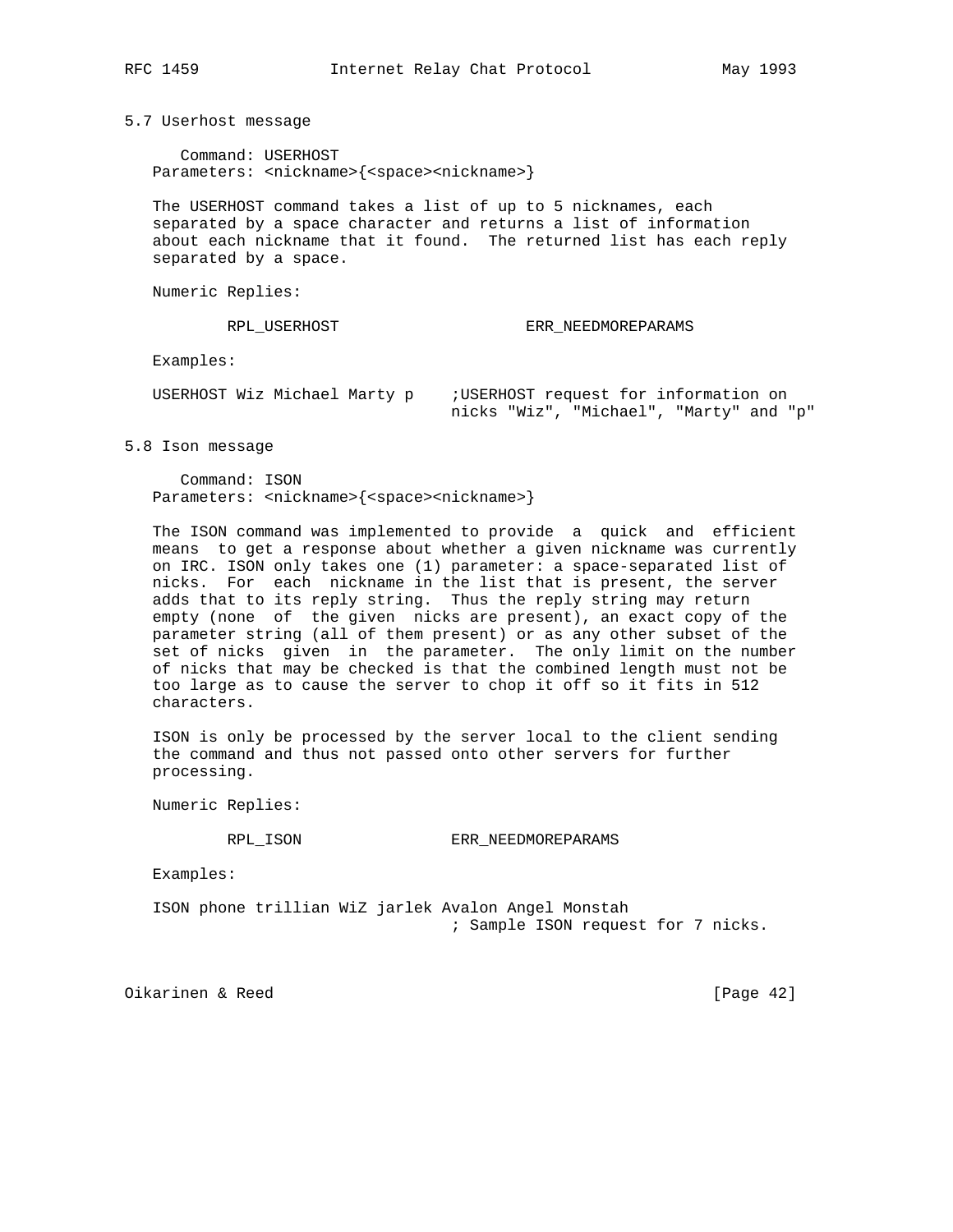5.7 Userhost message

 Command: USERHOST Parameters: <nickname>{<space><nickname>}

 The USERHOST command takes a list of up to 5 nicknames, each separated by a space character and returns a list of information about each nickname that it found. The returned list has each reply separated by a space.

Numeric Replies:

RPL\_USERHOST ERR\_NEEDMOREPARAMS

Examples:

| USERHOST Wiz Michael Marty p | ;USERHOST request for information on    |
|------------------------------|-----------------------------------------|
|                              | nicks "Wiz", "Michael", "Marty" and "p" |

5.8 Ison message

 Command: ISON Parameters: <nickname>{<space><nickname>}

 The ISON command was implemented to provide a quick and efficient means to get a response about whether a given nickname was currently on IRC. ISON only takes one (1) parameter: a space-separated list of nicks. For each nickname in the list that is present, the server adds that to its reply string. Thus the reply string may return empty (none of the given nicks are present), an exact copy of the parameter string (all of them present) or as any other subset of the set of nicks given in the parameter. The only limit on the number of nicks that may be checked is that the combined length must not be too large as to cause the server to chop it off so it fits in 512 characters.

 ISON is only be processed by the server local to the client sending the command and thus not passed onto other servers for further processing.

Numeric Replies:

RPL\_ISON ERR\_NEEDMOREPARAMS

Examples:

 ISON phone trillian WiZ jarlek Avalon Angel Monstah ; Sample ISON request for 7 nicks.

Oikarinen & Reed [Page 42]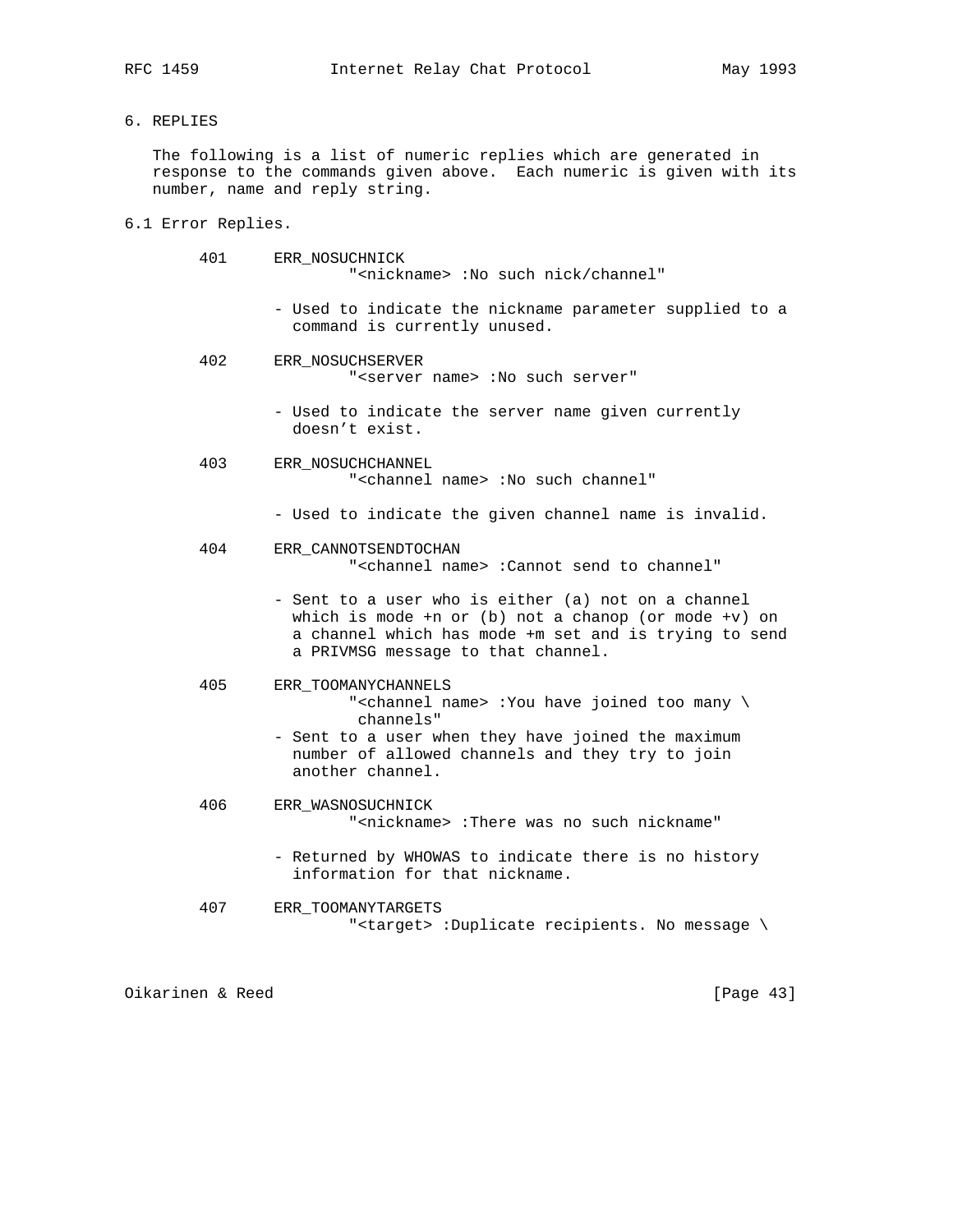6. REPLIES

 The following is a list of numeric replies which are generated in response to the commands given above. Each numeric is given with its number, name and reply string.

6.1 Error Replies.

| 401 | ERR NOSUCHNICK<br>" <nickname>: No such nick/channel"</nickname>                                                                                                                                                               |
|-----|--------------------------------------------------------------------------------------------------------------------------------------------------------------------------------------------------------------------------------|
|     | - Used to indicate the nickname parameter supplied to a<br>command is currently unused.                                                                                                                                        |
| 402 | ERR NOSUCHSERVER<br>" <server name=""> :No such server"</server>                                                                                                                                                               |
|     | - Used to indicate the server name given currently<br>doesn't exist.                                                                                                                                                           |
| 403 | ERR NOSUCHCHANNEL<br>" <channel name=""> :No such channel"</channel>                                                                                                                                                           |
|     | - Used to indicate the given channel name is invalid.                                                                                                                                                                          |
| 404 | ERR CANNOTSENDTOCHAN<br>" <channel name=""> :Cannot send to channel"</channel>                                                                                                                                                 |
|     | - Sent to a user who is either (a) not on a channel<br>which is mode +n or (b) not a chanop (or mode +v) on<br>a channel which has mode +m set and is trying to send<br>a PRIVMSG message to that channel.                     |
| 405 | ERR TOOMANYCHANNELS<br>" <channel name=""> :You have joined too many \<br/>channels"<br/>- Sent to a user when they have joined the maximum<br/>number of allowed channels and they try to join<br/>another channel.</channel> |
| 406 | ERR WASNOSUCHNICK<br>" <nickname>:There was no such nickname"</nickname>                                                                                                                                                       |
|     | - Returned by WHOWAS to indicate there is no history<br>information for that nickname.                                                                                                                                         |
| 407 | ERR TOOMANYTARGETS                                                                                                                                                                                                             |

"<target> :Duplicate recipients. No message \

Oikarinen & Reed [Page 43]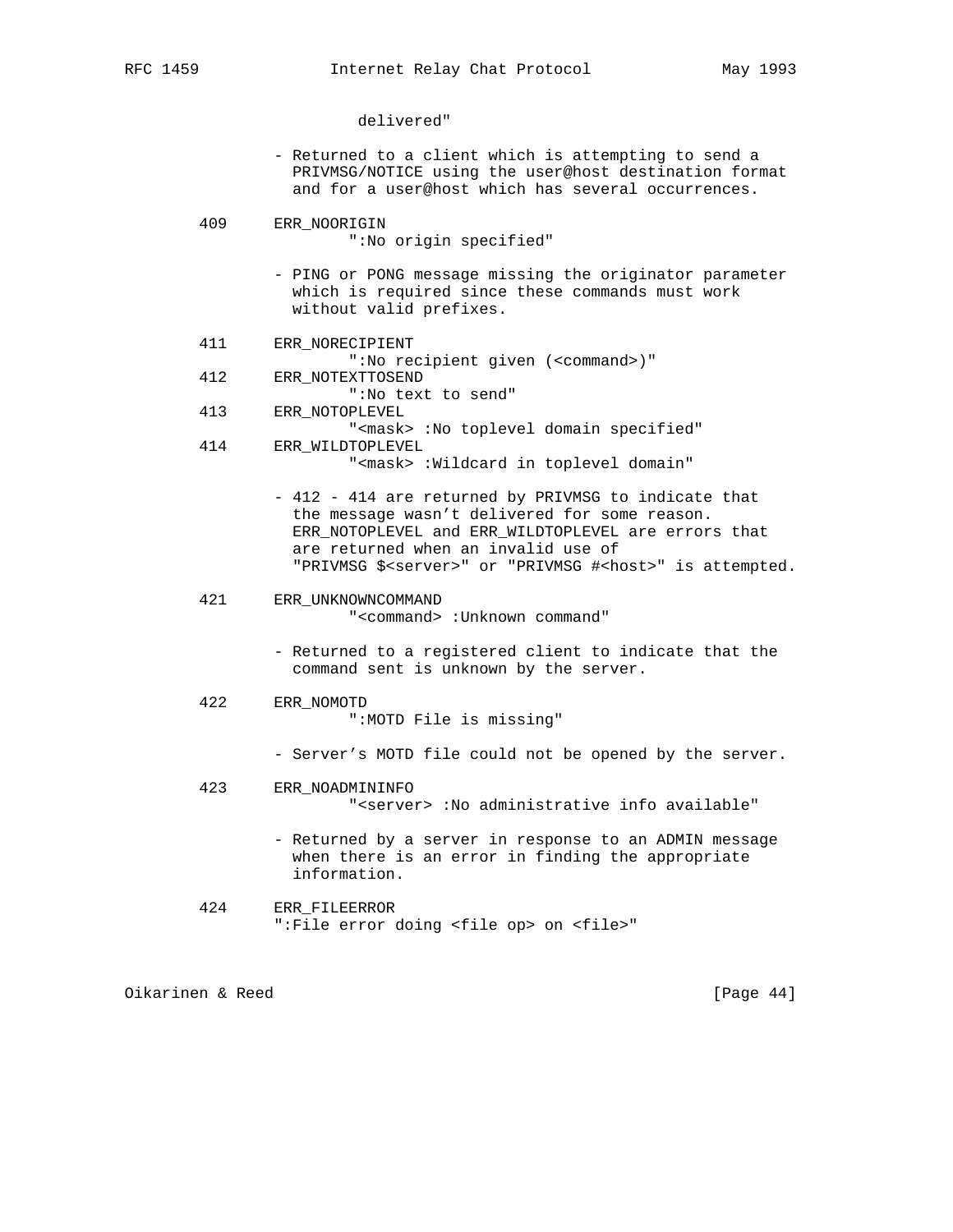delivered"

- Returned to a client which is attempting to send a PRIVMSG/NOTICE using the user@host destination format and for a user@host which has several occurrences.
- 409 ERR\_NOORIGIN ":No origin specified"
	- PING or PONG message missing the originator parameter which is required since these commands must work without valid prefixes.
- 411 ERR\_NORECIPIENT ":No recipient given (<command>)" 412 ERR\_NOTEXTTOSEND
- ":No text to send"
- 413 ERR\_NOTOPLEVEL "<mask> :No toplevel domain specified" 414 ERR\_WILDTOPLEVEL

"<mask> :Wildcard in toplevel domain"

 - 412 - 414 are returned by PRIVMSG to indicate that the message wasn't delivered for some reason. ERR\_NOTOPLEVEL and ERR\_WILDTOPLEVEL are errors that are returned when an invalid use of "PRIVMSG \$<server>" or "PRIVMSG #<host>" is attempted.

# 421 ERR\_UNKNOWNCOMMAND

"<command> :Unknown command"

- Returned to a registered client to indicate that the command sent is unknown by the server.
- 422 ERR\_NOMOTD ":MOTD File is missing"
	- Server's MOTD file could not be opened by the server.
- 423 ERR\_NOADMININFO "<server> :No administrative info available"
	- Returned by a server in response to an ADMIN message when there is an error in finding the appropriate information.
- 424 ERR\_FILEERROR ":File error doing <file op> on <file>"

Oikarinen & Reed [Page 44]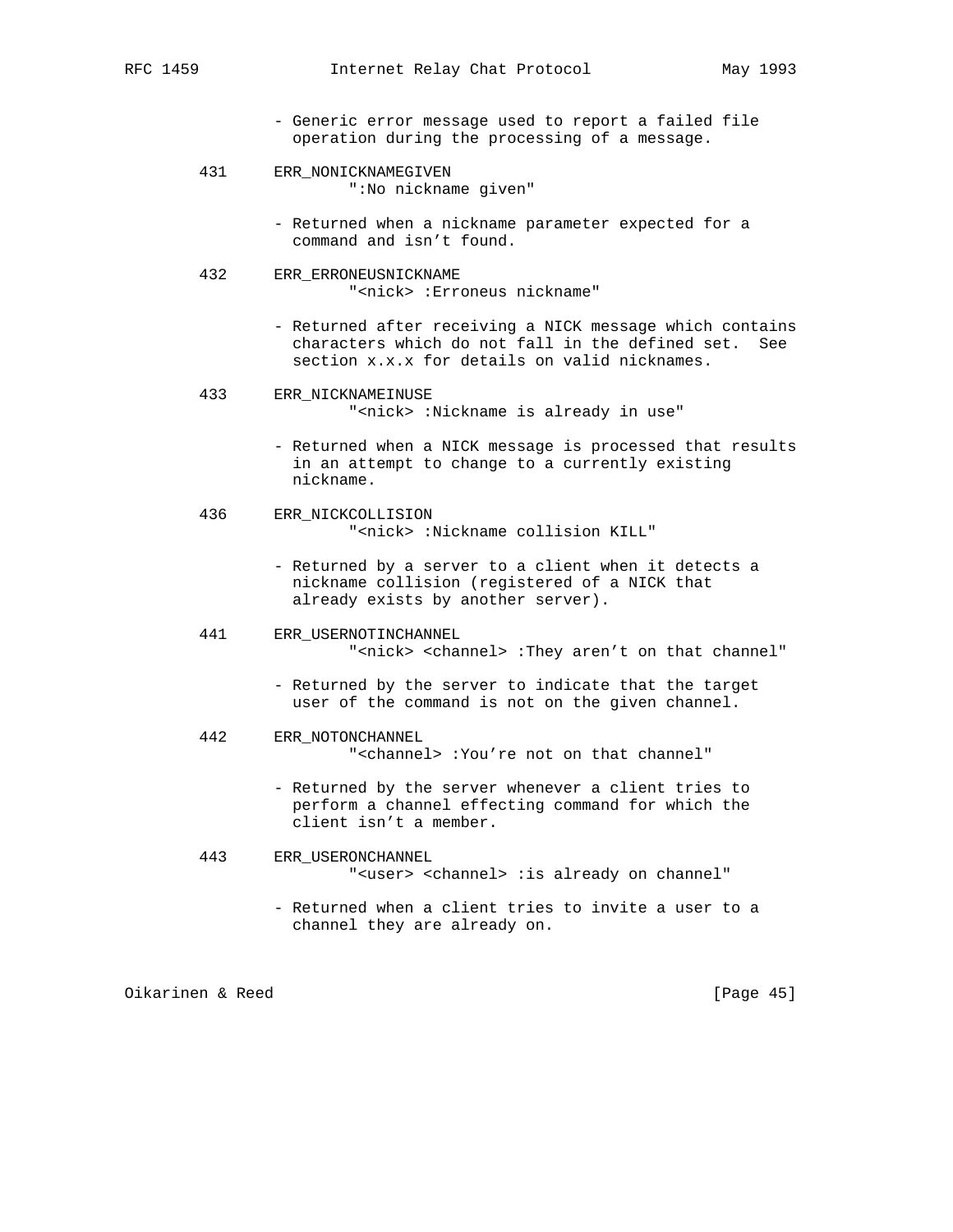- Generic error message used to report a failed file operation during the processing of a message.
- 431 ERR\_NONICKNAMEGIVEN ":No nickname given"
	- Returned when a nickname parameter expected for a command and isn't found.
- 432 ERR\_ERRONEUSNICKNAME "<nick> :Erroneus nickname"
	- Returned after receiving a NICK message which contains characters which do not fall in the defined set. See section x.x.x for details on valid nicknames.

#### 433 ERR\_NICKNAMEINUSE

"<nick> :Nickname is already in use"

- Returned when a NICK message is processed that results in an attempt to change to a currently existing nickname.
- 436 ERR\_NICKCOLLISION "<nick> :Nickname collision KILL"
	- Returned by a server to a client when it detects a nickname collision (registered of a NICK that already exists by another server).
- 441 ERR\_USERNOTINCHANNEL "<nick> <channel> :They aren't on that channel"
	- Returned by the server to indicate that the target user of the command is not on the given channel.
- 442 ERR\_NOTONCHANNEL "<channel> :You're not on that channel"
	- Returned by the server whenever a client tries to perform a channel effecting command for which the client isn't a member.
- 443 ERR\_USERONCHANNEL "<user> <channel> :is already on channel"
	- Returned when a client tries to invite a user to a channel they are already on.

Oikarinen & Reed [Page 45]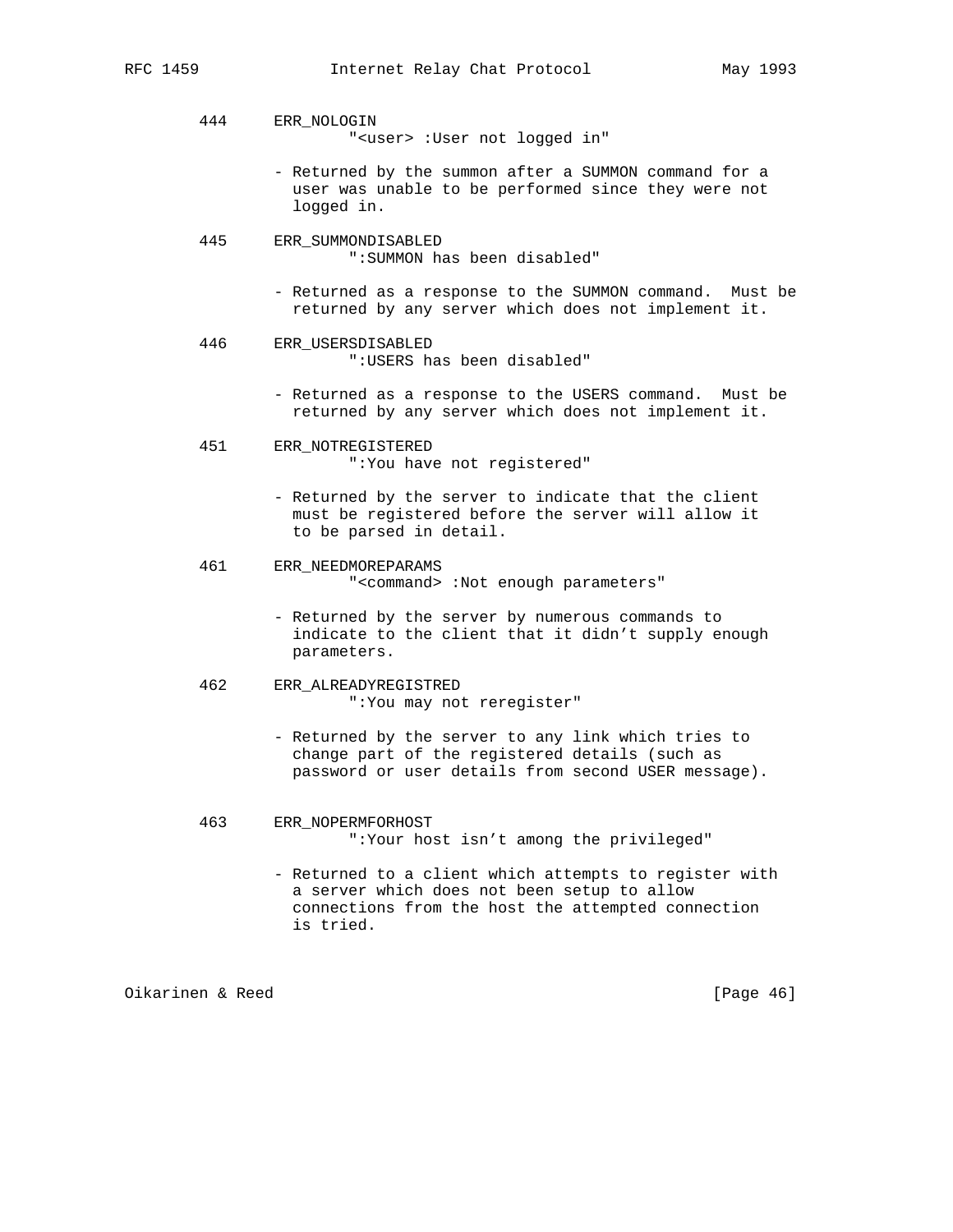444 ERR\_NOLOGIN

"<user> :User not logged in"

- Returned by the summon after a SUMMON command for a user was unable to be performed since they were not logged in.
- 445 ERR\_SUMMONDISABLED ":SUMMON has been disabled"
	- Returned as a response to the SUMMON command. Must be returned by any server which does not implement it.
- 446 ERR\_USERSDISABLED ":USERS has been disabled"
	- Returned as a response to the USERS command. Must be returned by any server which does not implement it.
- 451 ERR\_NOTREGISTERED ":You have not registered"
	- Returned by the server to indicate that the client must be registered before the server will allow it to be parsed in detail.
- 461 ERR\_NEEDMOREPARAMS "<command> :Not enough parameters"
	- Returned by the server by numerous commands to indicate to the client that it didn't supply enough parameters.
- 462 ERR\_ALREADYREGISTRED ":You may not reregister"
	- Returned by the server to any link which tries to change part of the registered details (such as password or user details from second USER message).
- 463 ERR\_NOPERMFORHOST ":Your host isn't among the privileged"
	- Returned to a client which attempts to register with a server which does not been setup to allow connections from the host the attempted connection is tried.

Oikarinen & Reed [Page 46]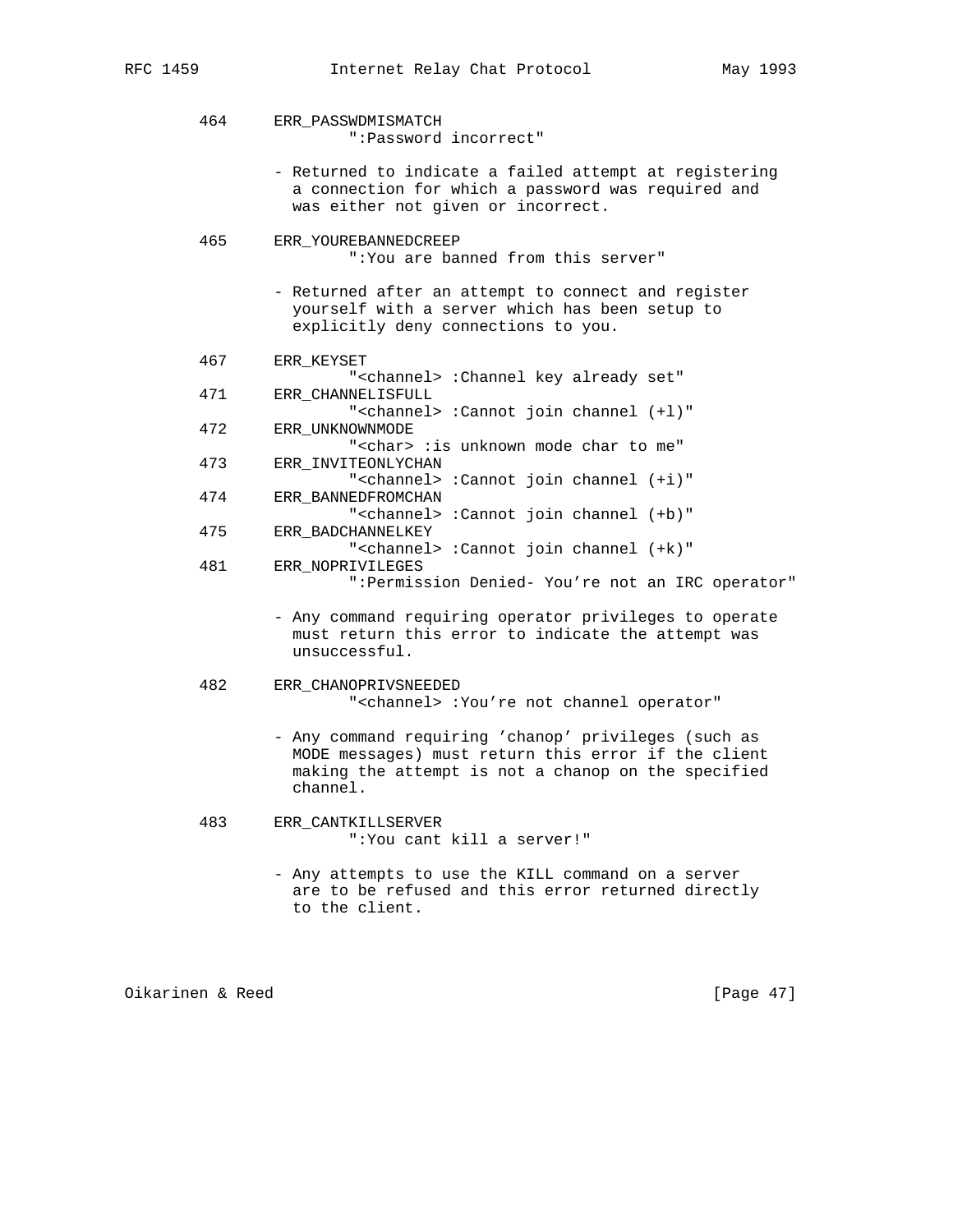| 464 | ERR PASSWDMISMATCH<br>":Password incorrect"                                                                                                        |
|-----|----------------------------------------------------------------------------------------------------------------------------------------------------|
|     | - Returned to indicate a failed attempt at registering<br>a connection for which a password was required and<br>was either not given or incorrect. |
| 465 | ERR_YOUREBANNEDCREEP<br>": You are banned from this server"                                                                                        |
|     | - Returned after an attempt to connect and register<br>yourself with a server which has been setup to<br>explicitly deny connections to you.       |
| 467 | ERR_KEYSET<br>" <channel> :Channel key already set"</channel>                                                                                      |
| 471 | ERR CHANNELISFULL<br>" <channel> :Cannot join channel (+1)"</channel>                                                                              |
| 472 | ERR UNKNOWNMODE<br>" <char> :is unknown mode char to me"</char>                                                                                    |
| 473 | ERR INVITEONLYCHAN<br>" <channel> :Cannot join channel (+i)"</channel>                                                                             |
| 474 | ERR_BANNEDFROMCHAN<br>" <channel> :Cannot join channel (+b)"</channel>                                                                             |
| 475 | ERR BADCHANNELKEY<br>" <channel> :Cannot join channel (+k)"</channel>                                                                              |
| 481 | ERR NOPRIVILEGES<br>": Permission Denied- You're not an IRC operator"                                                                              |
|     | - Any command requiring operator privileges to operate<br>must return this error to indicate the attempt was<br>unsuccessful.                      |
| 482 | ERR_CHANOPRIVSNEEDED<br>" <channel> :You're not channel operator"</channel>                                                                        |
|     | - Any command requiring 'chanop' privileges (such as                                                                                               |

- MODE messages) must return this error if the client making the attempt is not a chanop on the specified channel.
- 483 ERR\_CANTKILLSERVER ":You cant kill a server!"
	- Any attempts to use the KILL command on a server are to be refused and this error returned directly to the client.

Oikarinen & Reed [Page 47]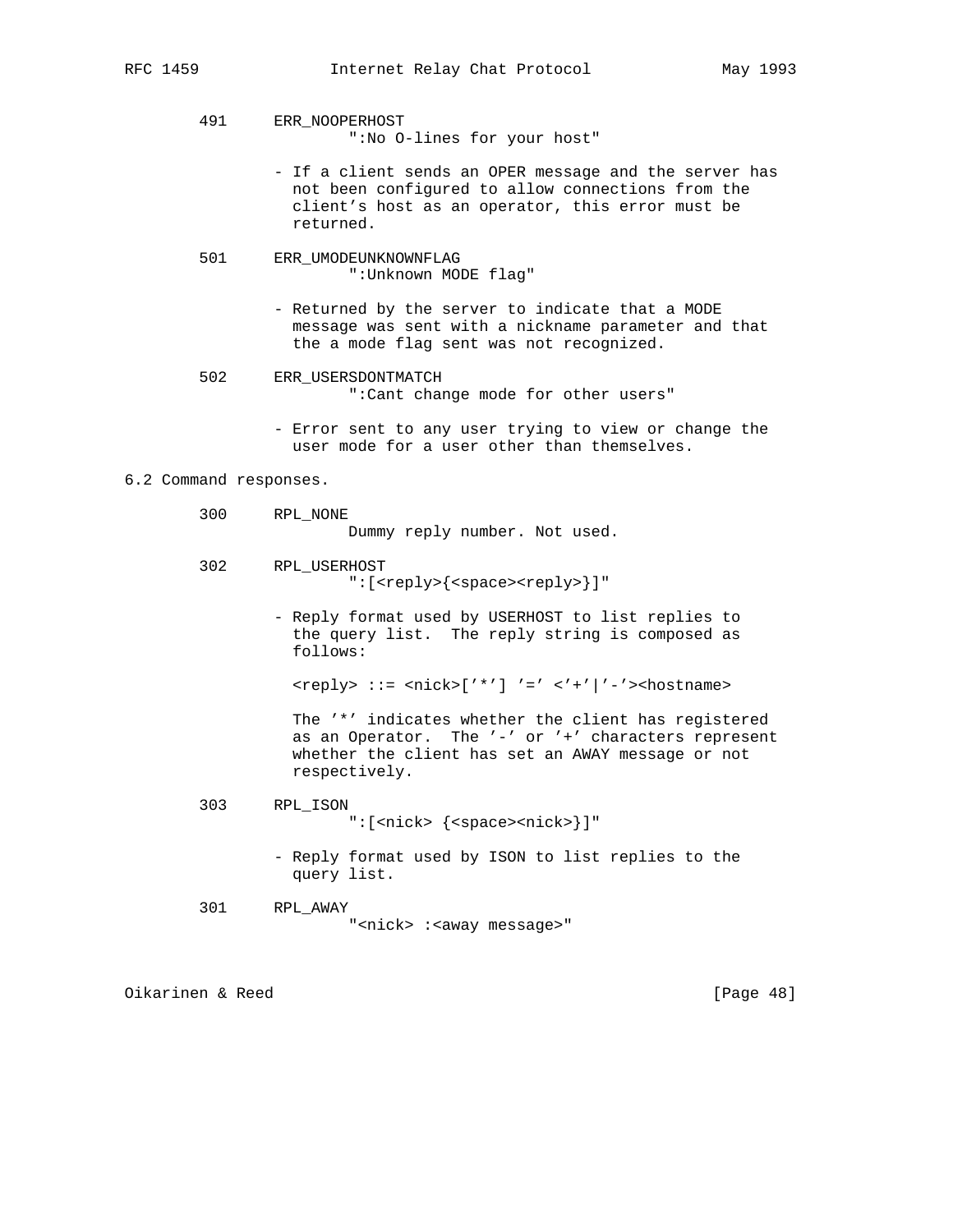491 ERR\_NOOPERHOST

":No O-lines for your host"

- If a client sends an OPER message and the server has not been configured to allow connections from the client's host as an operator, this error must be returned.
- 501 ERR\_UMODEUNKNOWNFLAG ":Unknown MODE flag"
	- Returned by the server to indicate that a MODE message was sent with a nickname parameter and that the a mode flag sent was not recognized.
- 502 ERR\_USERSDONTMATCH ":Cant change mode for other users"
	- Error sent to any user trying to view or change the user mode for a user other than themselves.

# 6.2 Command responses.

- 300 RPL\_NONE Dummy reply number. Not used.
- 302 RPL\_USERHOST ":[<reply>{<space><reply>}]"
	- Reply format used by USERHOST to list replies to the query list. The reply string is composed as follows:

<reply> ::= <nick>['\*'] '=' <'+'|'-'><hostname>

 The '\*' indicates whether the client has registered as an Operator. The '-' or '+' characters represent whether the client has set an AWAY message or not respectively.

- 303 RPL\_ISON ":[<nick> {<space><nick>}]"
	- Reply format used by ISON to list replies to the query list.
- 301 RPL\_AWAY "<nick>:<away message>"

Oikarinen & Reed [Page 48]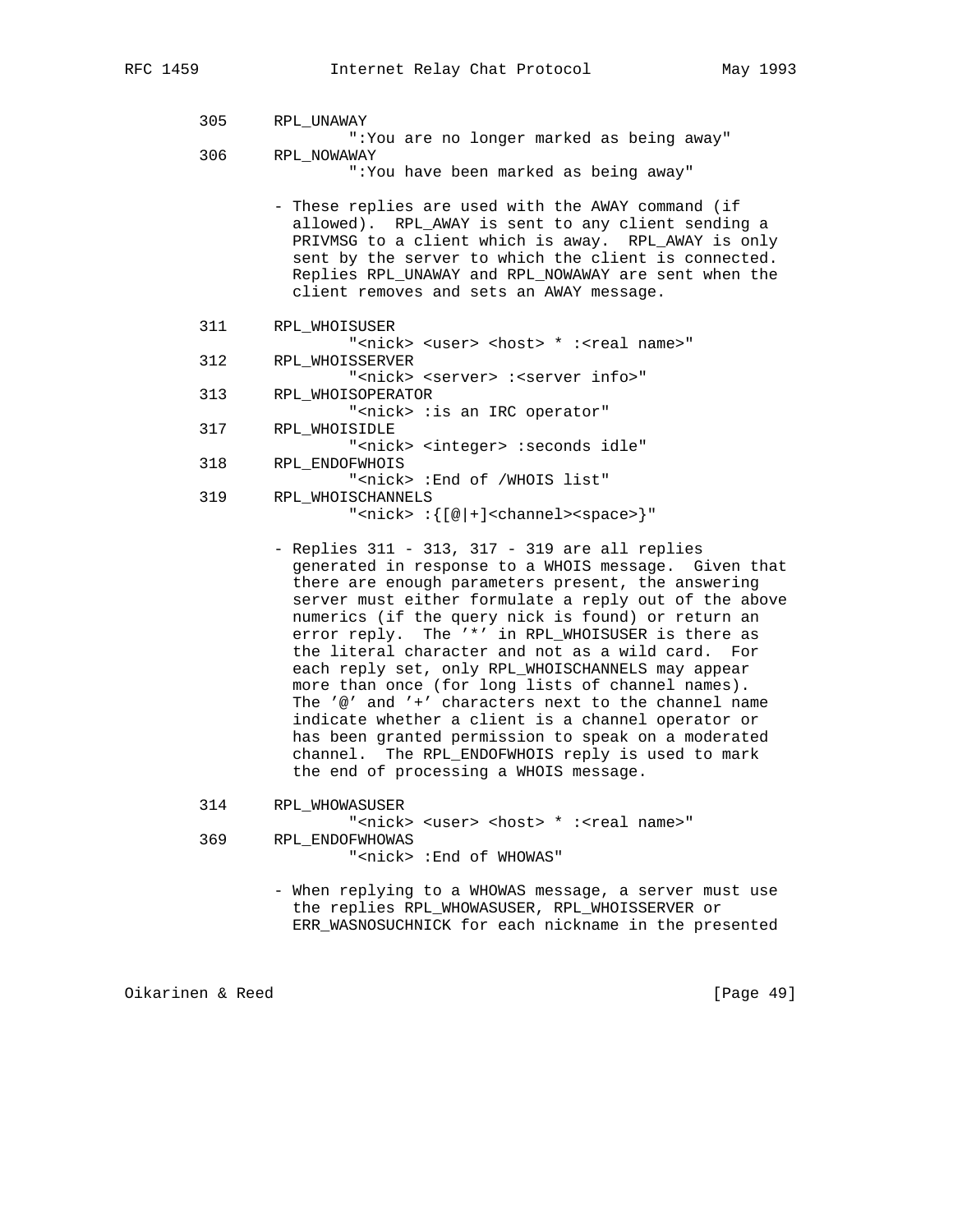| 305 | RPL UNAWAY                                                                           |
|-----|--------------------------------------------------------------------------------------|
|     | ":You are no longer marked as being away"                                            |
| 306 | RPL NOWAWAY                                                                          |
|     | ":You have been marked as being away"                                                |
|     |                                                                                      |
|     | - These replies are used with the AWAY command (if                                   |
|     | allowed). RPL_AWAY is sent to any client sending a                                   |
|     | PRIVMSG to a client which is away. RPL_AWAY is only                                  |
|     | sent by the server to which the client is connected.                                 |
|     | Replies RPL UNAWAY and RPL NOWAWAY are sent when the                                 |
|     | client removes and sets an AWAY message.                                             |
|     |                                                                                      |
| 311 | RPL WHOISUSER                                                                        |
|     | " <nick> <user> <host> * :<real name="">"</real></host></user></nick>                |
| 312 | RPL WHOISSERVER                                                                      |
|     | " <nick> <server> :<server info="">"</server></server></nick>                        |
| 313 |                                                                                      |
|     | RPL WHOISOPERATOR                                                                    |
|     | " <nick> :is an IRC operator"</nick>                                                 |
| 317 | RPL WHOISIDLE                                                                        |
|     | " <nick> <integer> :seconds idle"</integer></nick>                                   |
| 318 | RPL ENDOFWHOIS                                                                       |
|     | " <nick> : End of /WHOIS list"</nick>                                                |
| 319 | RPL WHOISCHANNELS                                                                    |
|     | " <nick> :<math>\{[\n\emptyset + ]</math><channel><space>}"</space></channel></nick> |

 - Replies 311 - 313, 317 - 319 are all replies generated in response to a WHOIS message. Given that there are enough parameters present, the answering server must either formulate a reply out of the above numerics (if the query nick is found) or return an error reply. The '\*' in RPL\_WHOISUSER is there as the literal character and not as a wild card. For each reply set, only RPL\_WHOISCHANNELS may appear more than once (for long lists of channel names). The '@' and '+' characters next to the channel name indicate whether a client is a channel operator or has been granted permission to speak on a moderated channel. The RPL\_ENDOFWHOIS reply is used to mark the end of processing a WHOIS message.

314 RPL\_WHOWASUSER

"<nick> <user> <host> \* :<real name>" 369 RPL\_ENDOFWHOWAS "<nick> :End of WHOWAS"

> - When replying to a WHOWAS message, a server must use the replies RPL\_WHOWASUSER, RPL\_WHOISSERVER or ERR\_WASNOSUCHNICK for each nickname in the presented

Oikarinen & Reed [Page 49]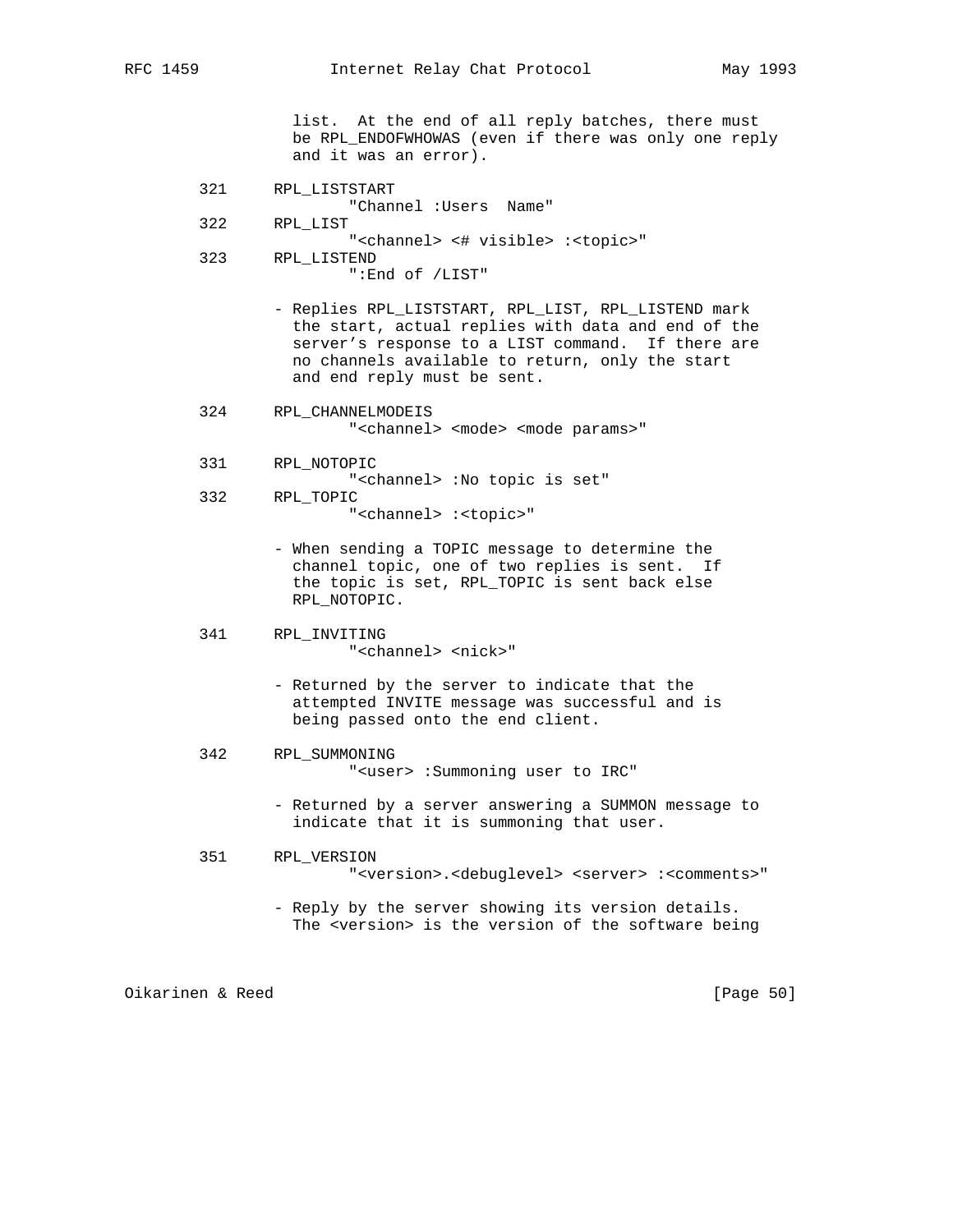list. At the end of all reply batches, there must be RPL\_ENDOFWHOWAS (even if there was only one reply and it was an error).

- 321 RPL\_LISTSTART "Channel :Users Name"
- 322 RPL\_LIST

"<channel> <# visible> :<topic>"

- 323 RPL\_LISTEND ":End of /LIST"
	- Replies RPL\_LISTSTART, RPL\_LIST, RPL\_LISTEND mark the start, actual replies with data and end of the server's response to a LIST command. If there are no channels available to return, only the start and end reply must be sent.
- 324 RPL\_CHANNELMODEIS "<channel> <mode> <mode params>"
- 331 RPL\_NOTOPIC "<channel> :No topic is set" 332 RPL\_TOPIC

"<channel> :<topic>"

- When sending a TOPIC message to determine the channel topic, one of two replies is sent. If the topic is set, RPL\_TOPIC is sent back else RPL\_NOTOPIC.
- 341 RPL\_INVITING "<channel> <nick>"
	- Returned by the server to indicate that the attempted INVITE message was successful and is being passed onto the end client.
- 342 RPL\_SUMMONING "<user> :Summoning user to IRC"
	- Returned by a server answering a SUMMON message to indicate that it is summoning that user.
- 351 RPL\_VERSION "<version>.<debuglevel> <server> :<comments>"
	- Reply by the server showing its version details. The <version> is the version of the software being

Oikarinen & Reed [Page 50]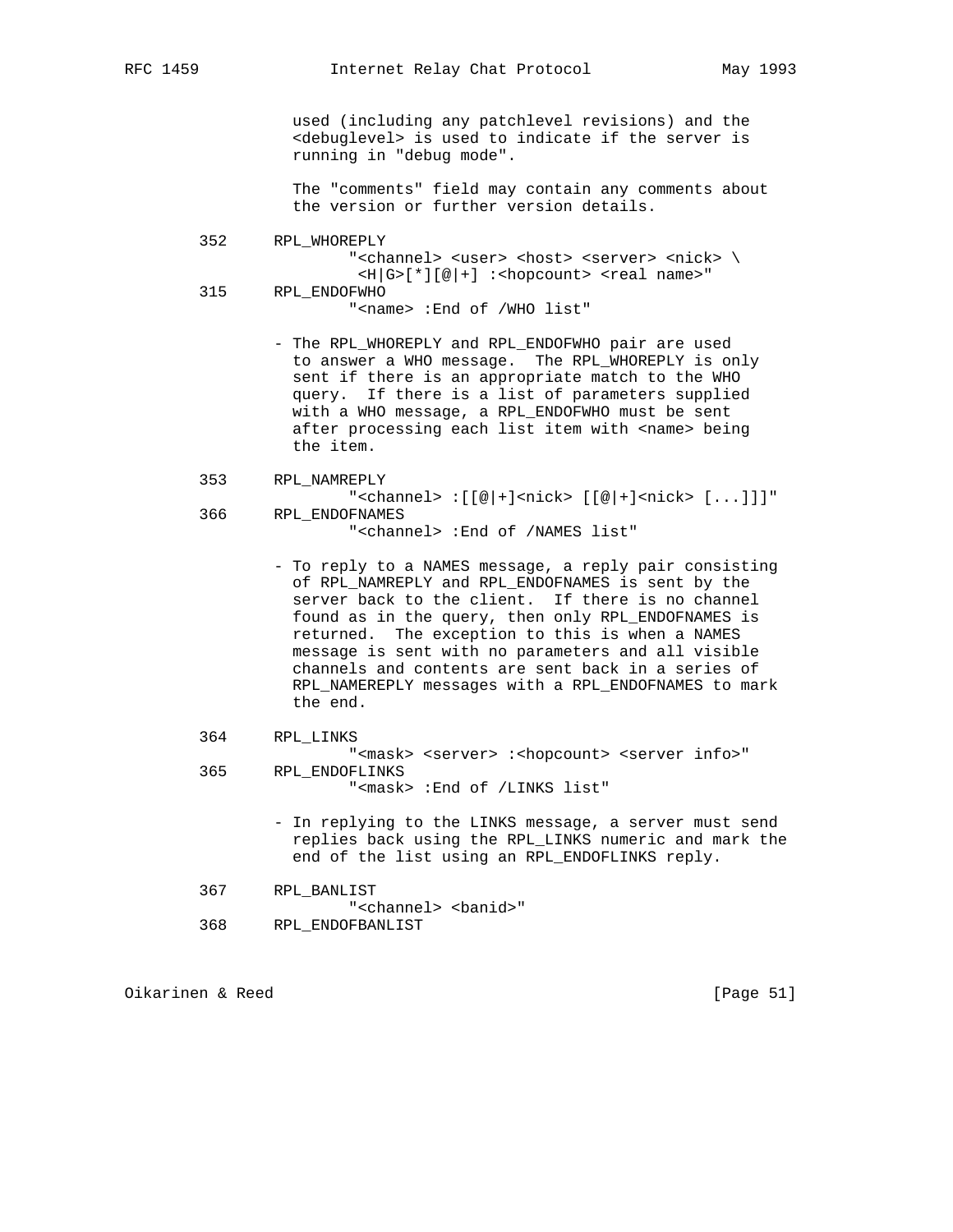used (including any patchlevel revisions) and the <debuglevel> is used to indicate if the server is running in "debug mode".

 The "comments" field may contain any comments about the version or further version details.

 352 RPL\_WHOREPLY "<channel> <user> <host> <server> <nick> \  $\lt H|G>[*][@]+]$  :  $\lt hopcount$   $\lt real$  name>" 315 RPL\_ENDOFWHO "<name> :End of /WHO list"

> - The RPL\_WHOREPLY and RPL\_ENDOFWHO pair are used to answer a WHO message. The RPL\_WHOREPLY is only sent if there is an appropriate match to the WHO query. If there is a list of parameters supplied with a WHO message, a RPL\_ENDOFWHO must be sent after processing each list item with <name> being the item.

```
 353 RPL_NAMREPLY
```
"<channel>  $:[[@]+]<sub>nick></sub> [[@]+]<sub>cnick</sub> [...]]"$  366 RPL\_ENDOFNAMES "<channel> :End of /NAMES list"

- To reply to a NAMES message, a reply pair consisting of RPL NAMREPLY and RPL ENDOFNAMES is sent by the server back to the client. If there is no channel found as in the query, then only RPL\_ENDOFNAMES is returned. The exception to this is when a NAMES message is sent with no parameters and all visible channels and contents are sent back in a series of RPL\_NAMEREPLY messages with a RPL\_ENDOFNAMES to mark the end.
- 364 RPL\_LINKS

 "<mask> <server> :<hopcount> <server info>" 365 RPL\_ENDOFLINKS "<mask> :End of /LINKS list"

- In replying to the LINKS message, a server must send replies back using the RPL\_LINKS numeric and mark the end of the list using an RPL\_ENDOFLINKS reply.
- 367 RPL\_BANLIST

"<channel> <br/> <br/>banid>" 368 RPL\_ENDOFBANLIST

Oikarinen & Reed [Page 51]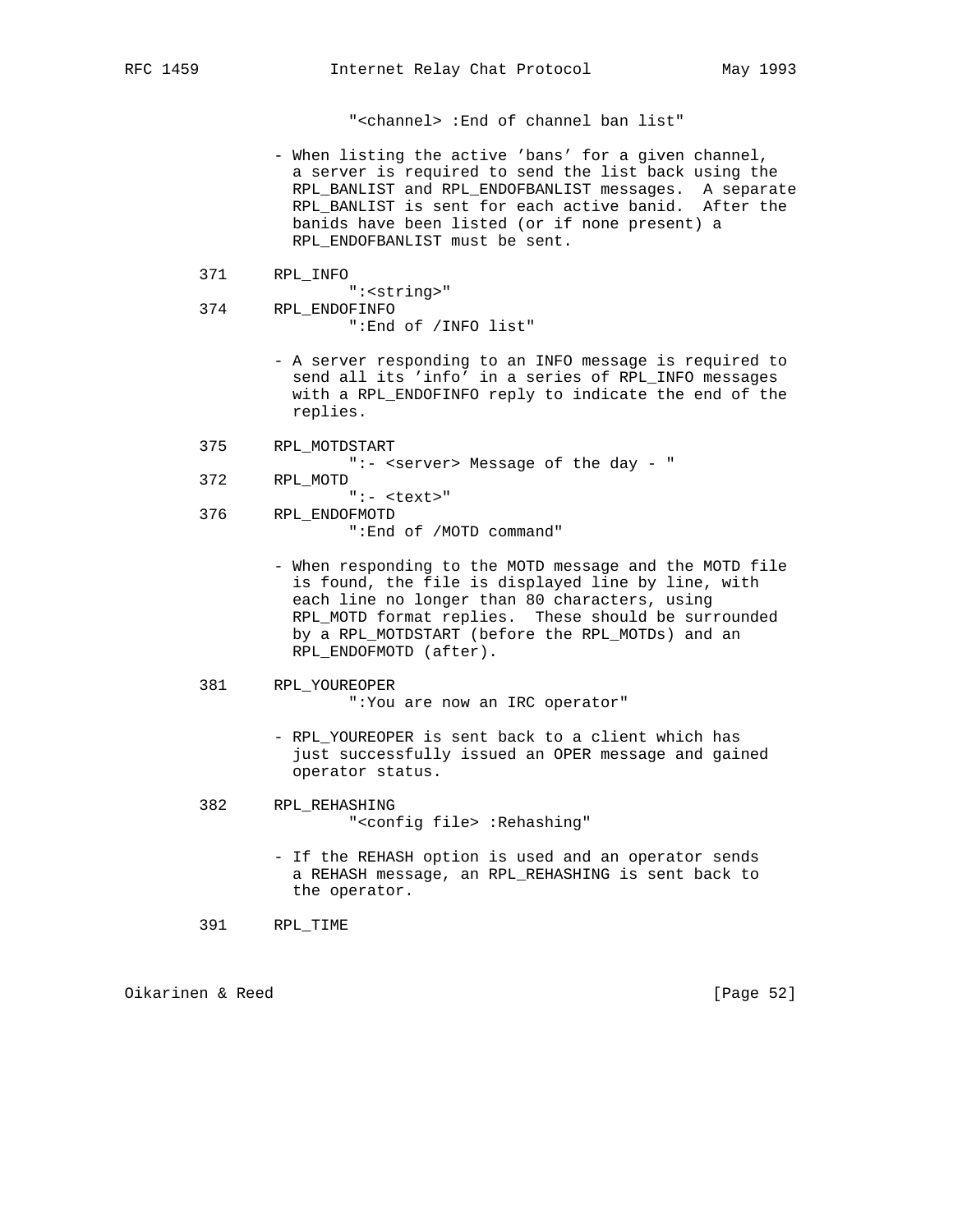"<channel> :End of channel ban list"

- When listing the active 'bans' for a given channel, a server is required to send the list back using the RPL\_BANLIST and RPL\_ENDOFBANLIST messages. A separate RPL\_BANLIST is sent for each active banid. After the banids have been listed (or if none present) a RPL\_ENDOFBANLIST must be sent.
	- 371 RPL\_INFO
	- ":<string>" 374 RPL\_ENDOFINFO ":End of /INFO list"
		- A server responding to an INFO message is required to send all its 'info' in a series of RPL\_INFO messages with a RPL\_ENDOFINFO reply to indicate the end of the replies.
	- 375 RPL\_MOTDSTART
		- ":- <server> Message of the day "
	- 372 RPL\_MOTD
	- ":- <text>" 376 RPL\_ENDOFMOTD ":End of /MOTD command"
		- When responding to the MOTD message and the MOTD file is found, the file is displayed line by line, with each line no longer than 80 characters, using RPL\_MOTD format replies. These should be surrounded by a RPL\_MOTDSTART (before the RPL\_MOTDs) and an RPL\_ENDOFMOTD (after).
	- 381 RPL\_YOUREOPER

":You are now an IRC operator"

- RPL\_YOUREOPER is sent back to a client which has just successfully issued an OPER message and gained operator status.
- 382 RPL\_REHASHING "<config file> :Rehashing"
	- If the REHASH option is used and an operator sends a REHASH message, an RPL\_REHASHING is sent back to the operator.
- 391 RPL\_TIME

Oikarinen & Reed [Page 52]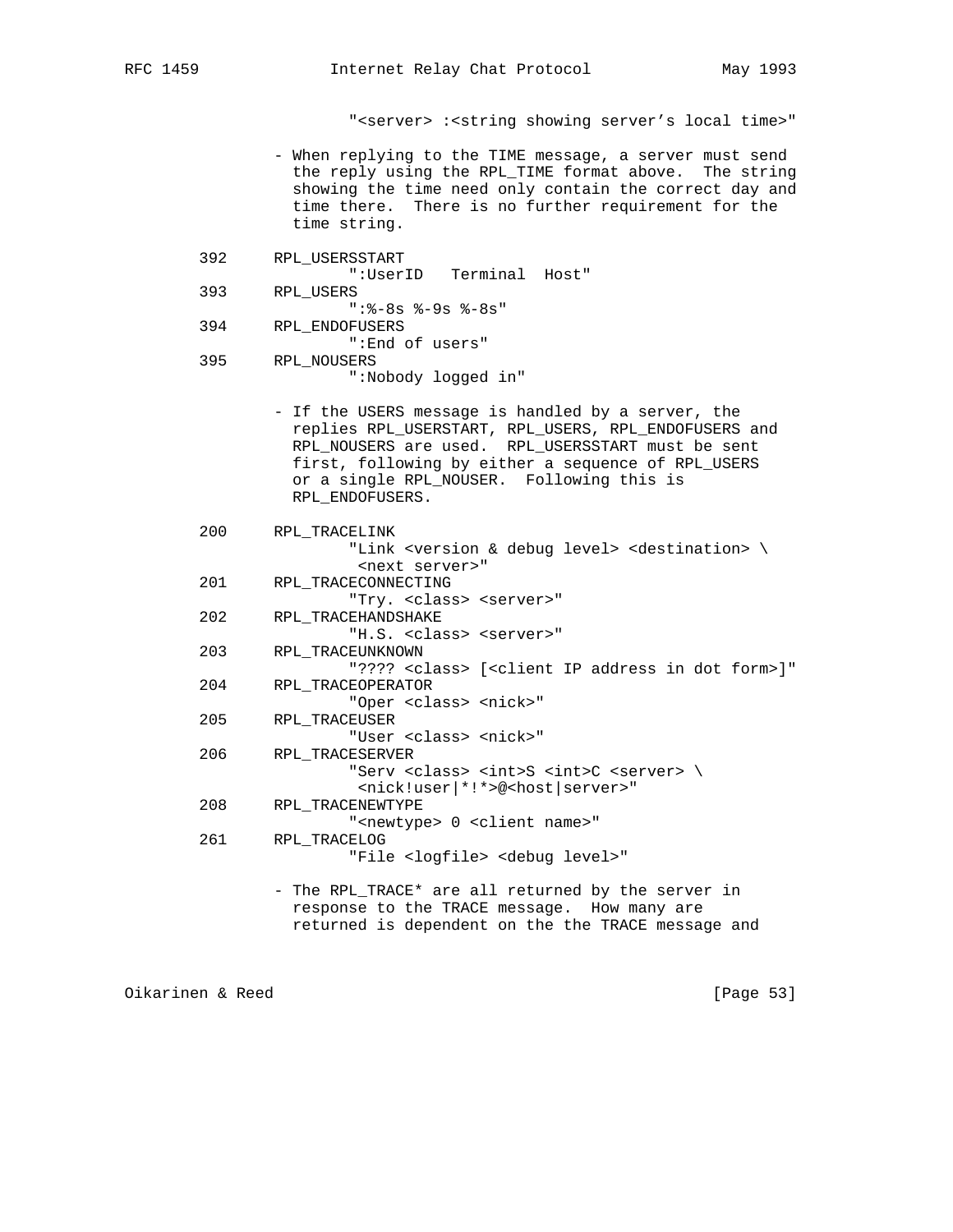"<server> :<string showing server's local time>"

- When replying to the TIME message, a server must send the reply using the RPL\_TIME format above. The string showing the time need only contain the correct day and time there. There is no further requirement for the time string.
- 392 RPL\_USERSSTART ":UserID Terminal Host" 393 RPL\_USERS
- ":%-8s %-9s %-8s"
- 394 RPL\_ENDOFUSERS ":End of users" 395 RPL\_NOUSERS
	- ":Nobody logged in"
	- If the USERS message is handled by a server, the replies RPL\_USERSTART, RPL\_USERS, RPL\_ENDOFUSERS and RPL\_NOUSERS are used. RPL\_USERSSTART must be sent first, following by either a sequence of RPL\_USERS or a single RPL\_NOUSER. Following this is RPL\_ENDOFUSERS.
- 200 RPL\_TRACELINK "Link <version & debug level> <destination> \ <next server>" 201 RPL\_TRACECONNECTING "Try. <class> <server>" 202 RPL\_TRACEHANDSHAKE "H.S. <class> <server>" 203 RPL\_TRACEUNKNOWN "???? <class> [<client IP address in dot form>]" 204 RPL\_TRACEOPERATOR "Oper <class> <nick>" 205 RPL\_TRACEUSER "User <class> <nick>" 206 RPL\_TRACESERVER "Serv <class> <int>S <int>C <server> \ <nick!user|\*!\*>@<host|server>" 208 RPL\_TRACENEWTYPE "<newtype> 0 <client name>" 261 RPL\_TRACELOG "File <logfile> <debug level>" - The RPL\_TRACE\* are all returned by the server in response to the TRACE message. How many are
	- returned is dependent on the the TRACE message and

Oikarinen & Reed [Page 53]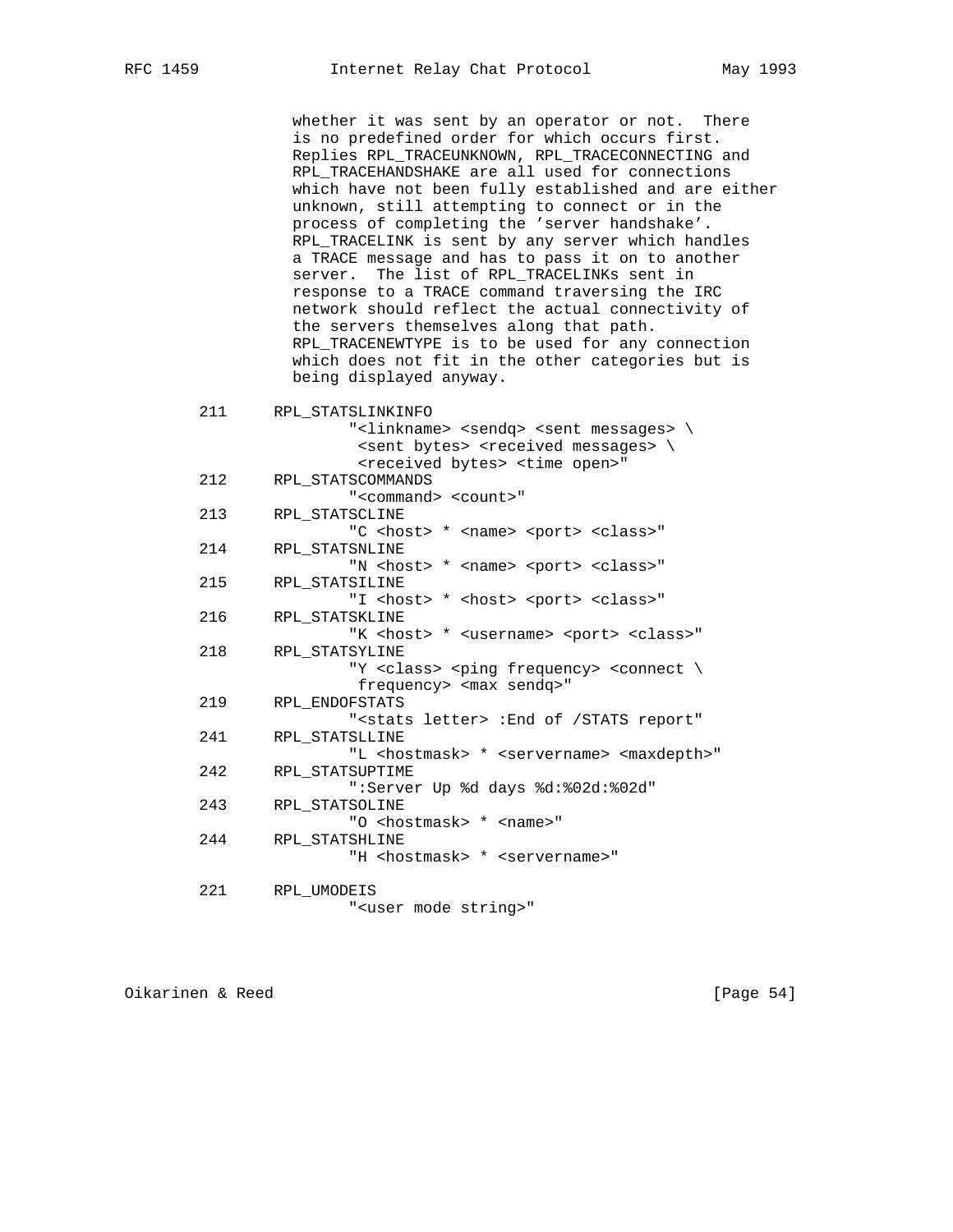whether it was sent by an operator or not. There is no predefined order for which occurs first. Replies RPL\_TRACEUNKNOWN, RPL\_TRACECONNECTING and RPL\_TRACEHANDSHAKE are all used for connections which have not been fully established and are either unknown, still attempting to connect or in the process of completing the 'server handshake'. RPL\_TRACELINK is sent by any server which handles a TRACE message and has to pass it on to another server. The list of RPL\_TRACELINKs sent in response to a TRACE command traversing the IRC network should reflect the actual connectivity of the servers themselves along that path. RPL\_TRACENEWTYPE is to be used for any connection which does not fit in the other categories but is being displayed anyway. 211 RPL\_STATSLINKINFO "<linkname> <sendq> <sent messages> \ <sent bytes> <received messages> \ <received bytes> <time open>" 212 RPL\_STATSCOMMANDS "<command> <count>" 213 RPL\_STATSCLINE "C <host> \* <name> <port> <class>" 214 RPL\_STATSNLINE "N <host> \* <name> <port> <class>" 215 RPL\_STATSILINE "I <host> \* <host> <port> <class>" 216 RPL\_STATSKLINE "K <host> \* <username> <port> <class>" 218 RPL\_STATSYLINE "Y <class> <ping frequency> <connect \ frequency> <max sendq>" 219 RPL\_ENDOFSTATS "<stats letter> :End of /STATS report" 241 RPL\_STATSLLINE "L <hostmask> \* <servername> <maxdepth>" 242 RPL\_STATSUPTIME ":Server Up %d days %d:%02d:%02d" 243 RPL\_STATSOLINE "O <hostmask> \* <name>" 244 RPL\_STATSHLINE "H <hostmask> \* <servername>"

 221 RPL\_UMODEIS "<user mode string>"

Oikarinen & Reed [Page 54]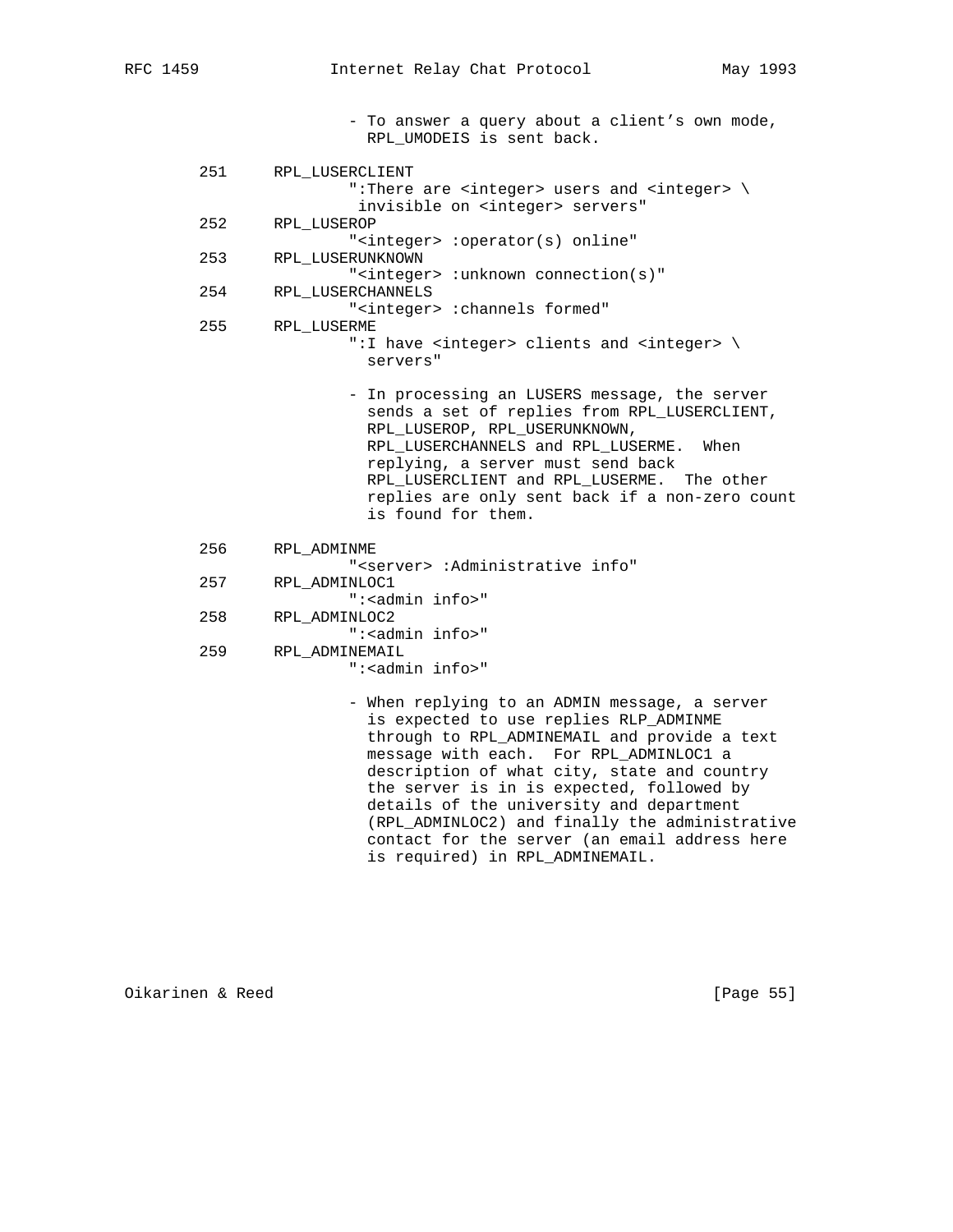- To answer a query about a client's own mode, RPL\_UMODEIS is sent back.

- 251 RPL\_LUSERCLIENT ":There are <integer> users and <integer> \ invisible on <integer> servers"<br>252 RPL LUSEROP RPL\_LUSEROP "<integer> :operator(s) online" 253 RPL\_LUSERUNKNOWN "<integer> :unknown connection(s)" 254 RPL\_LUSERCHANNELS "<integer> :channels formed" 255 RPL\_LUSERME ":I have <integer> clients and <integer> \ servers" - In processing an LUSERS message, the server sends a set of replies from RPL\_LUSERCLIENT, RPL\_LUSEROP, RPL\_USERUNKNOWN, RPL\_LUSERCHANNELS and RPL\_LUSERME. When replying, a server must send back RPL\_LUSERCLIENT and RPL\_LUSERME. The other replies are only sent back if a non-zero count is found for them. 256 RPL\_ADMINME "<server> :Administrative info" 257 RPL\_ADMINLOC1 ":<admin info>" 258 RPL\_ADMINLOC2 ":<admin info>" 259 RPL\_ADMINEMAIL
	- ":<admin info>"
	- When replying to an ADMIN message, a server is expected to use replies RLP\_ADMINME through to RPL\_ADMINEMAIL and provide a text message with each. For RPL\_ADMINLOC1 a description of what city, state and country the server is in is expected, followed by details of the university and department (RPL\_ADMINLOC2) and finally the administrative contact for the server (an email address here is required) in RPL\_ADMINEMAIL.

Oikarinen & Reed [Page 55]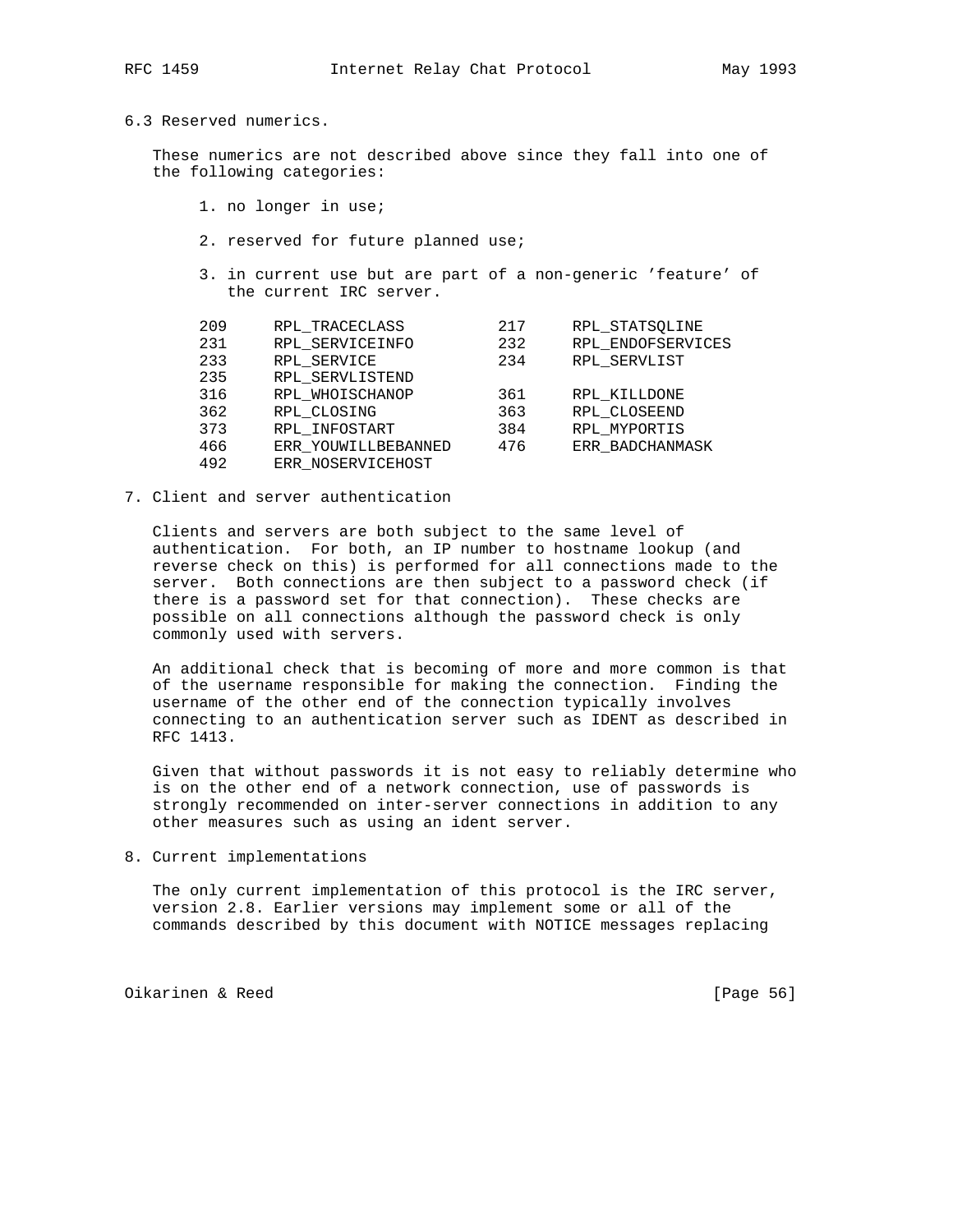### 6.3 Reserved numerics.

 These numerics are not described above since they fall into one of the following categories:

- 1. no longer in use;
- 2. reserved for future planned use;
- 3. in current use but are part of a non-generic 'feature' of the current IRC server.

| 209 | RPL TRACECLASS      | 217 | RPL STATSOLINE    |
|-----|---------------------|-----|-------------------|
| 231 | RPL SERVICEINFO     | 232 | RPL ENDOFSERVICES |
| 233 | RPL SERVICE         | 234 | RPL SERVLIST      |
| 235 | RPL SERVLISTEND     |     |                   |
| 316 | RPL WHOISCHANOP     | 361 | RPL KILLDONE      |
| 362 | RPL CLOSING         | 363 | RPL CLOSEEND      |
| 373 | RPL INFOSTART       | 384 | RPL MYPORTIS      |
| 466 | ERR YOUWILLBEBANNED | 476 | ERR BADCHANMASK   |
| 492 | ERR NOSERVICEHOST   |     |                   |

7. Client and server authentication

 Clients and servers are both subject to the same level of authentication. For both, an IP number to hostname lookup (and reverse check on this) is performed for all connections made to the server. Both connections are then subject to a password check (if there is a password set for that connection). These checks are possible on all connections although the password check is only commonly used with servers.

 An additional check that is becoming of more and more common is that of the username responsible for making the connection. Finding the username of the other end of the connection typically involves connecting to an authentication server such as IDENT as described in RFC 1413.

 Given that without passwords it is not easy to reliably determine who is on the other end of a network connection, use of passwords is strongly recommended on inter-server connections in addition to any other measures such as using an ident server.

8. Current implementations

 The only current implementation of this protocol is the IRC server, version 2.8. Earlier versions may implement some or all of the commands described by this document with NOTICE messages replacing

Oikarinen & Reed [Page 56]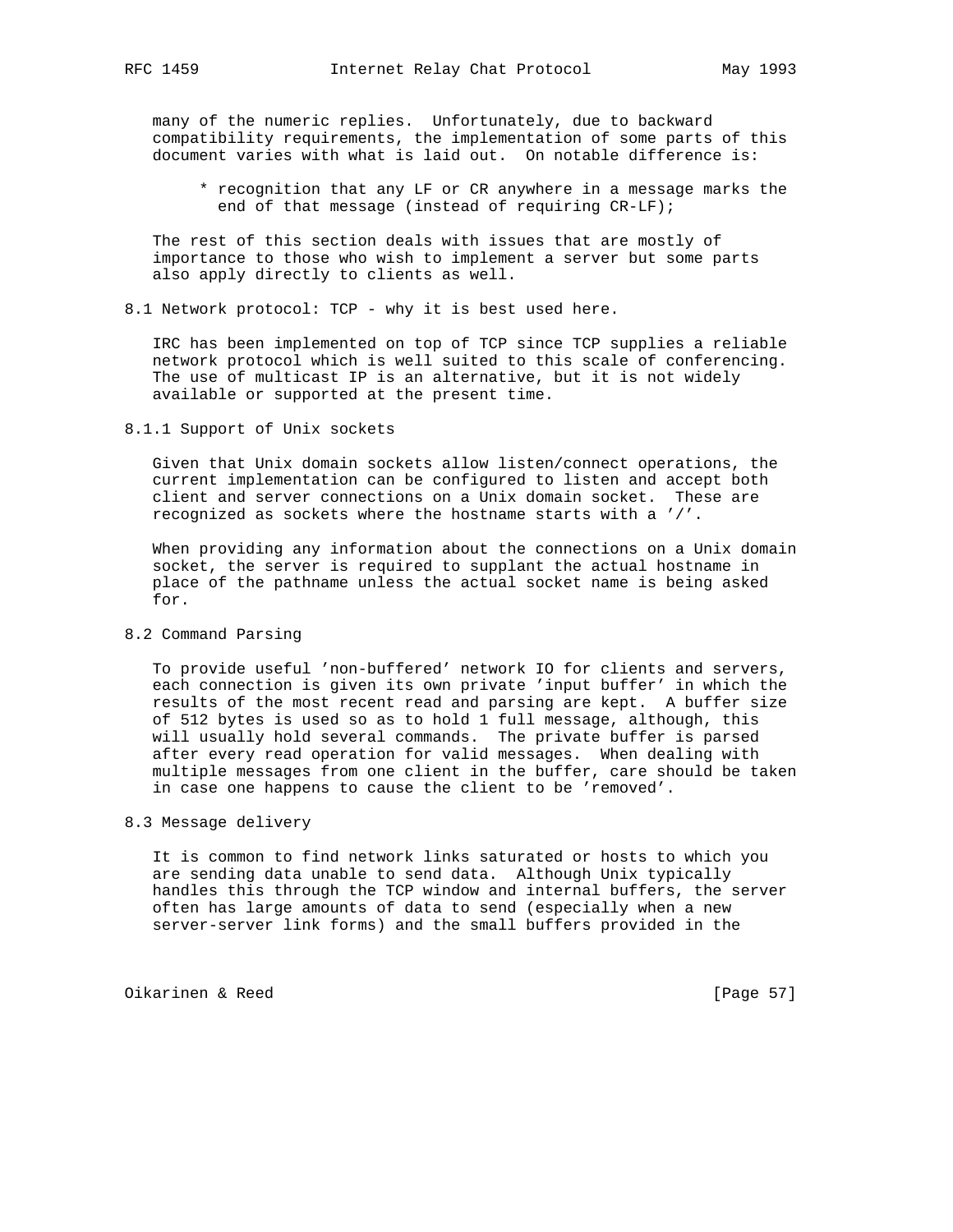many of the numeric replies. Unfortunately, due to backward compatibility requirements, the implementation of some parts of this document varies with what is laid out. On notable difference is:

 \* recognition that any LF or CR anywhere in a message marks the end of that message (instead of requiring CR-LF);

 The rest of this section deals with issues that are mostly of importance to those who wish to implement a server but some parts also apply directly to clients as well.

8.1 Network protocol: TCP - why it is best used here.

 IRC has been implemented on top of TCP since TCP supplies a reliable network protocol which is well suited to this scale of conferencing. The use of multicast IP is an alternative, but it is not widely available or supported at the present time.

8.1.1 Support of Unix sockets

 Given that Unix domain sockets allow listen/connect operations, the current implementation can be configured to listen and accept both client and server connections on a Unix domain socket. These are recognized as sockets where the hostname starts with a '/'.

 When providing any information about the connections on a Unix domain socket, the server is required to supplant the actual hostname in place of the pathname unless the actual socket name is being asked for.

8.2 Command Parsing

 To provide useful 'non-buffered' network IO for clients and servers, each connection is given its own private 'input buffer' in which the results of the most recent read and parsing are kept. A buffer size of 512 bytes is used so as to hold 1 full message, although, this will usually hold several commands. The private buffer is parsed after every read operation for valid messages. When dealing with multiple messages from one client in the buffer, care should be taken in case one happens to cause the client to be 'removed'.

# 8.3 Message delivery

 It is common to find network links saturated or hosts to which you are sending data unable to send data. Although Unix typically handles this through the TCP window and internal buffers, the server often has large amounts of data to send (especially when a new server-server link forms) and the small buffers provided in the

Oikarinen & Reed [Page 57]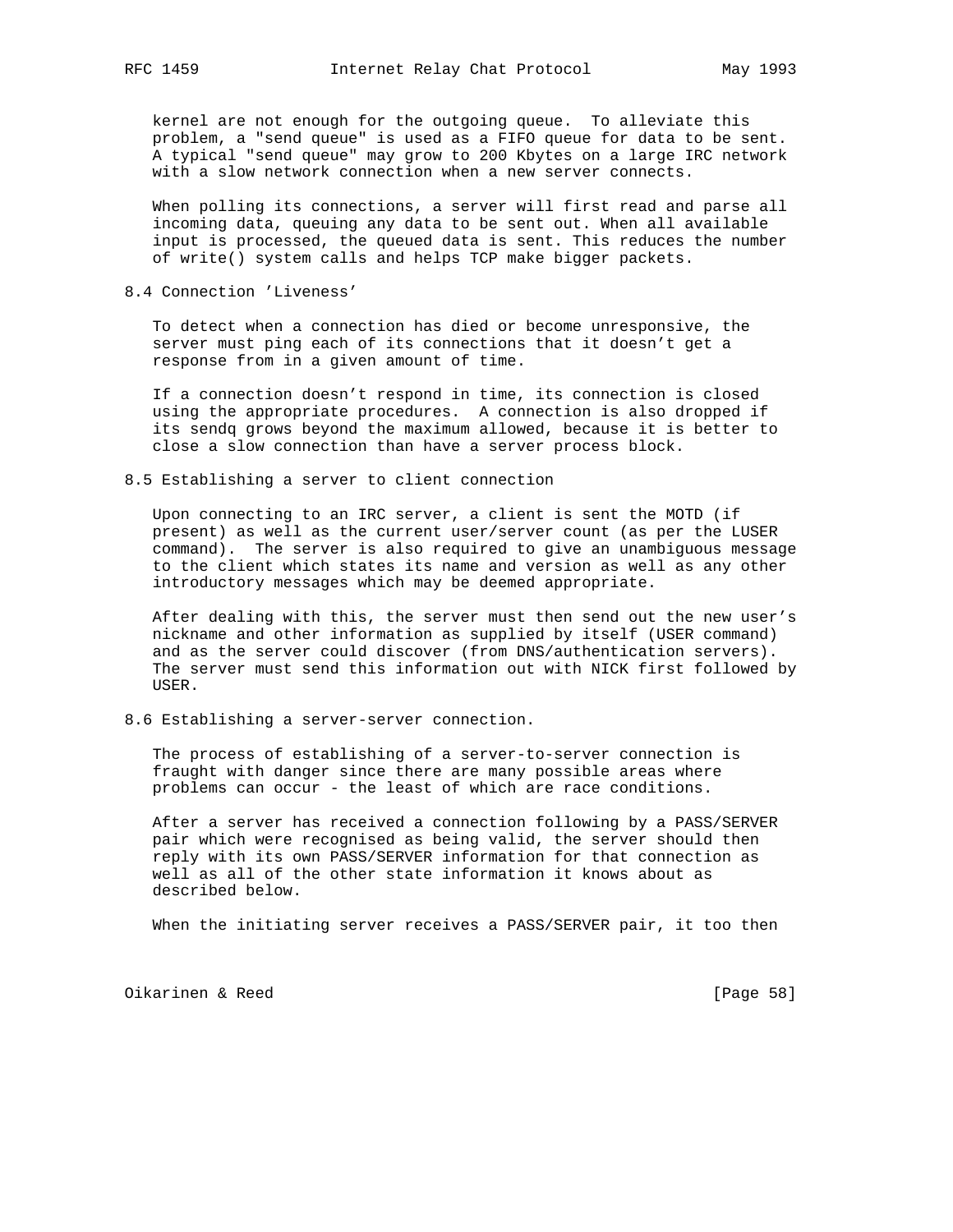kernel are not enough for the outgoing queue. To alleviate this problem, a "send queue" is used as a FIFO queue for data to be sent. A typical "send queue" may grow to 200 Kbytes on a large IRC network with a slow network connection when a new server connects.

 When polling its connections, a server will first read and parse all incoming data, queuing any data to be sent out. When all available input is processed, the queued data is sent. This reduces the number of write() system calls and helps TCP make bigger packets.

8.4 Connection 'Liveness'

 To detect when a connection has died or become unresponsive, the server must ping each of its connections that it doesn't get a response from in a given amount of time.

 If a connection doesn't respond in time, its connection is closed using the appropriate procedures. A connection is also dropped if its sendq grows beyond the maximum allowed, because it is better to close a slow connection than have a server process block.

8.5 Establishing a server to client connection

 Upon connecting to an IRC server, a client is sent the MOTD (if present) as well as the current user/server count (as per the LUSER command). The server is also required to give an unambiguous message to the client which states its name and version as well as any other introductory messages which may be deemed appropriate.

 After dealing with this, the server must then send out the new user's nickname and other information as supplied by itself (USER command) and as the server could discover (from DNS/authentication servers). The server must send this information out with NICK first followed by USER.

8.6 Establishing a server-server connection.

 The process of establishing of a server-to-server connection is fraught with danger since there are many possible areas where problems can occur - the least of which are race conditions.

 After a server has received a connection following by a PASS/SERVER pair which were recognised as being valid, the server should then reply with its own PASS/SERVER information for that connection as well as all of the other state information it knows about as described below.

When the initiating server receives a PASS/SERVER pair, it too then

Oikarinen & Reed [Page 58]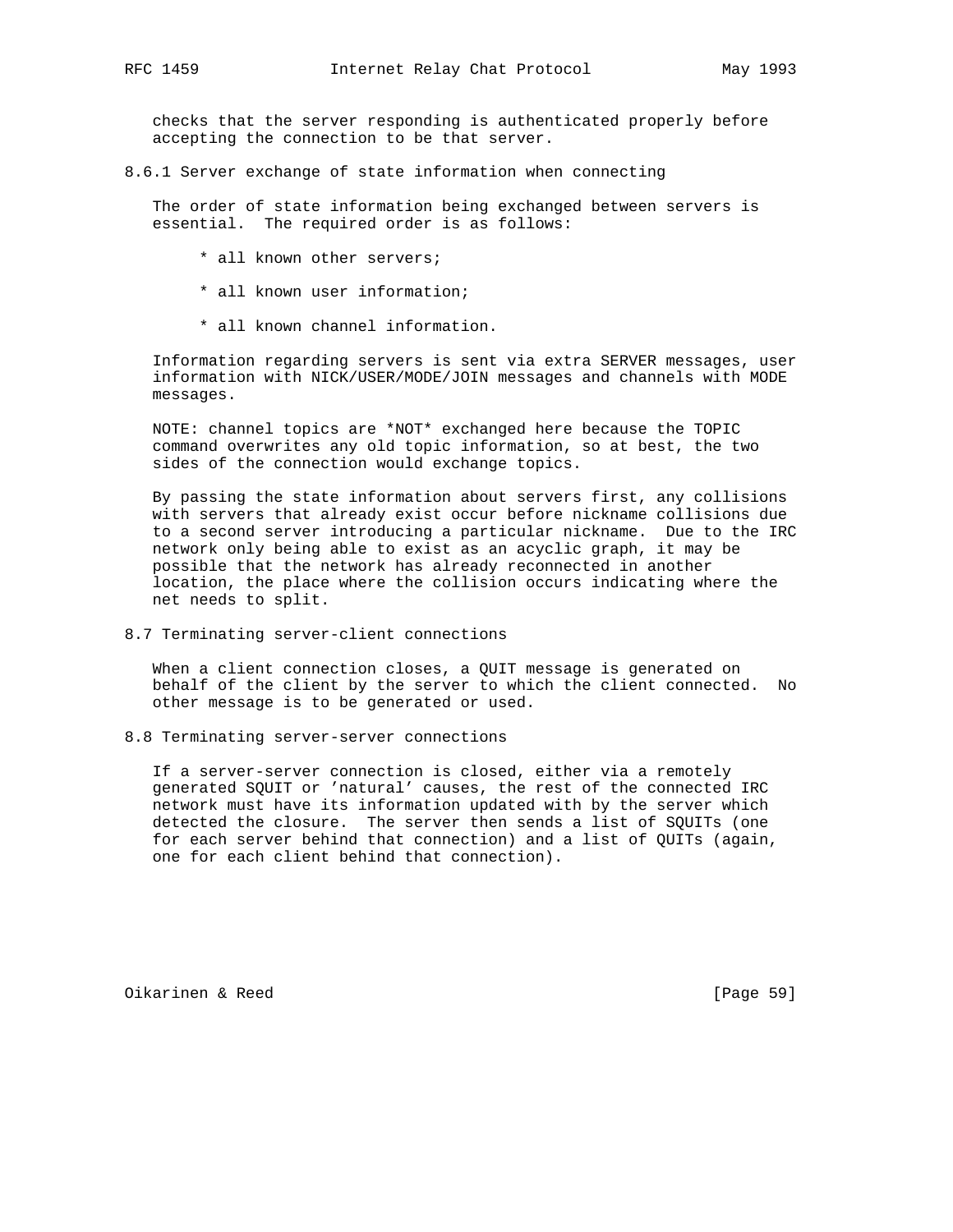checks that the server responding is authenticated properly before accepting the connection to be that server.

8.6.1 Server exchange of state information when connecting

 The order of state information being exchanged between servers is essential. The required order is as follows:

- \* all known other servers;
- \* all known user information;
- \* all known channel information.

 Information regarding servers is sent via extra SERVER messages, user information with NICK/USER/MODE/JOIN messages and channels with MODE messages.

 NOTE: channel topics are \*NOT\* exchanged here because the TOPIC command overwrites any old topic information, so at best, the two sides of the connection would exchange topics.

 By passing the state information about servers first, any collisions with servers that already exist occur before nickname collisions due to a second server introducing a particular nickname. Due to the IRC network only being able to exist as an acyclic graph, it may be possible that the network has already reconnected in another location, the place where the collision occurs indicating where the net needs to split.

8.7 Terminating server-client connections

 When a client connection closes, a QUIT message is generated on behalf of the client by the server to which the client connected. No other message is to be generated or used.

8.8 Terminating server-server connections

 If a server-server connection is closed, either via a remotely generated SQUIT or 'natural' causes, the rest of the connected IRC network must have its information updated with by the server which detected the closure. The server then sends a list of SQUITs (one for each server behind that connection) and a list of QUITs (again, one for each client behind that connection).

Oikarinen & Reed [Page 59]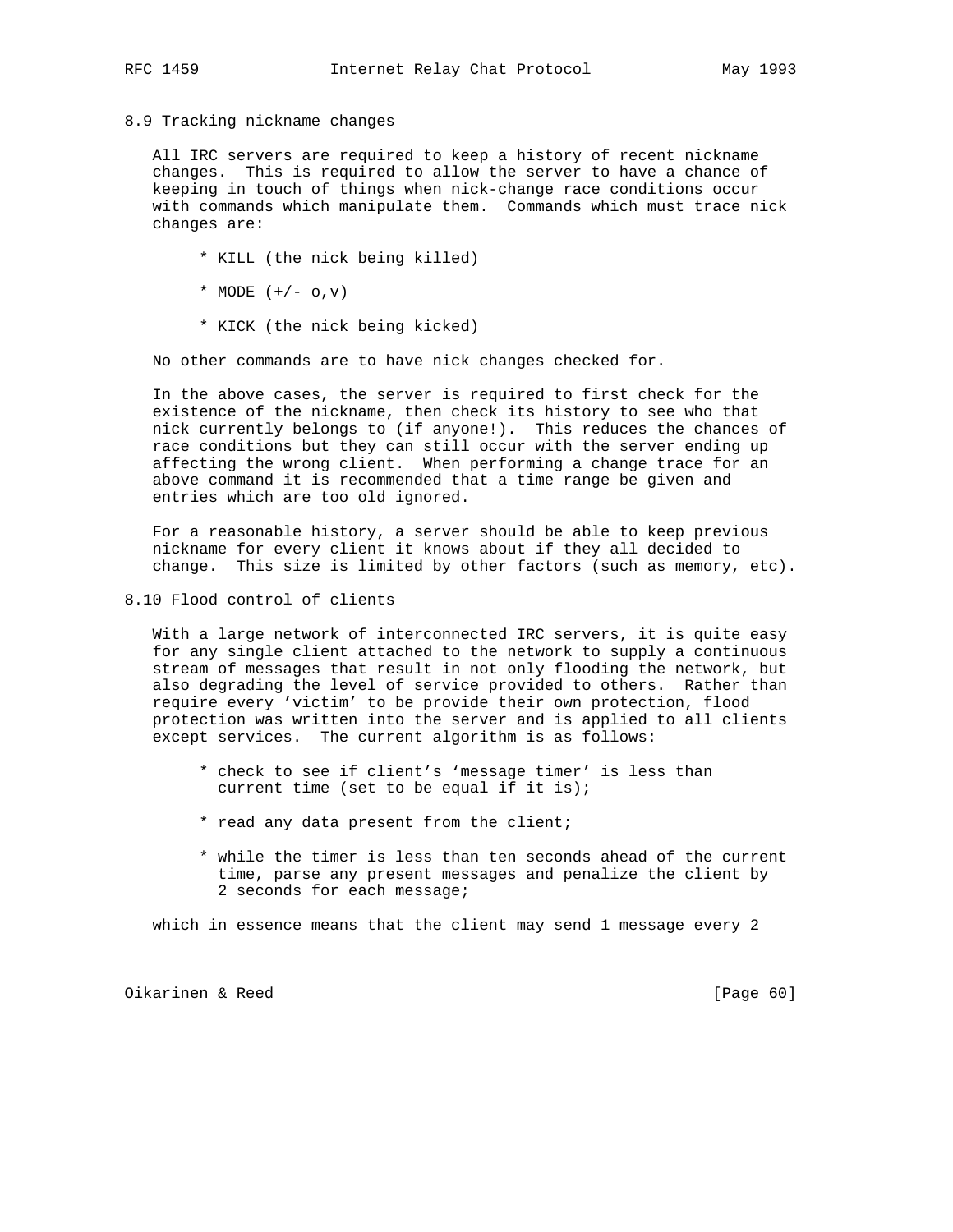#### 8.9 Tracking nickname changes

 All IRC servers are required to keep a history of recent nickname changes. This is required to allow the server to have a chance of keeping in touch of things when nick-change race conditions occur with commands which manipulate them. Commands which must trace nick changes are:

- \* KILL (the nick being killed)
- \* MODE  $(+/- 0, v)$
- \* KICK (the nick being kicked)

No other commands are to have nick changes checked for.

 In the above cases, the server is required to first check for the existence of the nickname, then check its history to see who that nick currently belongs to (if anyone!). This reduces the chances of race conditions but they can still occur with the server ending up affecting the wrong client. When performing a change trace for an above command it is recommended that a time range be given and entries which are too old ignored.

 For a reasonable history, a server should be able to keep previous nickname for every client it knows about if they all decided to change. This size is limited by other factors (such as memory, etc).

8.10 Flood control of clients

 With a large network of interconnected IRC servers, it is quite easy for any single client attached to the network to supply a continuous stream of messages that result in not only flooding the network, but also degrading the level of service provided to others. Rather than require every 'victim' to be provide their own protection, flood protection was written into the server and is applied to all clients except services. The current algorithm is as follows:

- \* check to see if client's 'message timer' is less than current time (set to be equal if it is);
- \* read any data present from the client;
- \* while the timer is less than ten seconds ahead of the current time, parse any present messages and penalize the client by 2 seconds for each message;

which in essence means that the client may send 1 message every 2

Oikarinen & Reed [Page 60]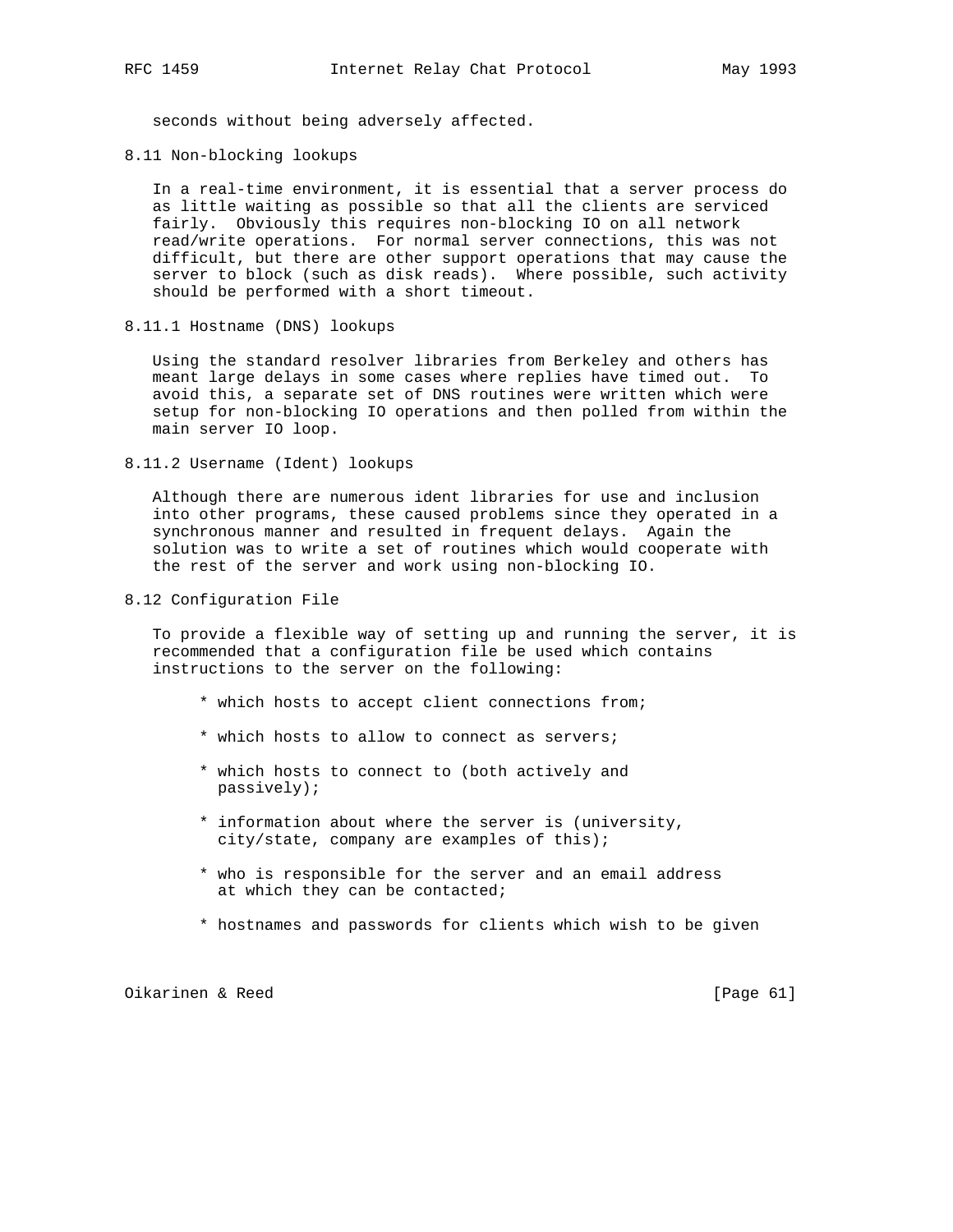seconds without being adversely affected.

8.11 Non-blocking lookups

 In a real-time environment, it is essential that a server process do as little waiting as possible so that all the clients are serviced fairly. Obviously this requires non-blocking IO on all network read/write operations. For normal server connections, this was not difficult, but there are other support operations that may cause the server to block (such as disk reads). Where possible, such activity should be performed with a short timeout.

8.11.1 Hostname (DNS) lookups

 Using the standard resolver libraries from Berkeley and others has meant large delays in some cases where replies have timed out. To avoid this, a separate set of DNS routines were written which were setup for non-blocking IO operations and then polled from within the main server IO loop.

8.11.2 Username (Ident) lookups

 Although there are numerous ident libraries for use and inclusion into other programs, these caused problems since they operated in a synchronous manner and resulted in frequent delays. Again the solution was to write a set of routines which would cooperate with the rest of the server and work using non-blocking IO.

8.12 Configuration File

 To provide a flexible way of setting up and running the server, it is recommended that a configuration file be used which contains instructions to the server on the following:

- \* which hosts to accept client connections from;
- \* which hosts to allow to connect as servers;
- \* which hosts to connect to (both actively and passively);
- \* information about where the server is (university, city/state, company are examples of this);
- \* who is responsible for the server and an email address at which they can be contacted;
- \* hostnames and passwords for clients which wish to be given

Oikarinen & Reed [Page 61]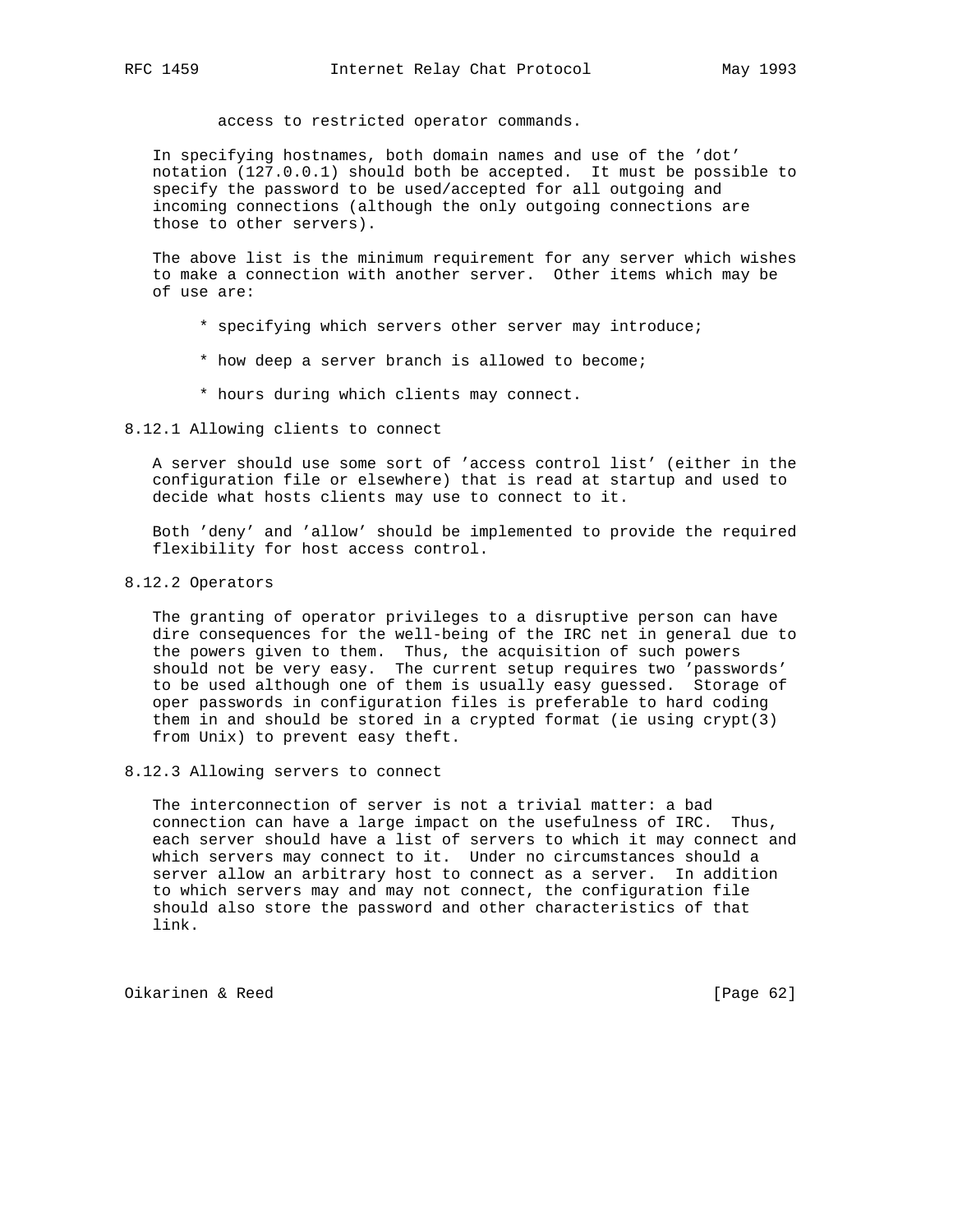access to restricted operator commands.

 In specifying hostnames, both domain names and use of the 'dot' notation (127.0.0.1) should both be accepted. It must be possible to specify the password to be used/accepted for all outgoing and incoming connections (although the only outgoing connections are those to other servers).

 The above list is the minimum requirement for any server which wishes to make a connection with another server. Other items which may be of use are:

- \* specifying which servers other server may introduce;
- \* how deep a server branch is allowed to become;
- \* hours during which clients may connect.

#### 8.12.1 Allowing clients to connect

 A server should use some sort of 'access control list' (either in the configuration file or elsewhere) that is read at startup and used to decide what hosts clients may use to connect to it.

 Both 'deny' and 'allow' should be implemented to provide the required flexibility for host access control.

#### 8.12.2 Operators

 The granting of operator privileges to a disruptive person can have dire consequences for the well-being of the IRC net in general due to the powers given to them. Thus, the acquisition of such powers should not be very easy. The current setup requires two 'passwords' to be used although one of them is usually easy guessed. Storage of oper passwords in configuration files is preferable to hard coding them in and should be stored in a crypted format (ie using crypt(3) from Unix) to prevent easy theft.

8.12.3 Allowing servers to connect

 The interconnection of server is not a trivial matter: a bad connection can have a large impact on the usefulness of IRC. Thus, each server should have a list of servers to which it may connect and which servers may connect to it. Under no circumstances should a server allow an arbitrary host to connect as a server. In addition to which servers may and may not connect, the configuration file should also store the password and other characteristics of that link.

Oikarinen & Reed [Page 62]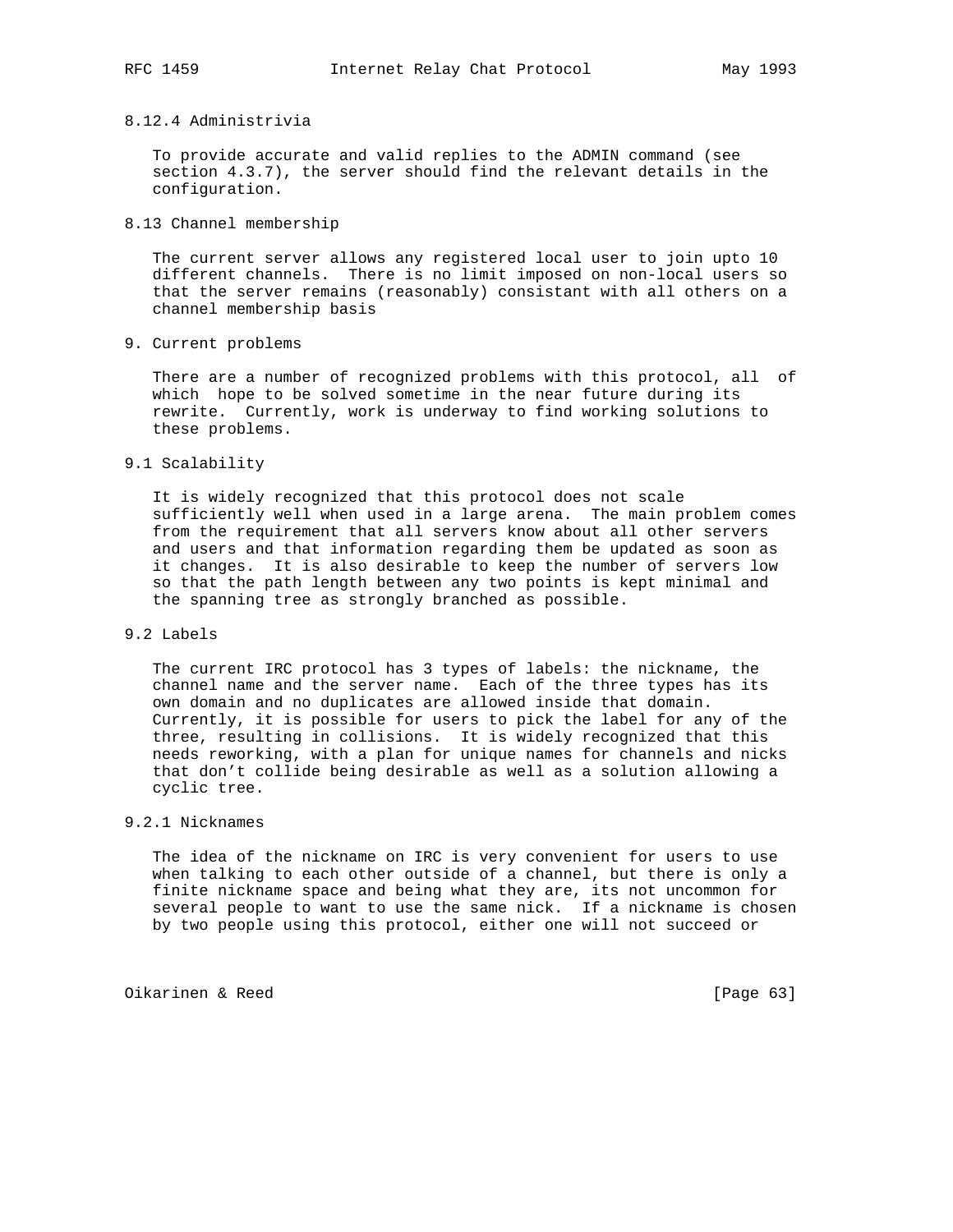# 8.12.4 Administrivia

 To provide accurate and valid replies to the ADMIN command (see section 4.3.7), the server should find the relevant details in the configuration.

8.13 Channel membership

 The current server allows any registered local user to join upto 10 different channels. There is no limit imposed on non-local users so that the server remains (reasonably) consistant with all others on a channel membership basis

9. Current problems

 There are a number of recognized problems with this protocol, all of which hope to be solved sometime in the near future during its rewrite. Currently, work is underway to find working solutions to these problems.

9.1 Scalability

 It is widely recognized that this protocol does not scale sufficiently well when used in a large arena. The main problem comes from the requirement that all servers know about all other servers and users and that information regarding them be updated as soon as it changes. It is also desirable to keep the number of servers low so that the path length between any two points is kept minimal and the spanning tree as strongly branched as possible.

### 9.2 Labels

 The current IRC protocol has 3 types of labels: the nickname, the channel name and the server name. Each of the three types has its own domain and no duplicates are allowed inside that domain. Currently, it is possible for users to pick the label for any of the three, resulting in collisions. It is widely recognized that this needs reworking, with a plan for unique names for channels and nicks that don't collide being desirable as well as a solution allowing a cyclic tree.

#### 9.2.1 Nicknames

 The idea of the nickname on IRC is very convenient for users to use when talking to each other outside of a channel, but there is only a finite nickname space and being what they are, its not uncommon for several people to want to use the same nick. If a nickname is chosen by two people using this protocol, either one will not succeed or

Oikarinen & Reed [Page 63]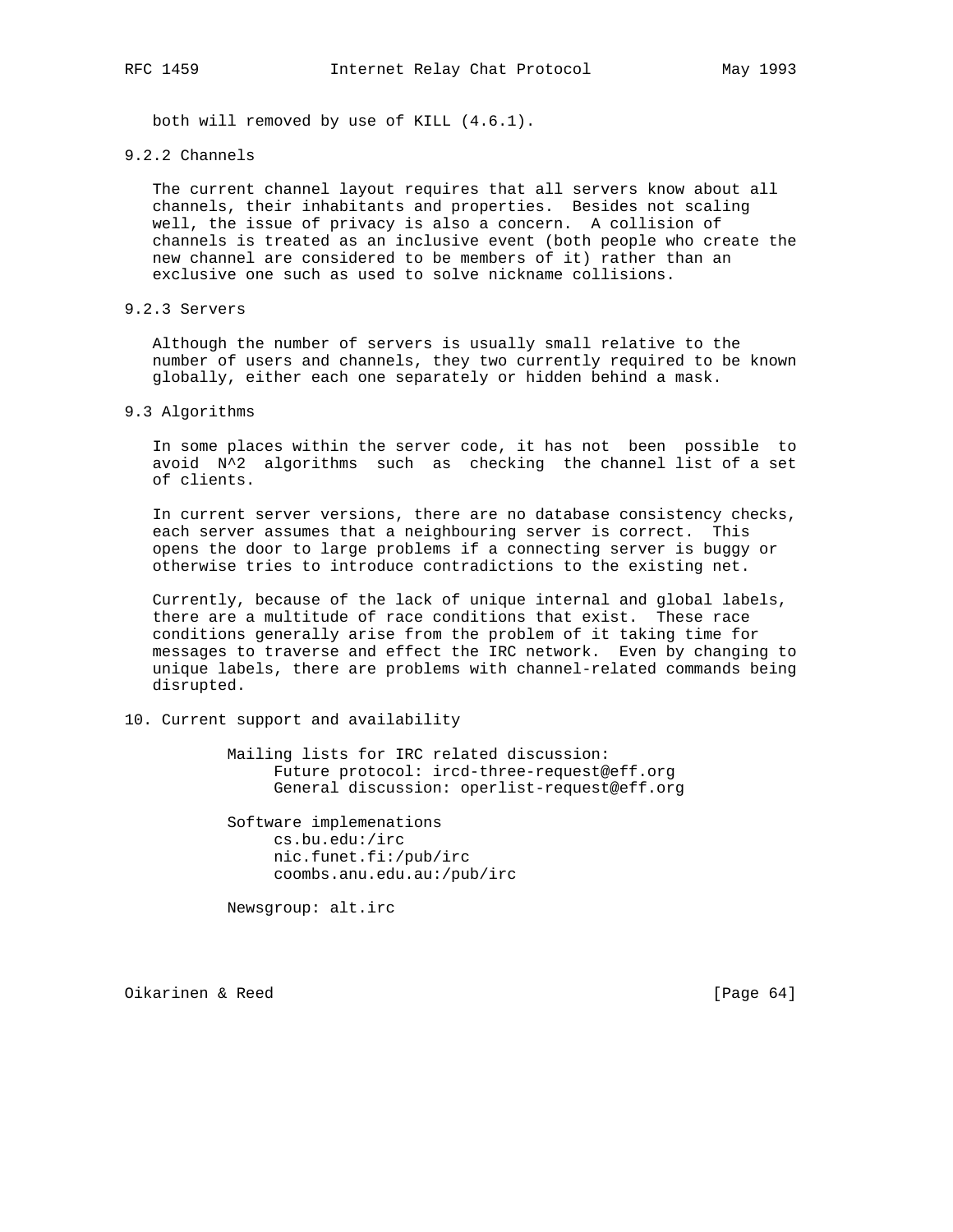both will removed by use of KILL (4.6.1).

#### 9.2.2 Channels

 The current channel layout requires that all servers know about all channels, their inhabitants and properties. Besides not scaling well, the issue of privacy is also a concern. A collision of channels is treated as an inclusive event (both people who create the new channel are considered to be members of it) rather than an exclusive one such as used to solve nickname collisions.

# 9.2.3 Servers

 Although the number of servers is usually small relative to the number of users and channels, they two currently required to be known globally, either each one separately or hidden behind a mask.

#### 9.3 Algorithms

 In some places within the server code, it has not been possible to avoid N^2 algorithms such as checking the channel list of a set of clients.

 In current server versions, there are no database consistency checks, each server assumes that a neighbouring server is correct. This opens the door to large problems if a connecting server is buggy or otherwise tries to introduce contradictions to the existing net.

 Currently, because of the lack of unique internal and global labels, there are a multitude of race conditions that exist. These race conditions generally arise from the problem of it taking time for messages to traverse and effect the IRC network. Even by changing to unique labels, there are problems with channel-related commands being disrupted.

10. Current support and availability

 Mailing lists for IRC related discussion: Future protocol: ircd-three-request@eff.org General discussion: operlist-request@eff.org

 Software implemenations cs.bu.edu:/irc nic.funet.fi:/pub/irc coombs.anu.edu.au:/pub/irc

Newsgroup: alt.irc

Oikarinen & Reed [Page 64]